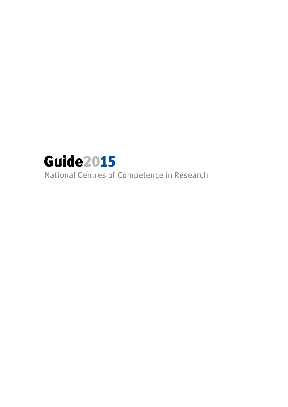

National Centres of Competence in Research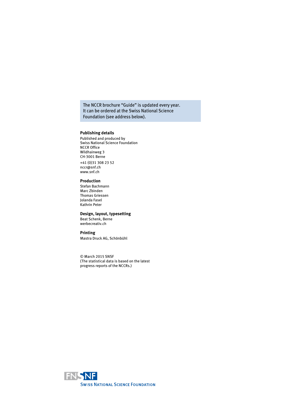#### The NCCR brochure "Guide" is updated every year. It can be ordered at the Swiss National Science Foundation (see address below).

#### **Publishing details**

Published and produced by Swiss National Science Foundation NCCR Office Wildhainweg 3 CH-3001 Berne +41 (0)31 308 23 52 nccr@snf.ch www.snf.ch

#### **Production**

Stefan Bachmann Marc Zbinden Thomas Griessen Jolanda Fasel Kathrin Peter

#### **Design, layout, typesetting**

Beat Schenk, Berne werbecreativ.ch

#### **Printing**

Mastra Druck AG, Schönbühl

© March 2015 SNSF (The statistical data is based on the latest progress reports of the NCCRs.)

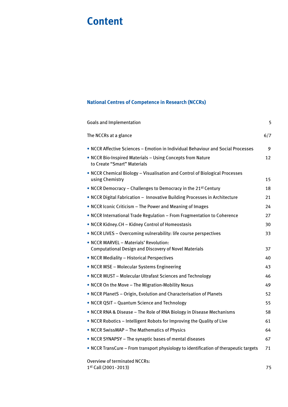# **Content**

# **National Centres of Competence in Research (NCCRs)**

| <b>Goals and Implementation</b>                                                                        | 5   |
|--------------------------------------------------------------------------------------------------------|-----|
| The NCCRs at a glance                                                                                  | 6/7 |
| • NCCR Affective Sciences - Emotion in Individual Behaviour and Social Processes                       | 9   |
| . NCCR Bio-Inspired Materials - Using Concepts from Nature<br>to Create "Smart" Materials              | 12  |
| . NCCR Chemical Biology - Visualisation and Control of Biological Processes<br>using Chemistry         | 15  |
| • NCCR Democracy – Challenges to Democracy in the 21st Century                                         | 18  |
| • NCCR Digital Fabrication - Innovative Building Processes in Architecture                             | 21  |
| • NCCR Iconic Criticism - The Power and Meaning of Images                                              | 24  |
| • NCCR International Trade Regulation - From Fragmentation to Coherence                                | 27  |
| • NCCR Kidney.CH - Kidney Control of Homeostasis                                                       | 30  |
| • NCCR LIVES - Overcoming vulnerability: life course perspectives                                      | 33  |
| • NCCR MARVEL - Materials' Revolution:<br><b>Computational Design and Discovery of Novel Materials</b> | 37  |
| • NCCR Mediality - Historical Perspectives                                                             | 40  |
| • NCCR MSE - Molecular Systems Engineering                                                             | 43  |
| • NCCR MUST - Molecular Ultrafast Sciences and Technology                                              | 46  |
| • NCCR On the Move - The Migration-Mobility Nexus                                                      | 49  |
| . NCCR PlanetS - Origin, Evolution and Characterisation of Planets                                     | 52  |
| • NCCR QSIT - Quantum Science and Technology                                                           | 55  |
| • NCCR RNA & Disease - The Role of RNA Biology in Disease Mechanisms                                   | 58  |
| • NCCR Robotics – Intelligent Robots for Improving the Quality of Live                                 | 61  |
| • NCCR SwissMAP - The Mathematics of Physics                                                           | 64  |
| • NCCR SYNAPSY – The synaptic bases of mental diseases                                                 | 67  |
| • NCCR TransCure - From transport physiology to identification of therapeutic targets                  | 71  |
| <b>Overview of terminated NCCRs:</b>                                                                   |     |

1<sup>st</sup> Call (2001-2013) 75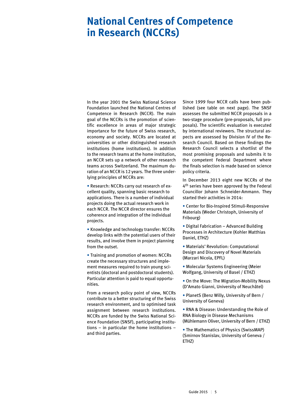# **National Centres of Competence in Research (NCCRs)**

In the year 2001 the Swiss National Science Foundation launched the National Centres of Competence in Research (NCCR). The main goal of the NCCRs is the promotion of scientific excellence in areas of major strategic importance for the future of Swiss research, economy and society. NCCRs are located at universities or other distinguished research institutions (home institutions). In addition to the research teams at the home institution, an NCCR sets up a network of other research teams across Switzerland. The maximum duration of an NCCR is 12 years. The three underlying principles of NCCRs are:

• Research: NCCRs carry out research of excellent quality, spanning basic research to applications. There is a number of individual projects doing the actual research work in each NCCR. The NCCR director ensures the coherence and integration of the individual projects.

• Knowledge and technology transfer: NCCRs develop links with the potential users of their results, and involve them in project planning from the outset.

• Training and promotion of women: NCCRs create the necessary structures and implement measures required to train young scientists (doctoral and postdoctoral students). Particular attention is paid to equal opportunities.

From a research policy point of view, NCCRs contribute to a better structuring of the Swiss research environment, and to optimised task assignment between research institutions. NCCRs are funded by the Swiss National Science Foundation (SNSF), participating institutions – in particular the home institutions – and third parties.

Since 1999 four NCCR calls have been published (see table on next page). The SNSF assesses the submitted NCCR proposals in a two-stage procedure (pre-proposals, full proposals). The scientific evaluation is executed by international reviewers. The structural aspects are assessed by Division IV of the Research Council. Based on these findings the Research Council selects a shortlist of the most promising proposals and submits it to the competent Federal Department where the finals selection is made based on science policy criteria.

In December 2013 eight new NCCRs of the 4<sup>th</sup> series have been approved by the Federal Councillor Johann Schneider-Ammann. They started their activities in 2014:

• Center for Bio-Inspired Stimuli-Responsive Materials (Weder Christoph, University of Fribourg)

• Digital Fabrication – Advanced Building Processes in Architecture (Kohler Matthias Daniel, ETHZ)

• Materials' Revolution: Computational Design and Discovery of Novel Materials (Marzari Nicola, EPFL)

• Molecular Systems Engineering (Meier Wolfgang, University of Basel / ETHZ)

• On the Move: The Migration-Mobility Nexus (D'Amato Gianni, University of Neuchâtel)

• PlanetS (Benz Willy, University of Bern / University of Geneva)

• RNA & Disease: Understanding the Role of RNA Biology in Disease Mechanisms (Mühlemann Oliver, University of Bern / ETHZ)

• The Mathematics of Physics (SwissMAP) (Smirnov Stanislav, University of Geneva / ETHZ)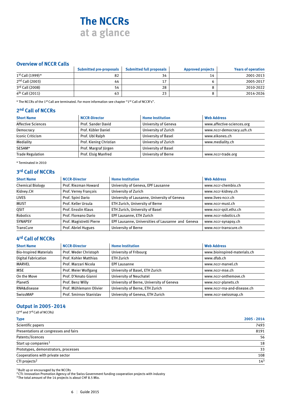# **The NCCRs at a glance**

# **Overview of NCCR Calls**

|                             | <b>Submitted pre-proposals</b> | <b>Submitted full proposals</b> | <b>Approved projects</b> | <b>Years of operation</b> |
|-----------------------------|--------------------------------|---------------------------------|--------------------------|---------------------------|
| $1^{st}$ Call (1999) *      | 82                             | 34                              | 14                       | 2001-2013                 |
| $2nd$ Call (2003)           | 44                             | 17                              |                          | 2005-2017                 |
| 3rd Call (2008)             | 54                             | 28                              |                          | 2010-2022                 |
| 4 <sup>th</sup> Call (2011) | 63                             | 23                              |                          | 2014-2026                 |

\* The NCCRs of the 1st Call are terminated. For more information see chapter "1st Call of NCCR's".

# **2nd Call of NCCRs**

| <b>Short Name</b>         | <b>NCCR-Director</b>    | <b>Home Institution</b>     | <b>Web Address</b>         |
|---------------------------|-------------------------|-----------------------------|----------------------------|
| <b>Affective Sciences</b> | Prof. Sander David      | <b>University of Geneva</b> | www.affective-sciences.org |
| Democracy                 | Prof. Kübler Daniel     | University of Zurich        | www.nccr-democracy.uzh.ch  |
| Iconic Criticism          | Prof. Ubl Ralph         | University of Basel         | www.eikones.ch             |
| Mediality                 | Prof. Kiening Christian | University of Zurich        | www.mediality.ch           |
| SESAM*                    | Prof. Margraf Jürgen    | University of Basel         |                            |
| <b>Trade Regulation</b>   | Prof. Elsig Manfred     | <b>University of Berne</b>  | www.nccr-trade.org         |

\* Terminated in 2010

# **3rd Call of NCCRs**

| <b>Short Name</b>       | <b>NCCR-Director</b>     | <b>Home Institution</b>                           | <b>Web Address</b>    |
|-------------------------|--------------------------|---------------------------------------------------|-----------------------|
| <b>Chemical Biology</b> | Prof. Riezman Howard     | University of Geneva, EPF Lausanne                | www.nccr-chembio.ch   |
| Kidney.CH               | Prof. Verrey François    | University of Zurich                              | www.nccr-kidney.ch    |
| <b>LIVES</b>            | Prof. Spini Dario        | University of Lausanne, University of Geneva      | www.lives-nccr.ch     |
| <b>MUST</b>             | Prof. Keller Ursula      | ETH Zurich, University of Berne                   | www.nccr-must.ch      |
| QSIT                    | Prof. Ensslin Klaus      | ETH Zurich, University of Basel                   | www.nccr-gsit.ethz.ch |
| Robotics                | Prof. Floreano Dario     | EPF Lausanne, ETH Zurich                          | www.nccr-robotics.ch  |
| <b>SYNAPSY</b>          | Prof. Magistretti Pierre | EPF Lausanne, Universities of Lausanne and Geneva | www.nccr-synapsy.ch   |
| <b>TransCure</b>        | Prof. Abriel Hugues      | <b>University of Berne</b>                        | www.nccr-transcure.ch |

# **4rd Call of NCCRs**

| <b>Short Name</b>             | <b>NCCR-Director</b>           | <b>Home Institution</b>                   | <b>Web Address</b>           |
|-------------------------------|--------------------------------|-------------------------------------------|------------------------------|
| <b>Bio-Inspired Materials</b> | Prof. Weder Christoph          | University of Fribourg                    | www.bioinspired-materials.ch |
| <b>Digital Fabrication</b>    | Prof. Kohler Matthias          | ETH Zurich                                | www.dfab.ch                  |
| <b>MARVEL</b>                 | Prof. Marzari Nicola           | <b>EPF Lausanne</b>                       | www.nccr-marvel.ch           |
| <b>MSE</b>                    | Prof. Meier Wolfgang           | University of Basel, ETH Zurich           | www.nccr-mse.ch              |
| On the Move                   | Prof. D'Amato Gianni           | University of Neuchatel                   | www.nccr-onthemove.ch        |
| PlanetS                       | Prof. Benz Willy               | University of Berne, University of Geneva | www.nccr-planets.ch          |
| RNA&disease                   | Prof. Mühlemann Olivier        | University of Berne, ETH Zurich           | www.nccr-rna-and-disease.ch  |
| SwissMAP                      | <b>Prof. Smirnov Stanislav</b> | University of Geneva, ETH Zurich          | www.nccr-swissmap.ch         |

### **Output in 2005-2014**

#### (2nd and 3rd Call of NCCRs)

| <b>Type</b>                           | 2005 - 2014 |
|---------------------------------------|-------------|
| Scientific papers                     | 7493        |
| Presentations at congresses and fairs | 8191        |
| Patents/licences                      | 56          |
| Start up companies <sup>1</sup>       | 18          |
| Prototypes, demonstrators, processes  | 33          |
| Cooperations with private sector      | 108         |
| CTI projects <sup>2</sup>             | $14^{3}$    |

1Built up or encouraged by the NCCRs

<sup>2</sup> CTI: Innovation Promotion Agency of the Swiss Government funding cooperation projects with industry

<sup>3</sup> The total amount of the 14 projects is about CHF 8.5 Mio.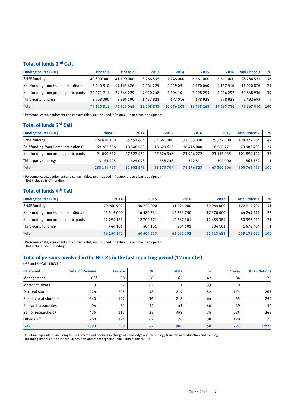# **Total of funds 2nd Call**

| <b>Funding source (CHF)</b>                     | <b>Phase 1</b> | Phase 2    | 2013          | 2014          | 2015          | 2016          | <b>Total Phase 3</b> | $\%$ |
|-------------------------------------------------|----------------|------------|---------------|---------------|---------------|---------------|----------------------|------|
| <b>SNSF</b> funding                             | 40 300 000     | 41 790 000 | 8 2 6 5 5 3 5 | 7746000       | 6661000       | 5 611 000     | 28 284 535           | 36   |
| Self-funding from Home institution <sup>1</sup> | 12 440 810     | 19 163 626 | 4464229       | 4 2 2 9 0 9 1 | 4 170 040     | 4 1 5 7 5 1 6 | 17 020 876           | 21   |
| Self-funding from project participants          | 22 471 911     | 29 664 229 | 9020248       | 7404101       | 7 2 2 8 2 9 5 | 7 216 292     | 30 868 936           | 39   |
| Third-party funding                             | 3 908 090      | 5895190    | 1457821       | 677016        | 678928        | 678928        | 3492693              | 4    |
| <b>Total</b>                                    | 79 120 811     | 96 513 045 | 23 208 833    | 20 056 208    | 18738263      | 17 663 736    | 79 667 040           | 100  |

<sup>1</sup> Personnel costs, equipment and consumables, not included infrastructure and basic equipment

# **Total of funds 3rd Call**

| <b>Funding source (CHF)</b>                      | Phase 1       | 2014       | 2015       | 2016       | 2017       | <b>Total Phase 2</b> | $\%$ |
|--------------------------------------------------|---------------|------------|------------|------------|------------|----------------------|------|
| <b>SNSF</b> funding                              | 124 618 100   | 35 451 464 | 34 661 000 | 32 533 000 | 25 377 000 | 128 022 464          | 42   |
| Self-funding from Home institutions <sup>1</sup> | 69 282 796    | 18 348 569 | 18 629 613 | 18 445 040 | 18 560 271 | 73 983 493           | 24   |
| Self-funding from project participants           | 91 090 642    | 27 527 472 | 27 324 348 | 23 926 272 | 23 116 035 | 101 894 127          | 33   |
| Third-party funding <sup>2</sup>                 | 3 1 6 3 4 2 5 | 625093     | 558748     | 372 511    | 307 000    | 1863352              |      |
| <b>Total</b>                                     | 288 154 963   | 81 952 598 | 81 173 709 | 75 276 823 | 67 360 306 | 305 763 436          | 100  |

<sup>1</sup> Personnel costs, equipment and consumables, not included infrastructure and basic equipment

2 Not included is CTI funding

# **Total of funds 4th Call**

| <b>Funding source (CHF)</b>                      | 2014       | 2015       | 2016       | 2017       | <b>Total Phase 1</b> | $\%$ |
|--------------------------------------------------|------------|------------|------------|------------|----------------------|------|
| <b>SNSF</b> funding                              | 29 980 907 | 30 724 000 | 31 226 000 | 30 984 000 | 122 914 907          | 51   |
| Self-funding from Home institutions <sup>1</sup> | 13 515 000 | 16 580 761 | 16 783 750 | 17 370 000 | 64 249 511           | 27   |
| Self-funding from project participants           | 12 294 184 | 12700371   | 12 747 301 | 12 655 384 | 50 397 240           | 21   |
| Third-party funding <sup>2</sup>                 | 464 101    | 504 101    | 304 101    | 304 101    | 1 576 404            |      |
| <b>Total</b>                                     | 56 254 192 | 60 509 233 | 61 061 152 | 61 313 485 | 239 138 062          | 100  |

<sup>1</sup> Personnel costs, equipment and consumables, not included infrastructure and basic equipment

2 Not included is CTI funding

# **Total of persons involved in the NCCRs in the last reporting period (12 months)**

(2nd and 3rd Call of NCCRs)

| <b>Personnel</b>                | <b>Total of Persons</b> | <b>Female</b>  | $\%$ | <b>Male</b> | $\%$ | <b>Swiss</b> | <b>Other Nations</b> |
|---------------------------------|-------------------------|----------------|------|-------------|------|--------------|----------------------|
| Management                      | $62^{1}$                | 88             | 58   | 65          | 42   | 84           | 76                   |
| <b>Master students</b>          |                         | $\overline{2}$ | 67   |             | 33   | $\mathbf{0}$ |                      |
| Doctoral students               | 424                     | 205            | 48   | 219         | 52   | 173          | 263                  |
| Postdoctoral students           | 340                     | 122            | 36   | 218         | 64   | 55           | 294                  |
| Research associates             | 94                      | 51             | 54   | 43          | 46   | 49           | 50                   |
| Senior researchers <sup>2</sup> | 475                     | 117            | 25   | 358         | 75   | 235          | 265                  |
| Other staff                     | 200                     | 124            | 62   | 76          | 38   | 128          | 73                   |
| <b>Total</b>                    | 1598                    | 709            | 42   | 980         | 58   | 724          | 1'024                |

<sup>1</sup> Full-time equivalent, including NCCR-Director and persons in charge of knowledge and technology transfer, and education and training <sup>2</sup> Including leaders of the individual projects and other organisational units of the NCCRs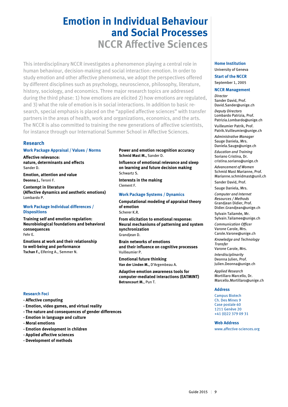# **Emotion in Individual Behaviour and Social Processes NCCR Affective Sciences**

This interdisciplinary NCCR investigates a phenomenon playing a central role in human behaviour, decision-making and social interaction: emotion. In order to study emotion and other affective phenomena, we adopt the perspectives offered by different disciplines such as psychology, neuroscience, philosophy, literature, history, sociology, and economics. Three major research topics are addressed during the third phase: 1) how emotions are elicited 2) how emotions are regulated, and 3) what the role of emotion is in social interactions. In addition to basic research, special emphasis is placed on the "applied affective sciences" with transfer partners in the areas of health, work and organizations, economics, and the arts. The NCCR is also committed to training the new generations of affective scientists, for instance through our International Summer School in Affective Sciences.

# **Research**

#### **Work Package Appraisal / Values / Norms**

**Affective relevance: nature, determinants and effects** Sander D.

**Emotion, attention and value Deonna J.,** Teroni F.

**Contempt in literature (Affective dynamics and aesthetic emotions)** Lombardo P.

#### **Work Package Individual differences / Dispositions**

**Training self and emotion regulation: Neurobiological foundations and behavioral consequences** Fehr E.

**Emotions at work and their relationship to well-being and performance Tschan F.,** Elfering A., Semmer N.

#### **Power and emotion recognition accuracy Schmid Mast M.,** Sander D.

**Influence of emotional relevance and sleep on learning and future decision making** Schwartz S.

**Interests in the making** Clement F.

#### **Work Package Systems / Dynamics**

**Computational modeling of appraisal theory of emotion** Scherer K.R.

**From elicitation to emotional response: Neural mechanisms of patterning and system synchronization** Grandjean D.

**Brain networks of emotions and their influence on cognitive processes** Vuilleumier P.

**Emotional future thinking Van der Linden M.,** D'Argembeau A.

**Adaptive emotion awareness tools for computer-mediated interactions (EATMINT) Betrancourt M.**, Pun T.

#### **Home Institution**

University of Geneva

**Start of the NCCR** September 1, 2005

#### **NCCR Management**

*Director* Sander David, Prof. David.Sander@unige.ch *Deputy Directors* 

Lombardo Patrizia, Prof. Patrizia.Lombardo@unige.ch

Vuilleumier Patrik, Prof. Patrik.Vuilleumier@unige.ch

*Administrative Manager* Sauge Daniela, Mrs. Daniela.Sauge@unige.ch

*Education and Training* Soriano Cristina, Dr. cristina.soriano@unige.ch

*Advancement of Women* Schmid Mast Marianne, Prof. Marianne.schmidmast@unil.ch

Sander David, Prof.

Sauge Daniela, Mrs. *Computer and Internet Resources / Methods*

Grandjean Didier, Prof. Didier.Grandjean@unige.ch Sylvain Tailamée, Mr.

Sylvain.Tailamee@unige.ch

*Communication Officer*  Varone Carole, Mrs. Carole.Varone@unige.ch

*Knowledge and Technology Transfer*

Varone Carole, Mrs. *Interdisciplinarity* Deonna Julien, Prof.

Julien.Deonna@unige.ch *Applied Research* Mortillaro Marcello, Dr.

Marcello.Mortillaro@unige.ch

#### **Address**

Campus Biotech Ch. Des Mines 9 Case postale 60 1211 Genève 20 +41 (0)22 379 09 31

#### **Web Address**

www.affective-sciences.org

#### **Research Foci**

- **Affective computing**
- **Emotion, video games, and virtual reality**
- **The nature and consequences of gender differences**
- **Emotion in language and culture**
- **Moral emotions**
- **Emotion development in children**
- **Applied affective sciences**
- **Development of methods**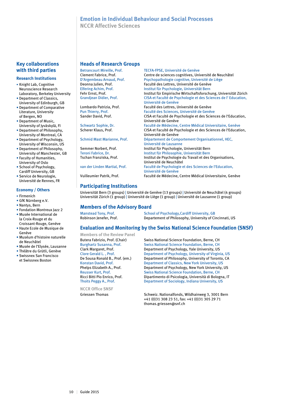### **Emotion in Individual Behaviour and Social Processes NCCR Affective Sciences**

### **Key collaborations with third parties**

#### **Research Institutions**

- Knight Lab, Cognitive Neuroscience Research Laboratory, Berkeley University
- Department of Classics, University of Edinburgh, GB
- Department of Comparative Literature, University of Bergen, NO
- Department of Music, University of Jyväskylä, FI
- Department of Philosophy, University of Montreal, CA
- Department of Psychology, University of Wisconsin, US
- Department of Philosophy, University of Manchester, GB
- Faculty of Humanities, University of Oslo
- School of Psychology, Cardiff University, GB
- Service de Neurologie, Université de Rennes, FR

#### **Economy / Others**

- Firmenich
- GfK Nürnberg e.V.
- Nantys, Bern
- Fondation Montreux Jazz 2 • Musée International de la Croix-Rouge et du
- Croissant-Rouge, Genève • Haute Ecole de Musique de Genève
- Muséum d'histoire naturelle de Neuchâtel
- Musée de l'Elysée, Lausanne
- Théâtre du Grütli, Genève
- Swissnex San Francisco et Swissnex Boston

#### **Heads of Research Groups**

Betrancourt Mireille, Prof.<br>
TECFA-FPSE, Université de Genève<br>
Centre de sciences cognitives, Uni

### **Participating Institutions**

Universität Bern (3 groups) | Université de Genève (13 groups) | Université de Neuchâtel (4 groups) Universität Zürich (1 group) | Université de Liège (1 group) | Université de Lausanne (1 group)

#### **Members of the Advisory Board**

| <b>Manstead Tony, Prof.</b> | School of Psychology, Cardiff University, GB            |
|-----------------------------|---------------------------------------------------------|
| Robinson Jenefer, Prof.     | Departement of Philosophy, University of Cincinnati, US |

### **Evaluation and Monitoring by the Swiss National Science Foundation (SNSF)**

**Members of the Review Panel**

**NCCR Office SNSF**

Butera Fabrizio, Prof. (Chair) Swiss National Science Foundation, Berne, CH<br>Burghartz Susanna. Prof. Swiss National Science Foundation, Berne, CH Swiss National Science Foundation, Berne, CH Clark Margaret, Prof. Department of Psychology, Yale University, US Clore Gerald L., Prof. **Department of Psychology, University of Virginia, US**<br>De Sousa Ronald B., Prof. (em.) Department of Philosophy, University of Toronto, CA Department of Philosophy, University of Toronto, CA Konstan David, Prof. **Department of Classics, New York University, US**<br>Phelps Elizabeth A., Prof. **Department of Psychology, New York University, Department of Psychology, New York University, US** Reusser Kurt, Prof. Swiss National Science Foundation, Berne, CH Ricci Bitti Pio Enrico, Prof. Dipartimento di Psicologia, Università di Bologna, IT<br>Thoits Peggy A., Prof. Department of Sociology, Indiana University, US Department of Sociology, Indiana University, US

Griessen Thomas Schweiz. Nationalfonds, Wildhainweg 3, 3001 Bern +41 (0)31 308 23 51, fax: +41 (0)31 305 29 71 thomas.griessen@snf.ch

Centre de sciences cognitives, Université de Neuchâtel D'Argembeau Arnaud, Prof.<br>
Deonna Julien, Prof.<br>
Faculté des Lettres, Université de Genève Deonna Julien, Prof.<br>
Elfering Achim, Prof.<br>
Institut für Psychologie, Universität Bern Institut für Psychologie, Universität Bern Fehr Ernst, Prof. Institut für Empirische Wirtschaftsforschung, Universität Zürich<br>Grandjean Didier, Prof. CISA et Faculté de Psychologie et des Sciences de l'Education. CISA et Faculté de Psychologie et des Sciences de l'Education, Université de Genève Lombardo Patrizia, Prof.<br>
Pun Thierry. Prof. Faculté des Sciences. Université de Genève Faculté des Sciences, Université de Genève Sander David, Prof. CISA et Faculté de Psychologie et des Sciences de l'Education, Université de Genève Schwartz Sophie, Dr. Faculté de Médecine, Centre Médical Universitaire, Genève<br>Scherer Klaus, Prof. CISA et Faculté de Psychologie et des Sciences de l'Educati CISA et Faculté de Psychologie et des Sciences de l'Education, Université de Genève Schmid Mast Marianne, Prof. Département de Comportement Organisationnel, HEC, Université de Lausanne Semmer Norbert, Prof. Institut für Psychologie, Universität Bern Teroni Fabrice, Dr. Institut für Philosophie, Universität Bern Institut de Psychologie du Travail et des Organisations, Université de Neuchâtel<br>
van der Linden Martial, Prof.<br>
Faculté de Psychologie e Faculté de Psychologie et des Sciences de l'Education, Université de Genève Vuilleumier Patrik, Prof. Faculté de Médecine, Centre Médical Universitaire, Genève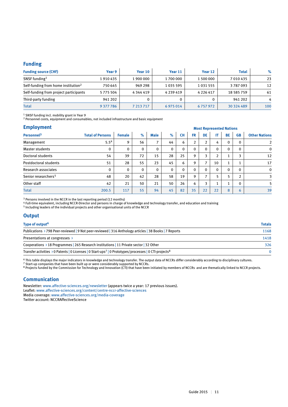#### **Funding**

| <b>Funding source (CHF)</b>                     | Year 9        | Year 10       | Year 11       | Year 12       | <b>Total</b>  | $\%$ |
|-------------------------------------------------|---------------|---------------|---------------|---------------|---------------|------|
| SNSF funding <sup>1</sup>                       | 1910435       | 1 900 000     | 1700000       | 1 500 000     | 7 0 1 0 4 3 5 | 23   |
| Self-funding from home institution <sup>2</sup> | 750 645       | 969 298       | 1035 595      | 1 0 3 1 5 5 5 | 3787093       | 12   |
| Self-funding from project participants          | 5775504       | 4 3 4 4 4 1 9 | 4 2 3 9 4 1 9 | 4 2 2 6 4 1 7 | 18 585 759    | 61   |
| Third-party funding                             | 941 202       |               |               |               | 941 202       | 4    |
| <b>Total</b>                                    | 9 3 7 7 7 8 6 | 7 213 717     | 6975014       | 6757972       | 30 324 489    | 100  |

1 SNSF funding incl. mobility grant in Year 9

<sup>2</sup> Personnel costs, equipment and consumables, not included infrastructure and basic equipment

| <b>Employment</b>               |                         | <b>Most Represented Nations</b> |              |             |              |              |                |                |                |              |              |                      |
|---------------------------------|-------------------------|---------------------------------|--------------|-------------|--------------|--------------|----------------|----------------|----------------|--------------|--------------|----------------------|
| Personnel <sup>3</sup>          | <b>Total of Persons</b> | <b>Female</b>                   | $\%$         | <b>Male</b> | $\%$         | <b>CH</b>    | <b>FR</b>      | <b>DE</b>      | IT             | <b>BE</b>    | <b>GB</b>    | <b>Other Nations</b> |
| Management                      | 5.5 <sup>4</sup>        | 9                               | 56           | 7           | 44           | 6            | $\overline{2}$ | C.             | 4              | $\mathbf 0$  | $\mathbf{0}$ | $\overline{2}$       |
| Master students                 | 0                       | 0                               | $\mathbf{0}$ | 0           | $\mathbf{0}$ | $\mathbf{0}$ | 0              | 0              | 0              | $\mathbf{0}$ | $\mathbf{0}$ | $\mathbf 0$          |
| Doctoral students               | 54                      | 39                              | 72           | 15          | 28           | 25           | 9              | ∍              | $\overline{2}$ |              | 3            | 12                   |
| Postdoctoral students           | 51                      | 28                              | 55           | 23          | 45           | 6            | 9              | $\overline{ }$ | 10             |              |              | 17                   |
| Research associates             | 0                       | $\mathbf{0}$                    | $\Omega$     | 0           | $\mathbf{0}$ | $\mathbf{0}$ | $\Omega$       | 0              | $\mathbf{0}$   | $\Omega$     | $\Omega$     | $\mathbf 0$          |
| Senior researchers <sup>5</sup> | 48                      | 20                              | 42           | 28          | 58           | 19           | 9              | ⇁              | 5              | 5            | 2            | 3                    |
| Other staff                     | 42                      | 21                              | 50           | 21          | 50           | 26           | 6              | 3              | 1              |              | $\mathbf{0}$ | 5                    |
| <b>Total</b>                    | 200.5                   | 117                             | 55           | 94          | 45           | 82           | 35             | 22             | 22             | 8            | 6            | 39                   |

<sup>3</sup> Persons involved in the NCCR in the last reporting period (12 months)

<sup>4</sup> Full-time equivalent, including NCCR-Director and persons in charge of knowledge and technology transfer, and education and training

5 Including leaders of the individual projects and other organisational units of the NCCR

### **Output**

| Type of output <sup>6</sup>                                                                                                                | <b>Totals</b> |
|--------------------------------------------------------------------------------------------------------------------------------------------|---------------|
| Publications > 798 Peer-reviewed   9 Not peer-reviewed   316 Anthology articles   38 Books   7 Reports                                     | 1168          |
| Presentations at congresses >                                                                                                              | 1418          |
| Cooperations $\rightarrow$ 18 Programmes   265 Research institutions   11 Private sector   32 Other                                        | 326           |
| Transfer activities $\rightarrow$ 0 Patents   0 Licenses   0 Start-ups <sup>7</sup>   0 Prototypes/processes   0 CTI-projects <sup>8</sup> | $\Omega$      |

6 This table displays the major indicators in knowledge and technology transfer. The output data of NCCRs differ considerably according to disciplinary cultures.

<sup>7</sup> Start-up companies that have been built up or were considerably supported by NCCRs.

<sup>8</sup> Projects funded by the Commission for Technology and Innovation (CTI) that have been initiated by members of NCCRs and are thematically linked to NCCR projects.

#### **Communication**

Newsletter: www.affective-sciences.org/newsletter (appears twice a year: 17 previous issues). Leaflet: www.affective-sciences.org/content/centre-nccr-affective-sciences Media coverage: www.affective-sciences.org/media-coverage Twitter account: NCCRAffectiveScience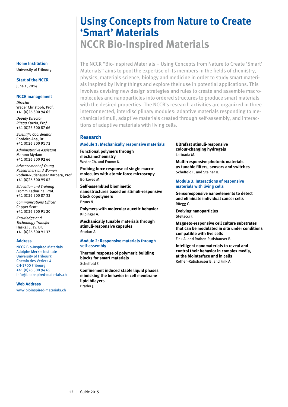# **Using Concepts from Nature to Create 'Smart' Materials NCCR Bio-Inspired Materials**

The NCCR "Bio-Inspired Materials – Using Concepts from Nature to Create 'Smart' Materials" aims to pool the expertise of its members in the fields of chemistry, physics, materials science, biology and medicine in order to study smart materials inspired by living things and explore their use in potential applications. This involves devising new design strategies and rules to create and assemble macromolecules and nanoparticles into ordered structures to produce smart materials with the desired properties. The NCCR's research activities are organized in three interconnected, interdisciplinary modules: adaptive materials responding to mechanical stimuli, adaptive materials created through self-assembly, and interactions of adaptive materials with living cells.

#### **Research**

#### **Module 1: Mechanically responsive materials**

**Functional polymers through mechanochemistry** Weder Ch. and Fromm K.

**Probing force response of single macromolecules with atomic force microscopy** Borkovec M.

**Self-assembled biomimetic nanostructures based on stimuli-responsive block copolymers**  Bruns N.

**Polymers with molecular auxetic behavior**  Kilbinger A.

**Mechanically tunable materials through stimuli-responsive capsules**  Studart A.

#### **Module 2: Responsive materials through self-assembly**

**Thermal response of polymeric building blocks for smart materials** Scheffold F.

**Confinement induced stable liquid phases mimicking the behavior in cell membrane lipid bilayers** Brader J.

**Ultrafast stimuli-responsive colour-changing hydrogels** Lattuada M.

**Multi-responsive photonic materials as tunable filters, sensors and switches** Scheffold F. and Steiner U.

**Module 3: Interactions of responsive materials with living cells**

**Sensoresponsive nanoelements to detect and eliminate individual cancer cells**  Rüegg C.

**Evolving nanoparticles**  Stellacci F.

**Magneto-responsive cell culture substrates that can be modulated in situ under conditions compatible with live cells** Fink A. and Rothen-Rutishauser B.

**Intelligent nanomaterials to reveal and control their behavior in complex media, at the biointerface and in cells** Rothen-Rutishauser B. and Fink A.

#### **Home Institution** University of Fribourg

**Start of the NCCR**

June 1, 2014

#### **NCCR management**

*Director* Weder Christoph, Prof. +41 (0)26 300 94 65

*Deputy Director Rüegg Curzio, Prof.* +41 (0)26 300 87 66

*Scientific Coordinator* Cordeiro Ana, Dr. +41 (0)26 300 91 72

*Administrative Assistant* Marano Myriam +41 (0)26 300 92 66

*Advancement of Young Researchers and Women* Rothen-Rutishauser Barbara, Prof. +41 (0)26 300 95 02

*Education and Training* Fromm Katharina, Prof. +41 (0)26 300 87 32

*Communications Officer* Capper Scott +41 (0)26 300 91 20

*Knowledge and Technology Transfer* Haskal Eliav, Dr. +41 (0)26 300 91 37

#### **Address**

NCCR Bio-Inspired Materials Adolphe Merkle Institute University of Fribourg Chemin des Veriers 4 CH-1700 Fribourg +41 (0)26 300 94 65 info@bioinspired-materials.ch

#### **Web Address**

www.bioinspired-materials.ch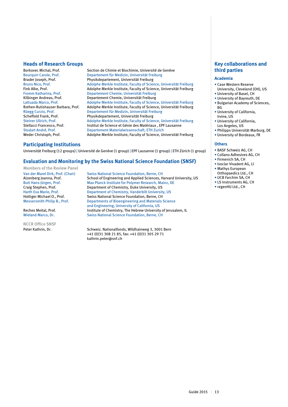#### **Heads of Research Groups**

Borkovec Michal, Prof. Section de Chimie et Biochimie, Université de Genève<br>Bourquin Carole, Prof. Departement für Medizin, Universität Freiburg Departement für Medizin, Universität Freiburg Brader Joseph, Prof.<br>
Bruns Nico, Prof. Physikdepartement, Universität Freiburg<br>
Adolphe Merkle Institute, Faculty of Scien Bruns Nico, Prof. Adolphe Merkle Institute, Faculty of Science, Universität Freiburg Fink Alke, Prof. Adolphe Merkle Institute, Faculty of Science, Universität Freiburg Fromm Katharina, Prof. Departement Chemie, Universität Freiburg Kilbinger Andreas, Prof. Departement Chemie, Universität Freiburg<br>Lattuada Marco, Prof. Adolphe Merkle Institute, Faculty of Scienc Adolphe Merkle Institute, Faculty of Science, Universität Freiburg Rothen-Rutishauser Barbara, Prof. Adolphe Merkle Institute, Faculty of Science, Universität Freiburg Rüegg Curzio, Prof. Departement für Medizin, Universität Freiburg<br>
Scheffold Frank, Prof. Physikdepartement, Universität Freiburg Scheffold Frank, Prof.<br>
Steiner Ullrich. Prof.<br>
Adolphe Merkle Institute. Faculty of Scien Steiner Ullrich, Prof. **Adolphe Merkle Institute, Faculty of Science**, Universität Freiburg<br>Stellacci Francesco. Prof. **Institut de Science et Génie des Matériaux**, EPF Lausanne Stellacci Francesco, Prof. **Institut de Science et Génie des Matériaux , EPF Lausanne**<br>Studart André, Prof. **Institut de Science et Génie des Matériaux , EPF Lausanne** Studart André, Prof. **Departement Materialwissenschaft, ETH Zurich**<br> **Departement Materialwissenschaft, ETH Zurich**<br> **Departement Materialwissenschaft, ETH Zurich Weder Christoph. Prof.** Adolphe Merkle Institute, Faculty of Science, Universität Freiburg

#### **Participating Institutions**

Universität Freiburg (12 groups) | Université de Genève (1 group) | EPF Lausanne (1 group) | ETH Zürich (1 group)

#### **Evaluation and Monitoring by the Swiss National Science Foundation (SNSF)**

**Members of the Review Panel**

**NCCR Office SNSF**

Van der Marel Dirk, Prof. (Chair) Swiss National Science Foundation, Berne, CH Aizenberg Joanna, Prof. School of Engineering and Applied Sciences, Harvard University, US Butt Hans-Jürgen, Prof. Max Planck Institute for Polymer Research, Mainz, DE Craig Stephen, Prof. Department of Chemistry, Duke University, US Department of Chemistry, Duke University, US Harth Eva Marie, Prof. Department of Chemistry, Vanderbilt University, US Hottiger Michael O., Prof. Swiss National Science Foundation, Berne, CH<br>Messersmith Philip B., Prof. Departments of Bioengineering and Materials Departments of Bioengineering and Materials Science and Engineering, University of California, US<br>Reches Meital. Prof. The Hebrew University of Chemistry. The Hebrew University Reches Meital, Prof.<br>Institute of Chemistry, The Hebrew University of Jerusalem, IL<br>Swiss National Science Foundation. Berne. CH Swiss National Science Foundation, Berne, CH

Peter Kathrin, Dr. Schweiz. Nationalfonds, Wildhainweg 3, 3001 Bern +41 (0)31 308 21 85, fax: +41 (0)31 305 29 71 kathrin.peter@snf.ch

### **Key collaborations and third parties**

#### **Academia**

- Case Western Reserve
- University, Cleveland (OH), US • University of Basel, CH
- University of Bayreuth, DE
- Bulgarian Academy of Sciences, **BG**
- University of California, Irvine, US
- University of California, Los Angeles, US
- Philipps Universität Marburg, DE • University of Bordeaux, FR

### **Others**

- BASF Schweiz AG, CH
- Collano Adhesives AG, CH
- Firmenich SA, CH
- Ivoclar Vivadent AG, LI • Mathys European
- Orthopaedics Ltd., CH
- UCB Farchim SA, CH
- LS Instruments AG, CH
- regenHU Ltd., CH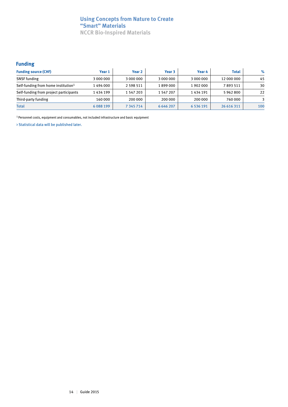# **Using Concepts from Nature to Create "Smart" Materials NCCR Bio-Inspired Materials**

# **Funding**

| <b>Funding source (CHF)</b>                     | Year 1      | Year 2        | Year 3        | Year 4        | <b>Total</b> | $\%$ |
|-------------------------------------------------|-------------|---------------|---------------|---------------|--------------|------|
| <b>SNSF</b> funding                             | 3 000 000   | 3 000 000     | 3 000 000     | 3 000 000     | 12 000 000   | 45   |
| Self-funding from home institution <sup>1</sup> | 1494000     | 2 5 9 8 5 1 1 | 1899000       | 1902000       | 7893511      | 30   |
| Self-funding from project participants          | 1434199     | 1 547 203     | 1 547 207     | 1434191       | 5962800      | 22   |
| Third-party funding                             | 160 000     | 200 000       | 200 000       | 200 000       | 760 000      |      |
| <b>Total</b>                                    | 6 0 8 1 9 9 | 7 345 714     | 6 6 4 6 2 0 7 | 6 5 3 6 1 9 1 | 26 616 311   | 100  |

1 Personnel costs, equipment and consumables, not included infrastructure and basic equipment

> Statistical data will be published later.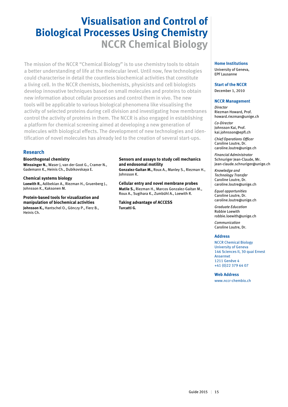# **Visualisation and Control of Biological Processes Using Chemistry NCCR Chemical Biology**

The mission of the NCCR "Chemical Biology" is to use chemistry tools to obtain a better understanding of life at the molecular level. Until now, few technologies could characterise in detail the countless biochemical activities that constitute a living cell. In the NCCR chemists, biochemists, physicists and cell biologists develop innovative techniques based on small molecules and proteins to obtain new information about cellular processes and control them in vivo. The new tools will be applicable to various biological phenomena like visualising the activity of selected proteins during cell division and investigating how membranes control the activity of proteins in them. The NCCR is also engaged in establishing a platform for chemical screening aimed at developing a new generation of molecules with biological effects. The development of new technologies and identification of novel molecules has already led to the creation of several start-ups.

# **Research**

#### **Bioorthogonal chemistry Winssinger N.**, Waser J, van der Goot G., Cramer N., Gademann K., Heinis Ch., Dubikovskaya E.

**Chemical systems biology Loewith R.,** Adibekian A., Riezman H., Gruenberg J., Johnsson K., Kaksonen M.

**Protein-based tools for vizualization and manipulation of biochemical activities Johnsson K.,** Hantschel O., Gönczy P., Fierz B., Heinis Ch.

### **Sensors and assays to study cell mechanics and endosomal motility**

**Gonzalez-Gaitan M.,** Roux A., Manley S., Riezman H., Johnsson K.

**Cellular entry and novel membrane probes Matile S.,** Riezman H., Marcos Gonzalez-Gaitan M., Roux A., Sugihara K., Zumbühl A., Loewith R.

**Taking advantage of ACCESS Turcatti G.**

# **Home Institutions**

University of Geneva, EPF Lausanne

**Start of the NCCR** December 1, 2010

#### **NCCR Management**

*Director* Riezman Howard, Prof. howard.riezman@unige.ch

*Co-Director* Johnsson Kai, Prof. kai.johnsson@epfl.ch

*Chief Operations Officer* Caroline Loutre, Dr. caroline.loutre@unige.ch

*Financial Administrator* Schnuriger Jean-Claude, Mr. jean-claude.schnuriger@unige.ch

*Knowledge and Technology Transfer* Caroline Loutre, Dr. caroline.loutre@unige.ch

*Equal opportunities*  Caroline Loutre, Dr. caroline.loutre@unige.ch

*Graduate Education* Robbie Loewith robbie.loewith@unige.ch

*Communication* Caroline Loutre, Dr.

#### **Address**

NCCR Chemical Biology University of Geneva 146 Sciences II, 30 quai Ernest Ansermet 1211 Genève 4 +41 (0)22 379 64 07

**Web Address**

www.nccr-chembio.ch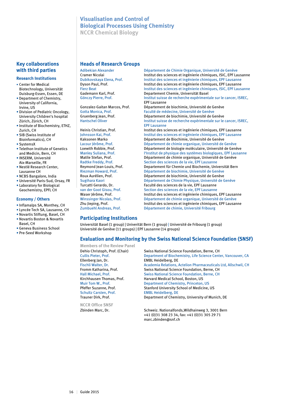# **Visualisation and Control of Biological Processes Using Chemistry**

**NCCR Chemical Biology**

# **Key collaborations with third parties**

#### **Research Institutions**

- Center for Medical Biotechnology, Universität Duisburg-Essen, Essen, DE
- Department of Chemistry, University of California, Irvine, US
- Division of Pediatric Oncology, University Children's hospital Zürich, Zürich, CH
- Institute of Biochemistry, ETHZ, Zurich, CH
- SIB (Swiss Institute of Bioinformatics), CH
- SystemsX
- Telethon Institute of Genetics and Medicin, Bern, CH
- INSERM, Université Aix-Marseille, FR
- Nestlé Research Center, Lausanne CH
- NCBS Bangalore, India
- Université Paris-Sud, Orsay, FR
- Laboratory for Biological Geochemistry, EPFL CH

#### **Economy / Others**

- Inflamalps SA, Monthey, CH
- Lyncée Tech SA, Lausanne, CH
- Novartis Stiftung, Basel, CH
- Novartis Boston & Novartis
- Basel, CH • Geneva Business School
- Pre-Seed Workshop

#### **Heads of Research Groups**

Adibekian Alexander **Département de Chimie Organique, Université de Genève**<br>Cramer Nicolai **March de Chimie de Sciences et ingénierie chimiques**. ISIC. EPF La Cramer Nicolai **Institut des sciences et ingénierie chimiques, ISIC, EPF Lausanne**<br> **Institut des sciences et ingénierie chimiques. EPF Lausanne** Institut des sciences et ingénierie chimiques, EPF Lausanne Dyson Paul, Prof. Institut des sciences et ingénierie chimiques, EPF Lausanne Fierz Beat Institut des sciences et ingénierie chimiques, ISIC, EPF Lausanne Gademann Karl, Prof.<br>Gönczy Pierre, Prof. **Departement Chemie, Universität Basel** Institut suisse de recherche expérimentale sur le cancer, ISREC, EPF Lausanne Gonzalez-Gaitan Marcos, Prof. Département de biochimie, Université de Genève Gotta Monica, Prof. Faculté de médecine, Université de Genève Gruenberg Jean, Prof. Département de biochimie, Université de Genève<br>
Hantschel Oliver de Santiste de recherche expérimentale sur le Institut suisse de recherche expérimentale sur le cancer, ISREC, EPF Lausanne<br>Heinis Christian, Prof. The limititut des so Heinis Christian, Prof. Institut des sciences et ingénierie chimiques, EPF Lausanne<br>Institut des sciences et ingénierie chimiques. EPF Lausanne Institut des sciences et ingénierie chimiques, EPF Lausanne Kaksonen Marko **Département de Biochimie, Université de Genève**<br>Lacour Jérôme, Prof. **Département de chimie organique, Université de** Lacour Jérôme, Prof. **Département de chimie organique, Université de Genève**<br>
Loewith Robbie. Prof. **Département de biologie moléculaire. Université de Genève** Département de biologie moléculaire, Université de Genève Manley Suliana, Prof. limstitut de physique des systèmes biologiques, EPF Lausanne<br>Matile Stefan. Prof. limitud de chimie organique. Université de Genève Département de chimie organique, Université de Genève Radtke Freddy, Prof. Section des sciences de la vie, EPF Lausanne<br>Reymond Jean-Louis, Prof. Departement für Chemie und Biochemie, Uni Reymond Jean-Louis, Prof. Departement für Chemie und Biochemie, Universität Bern<br>Riezman Howard, Prof. Département de biochimie, Université de Genève Département de biochimie, Université de Genève Roux Aurélien, Prof. Département de biochimie, Université de Genève Sugihara Kaori Département de Chimie Physique, Université de Genève Turcatti Gerardo, Dr. Faculté des sciences de la vie, EPF Lausanne van der Goot Gisou, Prof. Section des sciences de la vie, EPF Lausanne<br>Waser lérôme. Prof. Section des sciences et ingénierie chimiques Institut des sciences et ingénierie chimiques, EPF Lausanne Winssinger Nicolas, Prof. Département de chimie organique, Université de Genève<br>Zhu Jieping, Prof. Chimie des sciences et ingénierie chimiques, EPF Lausar Zhu Jieping, Prof. Institut des sciences et ingénierie chimiques, EPF Lausanne Département de chimie, Université Fribourg

# **Participating Institutions**

Universität Basel (1 group) | Univerität Bern (1 group) | Université de Fribourg (1 group) Université de Genève (11 groups) | EPF Lausanne (14 groups)

# **Evaluation and Monitoring by the Swiss National Science Foundation (SNSF)**

**Members of the Review Panel** Ellenberg Jan, Dr. EMBL Heidelberg, DE Schultz Carsten, Prof. EMBL Heidelberg, DE<br>Trauner Dirk, Prof. 2008 Department of Chemi

**NCCR Office SNSF**

Dehio Christoph, Prof. (Chair) Swiss National Science Foundation, Berne, CH<br>Cullis Pieter, Prof. Department of Biochemistry, Life Science Cent Department of Biochemistry, Life Science Center, Vancouver, CA Academia Relations, Actelion Pharmaceuticals Ltd, Allschwil, CH Fromm Katharina, Prof. Swiss National Science Foundation, Berne, CH<br>Hall Michael, Prof. Swiss National Science Foundation, Berne, CH Hall Michael, Prof. Swiss National Science Foundation, Berne, CH<br>Kirchhausen Thomas. Prof. Harvard Medical School, Boston, US Kirchhausen Thomas, Prof.<br>
Muir Tom W., Prof. Department of Chemistry, Princeton, Muir Tom W., Prof. **Department of Chemistry, Princeton, US**<br>Pfeffer Suzanne. Prof. **Department Of Chemistry School of Medicine. Stanford University School of Medicine, US** Department of Chemistry, University of Munich, DE

Zbinden Marc, Dr. Schweiz. Nationalfonds,Wildhainweg 3, 3001 Bern +41 (0)31 308 23 34, fax: +41 (0)31 305 29 71 marc.zbinden@snf.ch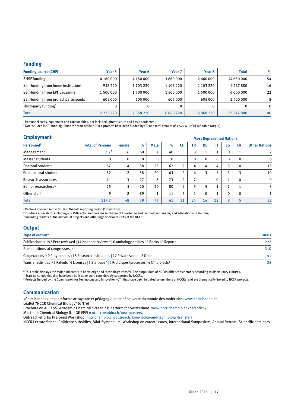#### **Funding**

| <b>Funding source (CHF)</b>                     | Year 5    | Year 6        | Year <sub>7</sub> | Year 8    | <b>Total</b>  | $\%$     |
|-------------------------------------------------|-----------|---------------|-------------------|-----------|---------------|----------|
| <b>SNSF</b> funding                             | 4 160 000 | 4 1 5 0 0 0 0 | 3 660 000         | 2 660 000 | 14 630 000    | 54       |
| Self-funding from home institution <sup>1</sup> | 958 220   | 1 103 220     | 1 103 220         | 1 103 220 | 4 2 6 7 8 8 0 | 16       |
| Self-funding from EPF Lausanne                  | 1 500 000 | 1 500 000     | 1 500 000         | 1 500 000 | 6 000 000     | 22       |
| Self-funding from project participants          | 605 000   | 605 000       | 605 000           | 605 000   | 2420000       | 8        |
| Third-party funding <sup>2</sup>                |           |               |                   | 0         |               | $\Omega$ |
| <b>Total</b>                                    | 7 223 220 | 7 3 5 8 2 2 0 | 6868220           | 5 868 220 | 27 317 880    | 100      |

<sup>1</sup> Personnel costs, equipment and consumables, not included infrastructure and basic equipment

<sup>2</sup> Not included is CTI funding. Since the start of the NCCR 4 projects have been funded by CTI at a total amount of 1 527 610 CHF (cf. table Output).

#### **Employment**

|                                 |                         |               |             |             |             |                |           |              | <b><i>INIUSL REPRESENTED NATIONS</i></b> |              |              |                      |
|---------------------------------|-------------------------|---------------|-------------|-------------|-------------|----------------|-----------|--------------|------------------------------------------|--------------|--------------|----------------------|
| Personnel <sup>3</sup>          | <b>Total of Persons</b> | <b>Female</b> | $\%$        | <b>Male</b> | $\%$        | <b>CH</b>      | <b>FR</b> | DE           | IT                                       | ES           | CA           | <b>Other Nations</b> |
| Management                      | 3.7 <sup>4</sup>        | 6             | 60          | 4           | 40          | 3              | 3         |              | 1                                        | $\mathbf{0}$ |              |                      |
| <b>Master students</b>          | 0                       | $\mathbf{0}$  | $\mathbf 0$ | $\mathbf 0$ | $\mathbf 0$ | 0              | $\Omega$  | $\Omega$     | 0                                        | $\Omega$     | 0            | 0                    |
| Doctoral students               | 37                      | 14            | 38          | 23          | 62          | 9              | 4         | 4            | 4                                        | 3            | 0            | 13                   |
| Postdoctoral students           | 32                      | 12            | 38          | 20          | 63          | $\overline{2}$ | 6         | ͻ            | 5                                        | 3            | 3            | 10                   |
| Research associates             | 11                      | 3             | 27          | 8           | 73          | $\overline{2}$ | ⇁         |              | $\Omega$                                 |              | $\Omega$     | $\mathbf 0$          |
| Senior researchers <sup>5</sup> | 25                      | 5             | 20          | 20          | 80          | 9              | 3         |              |                                          |              |              | 6                    |
| Other staff                     | 9                       | 8             | 89          | 1           | 11          | 6              |           | $\mathbf{0}$ |                                          | $\Omega$     | $\mathbf{0}$ |                      |
| <b>Total</b>                    | 117.7                   | 48            | 39          | 76          | 61          | 31             | 24        | 14           | 12                                       | 8            |              | 32                   |

<sup>3</sup> Persons involved in the NCCR in the last reporting period (12 months)

<sup>4</sup> Full-time equivalent, including NCCR-Director and persons in charge of knowledge and technology transfer, and education and training

5 Including leaders of the individual projects and other organisational units of the NCCR

### **Output**

| Type of output <sup>6</sup>                                                                                                    | <b>Totals</b> |
|--------------------------------------------------------------------------------------------------------------------------------|---------------|
| Publications > 197 Peer-reviewed   14 Not peer-reviewed   6 Anthology articles   5 Books   0 Reports                           | 222           |
| Presentations at congresses $\rightarrow$                                                                                      | 310           |
| Cooperations > 9 Programmes   18 Research institutions   12 Private sector   2 Other                                           | 41            |
| Transfer activities > 9 Patents   6 Licenses   6 Start-ups <sup>7</sup>   0 Prototypes/processes   4 CTI-projects <sup>8</sup> | 25            |

6 This table displays the major indicators in knowledge and technology transfer. The output data of NCCRs differ considerably according to disciplinary cultures.

7 Start-up companies that have been built up or were considerably supported by NCCRs.

8 Projects funded by the Commission for Technology and Innovation (CTI) that have been initiated by members of NCCRs and are thematically linked to NCCR projects.

# **Communication**

«Chimiscope» une plateforme attrayante et pédagogique de découverte du monde des molécules: www.chimiscope.ch

Leaflet "NCCR Chemical Biology" (d/f/e)

Brochure on ACCESS: Academic Chemical Screening Platform for Switzerland: www.nccr-chembio.ch/bsfepflch/

Master in Chemical Biology (UniGE-EPFL): nccr-chembio.ch/new-masters/

Outreach efforts: Pre-Seed Workshop: nccr-chembio.ch/outreach/knowledge-and-technology-transfer/

NCCR Lecture Series, Childcare subsidies, Mini-Symposium, Workshop on career issues, International Symposium, Annual Retreat, Scientific seminars

 **Most Represented Nations**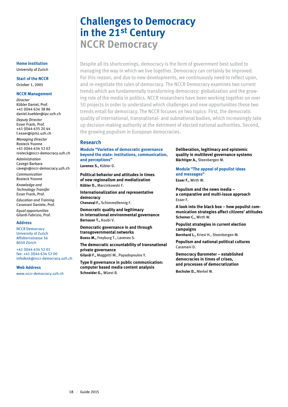# **Challenges to Democracy in the 21st Century NCCR Democracy**

Despite all its shortcomings, democracy is the form of government best suited to managing the way in which we live together. Democracy can certainly be improved. For this reason, and due to new developments, we continuously need to reflect upon, and re-negotiate the rules of democracy. The NCCR Democracy examines two current trends which are fundamentally transforming democracy: globalization and the growing role of the media in politics. NCCR researchers have been working together on over 50 projects in order to understand which challenges and new opportunities these two trends entail for democracy. The NCCR focuses on two topics: First, the democratic quality of international, transnational- and subnational bodies, which increasingly take up decision-making authority at the detriment of elected national authorities. Second, the growing populism in European democracies.

#### **Research**

**Module "Varieties of democratic governance beyond the state: institutions, communication, and perceptions" Lavenex S.,** Kübler D.

**Political behavior and attitudes in times of new regionalism and mediatization Kübler D.,** Marcinkowski F.

**Internationalization and representative democracy Cheneval F.,** Schimmelfennig F.

**Democratic quality and legitimacy in international environmental governance Bernauer T.,** Koubi V.

**Democratic governance in and through transgovernmental networks Buess M.,** Freyburg T., Lavenex S.

**The democratic accountability of transnational private governance**

**Gilardi F.,** Maggetti M., Papadopoulos Y.

**Type II governance in public communication: computer based media content analysis Schneider G.,** Wüest B.

**Deliberation, legitimacy and epistemic quality in multilevel governance systems Bächtiger A.,** Steenbergen M.

**Module "The appeal of populist ideas and messages" Esser F.,** Wirth W.

**Populism and the news media – a comparative and multi-issue approach** Esser F.

**A look into the black box – how populist communication strategies affect citizens' attitudes Schemer C.,** Wirth W.

**Populist strategies in current election campaigns**

**Bernhard L.,** Kriesi H., Steenbergen M.

**Populism and national political cultures** Caramani D.

**Democracy Barometer – established democracies in times of crises, and processes of democratization**

**Bochsler D.,** Merkel W.

#### **Home Institution** University of Zurich

**Start of the NCCR**

October 1, 2005

#### **NCCR Management**

*Director* Kübler Daniel, Prof. +41 (0)44 634 38 86 daniel.kuebler@ipz.uzh.ch *Deputy Director* Esser Frank, Prof. +41 (0)44 635 20 44 f.esser@ipmz.uzh.ch

*Managing Director* Rosteck Yvonne +41 (0)44 634 52 02 rosteck@nccr-democracy.uzh.ch

*Administration* Cavegn Barbara cavegn@nccr-democracy.uzh.ch

*Communication* Rosteck Yvonne

*Knowledge and Technology Transfer* Esser Frank, Prof.

*Education and Training* Caramani Daniele, Prof.

*Equal opportunities* Gilardi Fabrizio, Prof.

#### **Address**

NCCR Democracy University of Zurich Affolternstrasse 56 8050 Zürich

+41 (0)44 634 52 01 fax: +41 (0)44 634 52 00 infodesk@nccr-democracy.uzh.ch

**Web Address**

www.nccr-democracy.uzh.ch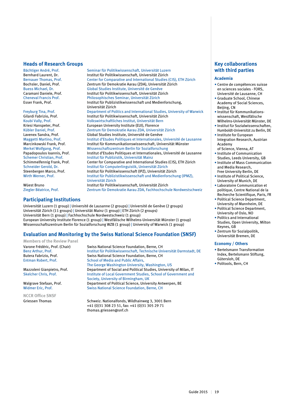#### **Heads of Research Groups**

Bächtiger André, Prof. Seminar für Politikwissenschaft, Universität Luzern<br>Bernhard Laurent. Dr. Seminar Schutt für Politikwissenschaft. Universität Zürich

# **Participating Institutions**

Universität Luzern (1 group) | Université de Lausanne (2 groups) | Université de Genève (2 groups) Universität Zürich (11 groups) | Universität Mainz (1 group) | ETH Zürich (2 groups) Universität Bern (1 group) | Fachhochschule Nordwestschweiz (1 group) European University Institute Florence (1 group) | Westfälische Wilhelms-Universität Münster (1 group) Wissensschaftszentrum Berlin für Sozialforschung WZB (1 group) | University of Warwick (1 group)

### **Evaluation and Monitoring by the Swiss National Science Foundation (SNSF)**

**Members of the Review Panel**

**NCCR Office SNSF**

Bernhard Laurent, Dr. Institut für Politikwissenschaft, Universität Zürich Bernauer Thomas, Prof. Center for Comparative and International Studies (CIS), ETH Zürich Bochsler, Daniel, Prof. Zentrum für Demokratie Aarau (ZDA), Universität Zürich<br>Buess Michael Dr Buess Michael, Dr. Global Studies Institute, Université de Genève Caramani Daniele, Prof. **Institut für Politikwissenschaft, Universität Zürich**<br>Cheneval Francis Prof. **Institut Philosophisches Seminar, Universität Zürich** Cheneval Francis Prof. Philosophisches Seminar, Universität Zürich Institut für Publizistikwissenschaft und Medienforschung, Universität Zürich Freyburg Tina, Prof. Department of Politics and International Studies, University of Warwick Gilardi Fabrizio, Prof. The Institut für Politikwissenschaft, Universität Zürich<br>Institut Iniversität Bern Volkswirtschaftliches Institut. Universität Bern Koubi Vally, Prof. Volkswirtschaftliches Institut, Universität Bern Kriesi Hanspeter, Prof. **European University Institute (EUI), Florence**<br>Kübler Daniel, Prof. **European European University Institute (EUI)**, Elonence Kübler Daniel, Prof. The School and Temokratie Aarau ZDA, Universität Zürich<br>Lavenex Sandra. Prof. The Global Studies Institute. Université de Genève Global Studies Institute, Université de Genève Maggetti Martino, Prof. **Institut d'Etudes Politiques et Internationales**, Université de Lausanne<br>Marcinkowski Frank, Prof. **Institut für Kommunikationswissenschaft**, Universität Münster Marcinkowski Frank, Prof. **Institut für Kommunikationswissenschaft**, Universität Münster<br>Merkel Wolfgang, Prof. **Institut Müssenschaftszentrum Berlin für Sozialforschung** Wissenschaftszentrum Berlin für Sozialforschung Papadopoulos Ioannis, Prof. **Institut d'Etudes Politiques et Internationales**, Université de Lausanne<br>Schemer Christian, Prof. **Institut für Publizistik, Universität Main**z Schemer Christian, Prof. **Institut für Publizistik, Universität Mainz**<br>
Schimmelfennig Frank. Prof. **Center for Comparative and International** Schimmelfennig Frank, Prof. Center for Comparative and International Studies (CIS), ETH Zürich<br>
Schneider Gerold, Dr. Schneider Gerold, Dr. Schneider Gerold, Dr. Schneider Gerold, Dr. Schneider Gerold, Dr. Institut für Computerlinguistik, Universität Zürich<br>Steenbergen Marco, Prof. Institut für Politikwissenschaft (IPZ), Universität Z Institut für Politikwissenschaft (IPZ), Universität Zürich Wirth Werner, Prof. Institut für Publizistikwissenschaft und Medienforschung (IPMZ), Universität Zürich Wüest Bruno Institut für Politikwissenschaft, Universität Zürich

Ziegler Béatrice, Prof. Zentrum für Demokratie Aarau ZDA, Fachhochschule Nordwestschweiz

Varone Frédéric, Prof. (Chair) Swiss National Science Foundation, Berne, CH<br>Benz Arthur, Prof. Sensition Supering Constitute für Politikwissenschaft, Technische Un Benz Arthur, Prof. **Institut für Politikwissenschaft, Technische Universität Darmstadt, DE**<br>Butera Fabrizio, Prof. Swiss National Science Foundation, Berne, CH Swiss National Science Foundation, Berne, CH Entman Robert, Prof. School of Media and Public Affairs, The George Washington University, Washington, US Mazzoleni Gianpietro, Prof. Department of Social and Political Studies, University of Milan, IT<br>Skelcher Chris. Prof. 1996 Institute of Local Government Studies. School of Government and Institute of Local Government Studies, School of Government and Society, University of Birmingham, UK<br>Department of Political Science, Unive Walgrave Stefaan, Prof. Department of Political Science, University Antwerpen, BE<br>Widmer Eric. Prof. Swiss National Science Foundation. Berne. CH Swiss National Science Foundation, Berne, CH

Griessen Thomas Schweiz. Nationalfonds, Wildhainweg 3, 3001 Bern +41 (0)31 308 23 51, fax: +41 (0)31 305 29 71 thomas.griessen@snf.ch

# **Key collaborations with third parties**

#### **Academia**

- Centre de compétences suisse en sciences sociales - FORS, Université de Lausanne, CH
- Graduate School, Chinese Academy of Social Sciences, Beijing, CN
- Institut für Kommunikationswissenschaft, Westfälische Wilhelms-Universität Münster, DE
- Institut für Sozialwissenschaften, Humboldt-Universität zu Berlin, DE
- Institute for European Integration Research, Austrian
- Academy of Science, Vienna, AT
- Institute of Communication Studies, Leeds University, GB
- Institute of Mass Communication and Media Research,
- Free University Berlin, DE • Institute of Political Science,
- University of Munich, DE • Laboratoire Communication et
- politique, Centre National de la Recherche Scientifique, Paris, FR • Political Science Department,
- University of Mannheim, DE • Political Science Department,
- University of Oslo, NO • Politics and International Studies, Open University, Milton
- Keynes, GB • Zentrum für Sozialpolitik, Universität Bremen, DE

#### **Economy / Others**

- Bertelsmann Transformation Index, Bertelsmann Stiftung, Gütersloh, DE
- Politools, Bern, CH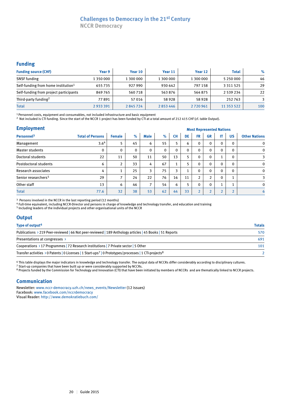# **Challenges to Democracy in the 21st Century**

**NCCR Democracy**

# **Funding**

| <b>Funding source (CHF)</b>                     | Year 9    | Year 10   | Year 11   | Year 12   | <b>Total</b> | $\%$ |
|-------------------------------------------------|-----------|-----------|-----------|-----------|--------------|------|
| <b>SNSF</b> funding                             | 1 350 000 | 1 300 000 | 1 300 000 | 1 300 000 | 5 250 000    | 46   |
| Self-funding from home institution <sup>1</sup> | 655735    | 927 990   | 930 642   | 797 158   | 3 3 1 5 2 5  | 29   |
| Self-funding from project participants          | 849765    | 560718    | 563876    | 564875    | 2 539 234    | 22   |
| Third-party funding <sup>2</sup>                | 77891     | 57016     | 58 9 28   | 58928     | 252763       | 3    |
| <b>Total</b>                                    | 2933391   | 2845724   | 2853446   | 2720961   | 11 353 522   | 100  |

1 Personnel costs, equipment and consumables, not included infrastructure and basic equipment

2 Not included is CTI funding. Since the start of the NCCR 1 project has been funded by CTI at a total amount of 212 415 CHF (cf. table Output).

| <b>Employment</b>               |                         | <b>Most Represented Nations</b> |              |                |              |           |          |                |                |                |              |                      |
|---------------------------------|-------------------------|---------------------------------|--------------|----------------|--------------|-----------|----------|----------------|----------------|----------------|--------------|----------------------|
| Personnel <sup>3</sup>          | <b>Total of Persons</b> | <b>Female</b>                   | $\%$         | <b>Male</b>    | $\%$         | <b>CH</b> | DE       | <b>FR</b>      | <b>GR</b>      | IT             | <b>US</b>    | <b>Other Nations</b> |
| Management                      | 3.64                    | 5                               | 45           | 6              | 55           | 5         | 6        | $\mathbf{0}$   | $\mathbf 0$    | 0              | $\mathbf{0}$ | 0                    |
| Master students                 | 0                       | $\Omega$                        | $\mathbf{0}$ | 0              | $\mathbf{0}$ | $\Omega$  | $\Omega$ | 0              | $\Omega$       | $\Omega$       | $\mathbf{0}$ | 0                    |
| Doctoral students               | 22                      | 11                              | 50           | 11             | 50           | 13        | 5        | 0              | 0              | $\overline{a}$ | $\mathbf{0}$ | 3                    |
| Postdoctoral students           | 6                       | C                               | 33           | 4              | 67           | 1<br>Τ.   | 5        | 0              | $\mathbf 0$    | $\Omega$       | $\mathbf{0}$ | $\mathbf 0$          |
| Research associates             | 4                       | $\overline{\phantom{a}}$        | 25           | 3              | 75           | 3         |          | $\Omega$       | $\mathbf{0}$   | $\Omega$       | $\Omega$     | $\mathbf{0}$         |
| Senior researchers <sup>5</sup> | 29                      | ⇁                               | 24           | 22             | 76           | 16        | 11       | 2              | $\overline{2}$ | $\Omega$       |              | 3                    |
| Other staff                     | 13                      | 6                               | 46           | $\overline{ }$ | 54           | 6         | 5        | 0              | 0              | и              |              | 0                    |
| <b>Total</b>                    | 77.6                    | 32                              | 38           | 53             | 62           | 44        | 33       | $\overline{2}$ | $\overline{2}$ | $\overline{2}$ | n.           | 6                    |

3 Persons involved in the NCCR in the last reporting period (12 months)

4 Full-time equivalent, including NCCR-Director and persons in charge of knowledge and technology transfer, and education and training

5 Including leaders of the individual projects and other organisational units of the NCCR

### **Output**

| Type of output <sup>6</sup>                                                                                                    | <b>Totals</b> |
|--------------------------------------------------------------------------------------------------------------------------------|---------------|
| Publications > 219 Peer-reviewed   66 Not peer-reviewed   189 Anthology articles   45 Books   51 Reports                       | 570           |
| Presentations at congresses >                                                                                                  | 691           |
| Cooperations > 17 Programmes   72 Research institutions   7 Private sector   5 Other                                           | 101           |
| Transfer activities > 0 Patents   0 Licenses   1 Start-ups <sup>7</sup>   0 Prototypes/processes   1 CTI-projects <sup>8</sup> |               |

6 This table displays the major indicators in knowledge and technology transfer. The output data of NCCRs differ considerably according to disciplinary cultures.

<sup>7</sup> Start-up companies that have been built up or were considerably supported by NCCRs.

<sup>8</sup> Projects funded by the Commission for Technology and Innovation (CTI) that have been initiated by members of NCCRs and are thematically linked to NCCR projects.

#### **Communication**

Newsletter: www.nccr-democracy.uzh.ch/news\_events/Newsletter (12 issues) Facebook: www.facebook.com/nccrdemocracy Visual Reader: http://www.demokratiebuch.com/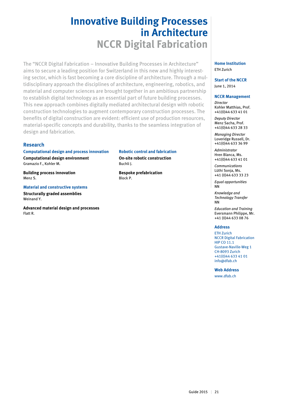# **Innovative Building Processes in Architecture NCCR Digital Fabrication**

The "NCCR Digital Fabrication – Innovative Building Processes in Architecture" aims to secure a leading position for Switzerland in this new and highly interesting sector, which is fast becoming a core discipline of architecture. Through a multidisciplinary approach the disciplines of architecture, engineering, robotics, and material and computer sciences are brought together in an ambitious partnership to establish digital technology as an essential part of future building processes. This new approach combines digitally mediated architectural design with robotic construction technologies to augment contemporary construction processes. The benefits of digital construction are evident: efficient use of production resources, material-specific concepts and durability, thanks to the seamless integration of design and fabrication.

### **Research**

**Computational design and process innovation Computational design environment**  Gramazio F., Kohler M.

**Building process innovation**  Menz S.

**Material and constructive systems Structurally graded assemblies**  Weinand Y.

**Advanced material design and processes** Flatt R.

**Robotic control and fabrication On-site robotic construction** Buchli J.

**Bespoke prefabrication** Block P.

#### **Home Institution** ETH Zurich

**Start of the NCCR** June 1, 2014

#### **NCCR Management**

*Director* Kohler Matthias, Prof. +41(0)44 633 41 01

*Deputy Director* Menz Sacha, Prof. +41(0)44 633 28 33

*Managing Director*  Loveridge Russell, Dr. +41(0)44 633 36 99

*Administrator* Hren Blanca, Ms. +41(0)44 633 41 01

*Communications* Lüthi Sonja, Ms. +41 (0)44 633 33 23

*Equal opportunities* NN

*Knowledge and Technology Transfer* NN

*Education and Training* Eversmann Philippe, Mr. +41 (0)44 633 08 76

#### **Address**

ETH Zurich NCCR Digital Fabrication HIP CO 11.1 Gustave-Naville-Weg 1 CH-8093 Zurich +41(0)44 633 41 01 info@dfab.ch

**Web Address**

www.dfab.ch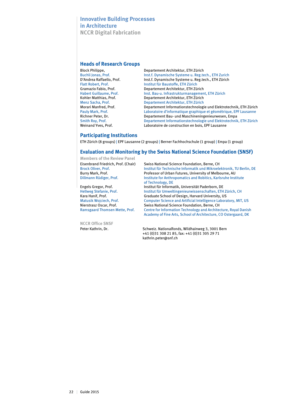# **Innovative Building Processes in Architecture NCCR Digital Fabrication**

#### **Heads of Research Groups**

| <b>Block Philippe,</b>         | Departement Architektur, ETH Zürich                                |
|--------------------------------|--------------------------------------------------------------------|
| Buchli Jonas, Prof.            | Inst.f. Dynamische Systeme u. Reg.tech., ETH Zurich                |
| D'Andrea Raffaello, Prof.      | Inst.f. Dynamische Systeme u. Reg.tech., ETH Zürich                |
| <b>Flatt Robert, Prof.</b>     | Institut für Baustoffe, ETH Zürich                                 |
| Gramazio Fabio, Prof.          | Departement Architektur, ETH Zürich                                |
| <b>Habert Guillaume, Prof.</b> | Inst. Bau-u. Infrastrukturmanagement, ETH Zürich                   |
| Kohler Matthias, Prof.         | Departement Architektur, ETH Zürich                                |
| Menz Sacha, Prof.              | Departement Architektur, ETH Zürich                                |
| Morari Manfred, Prof.          | Departement Informationstechnologie und Elektrotechnik, ETH Zürich |
| Pauly Mark, Prof.              | Laboratoire d'informatique graphique et géométrique, EPF Lausanne  |
| Richner Peter, Dr.             | Departement Bau- und Maschineningenieurwesen, Empa                 |
| Smith Roy, Prof.               | Departement Informationstechnologie und Elektrotechnik, ETH Zürich |
| Weinand Yves, Prof.            | Laboratoire de construction en bois, EPF Lausanne                  |

#### **Participating Institutions**

ETH Zürich (8 groups) | EPF Lausanne (2 groups) | Berner Fachhochschule (1 group) | Empa (1 group)

#### **Evaluation and Monitoring by the Swiss National Science Foundation (SNSF)**

| Swiss National Science Foundation, Berne, CH                                                                                        |
|-------------------------------------------------------------------------------------------------------------------------------------|
| Institut für Technische Informatik und Mikroelektronik, TU Berlin, DE                                                               |
| Professor of Urban Futures, University of Melbourne, AU                                                                             |
| Institute for Anthropomatics and Robitics, Karlsruhe Institute<br>of Technology, DE                                                 |
| Institut für Informatik, Universität Paderborn, DE                                                                                  |
| Institut für Umweltingenieurwissenschaften, ETH Zürich, CH                                                                          |
| Graduate School of Design, Harvard University, US                                                                                   |
| <b>Computer Science and Artificial Intelligence Laboratory, MIT, US</b>                                                             |
| Swiss National Science Foundation, Berne, CH                                                                                        |
| Centre for Information Technology and Architecture, Royal Danish<br>Academy of Fine Arts, School of Architecture, CO Ostergaard, DK |
|                                                                                                                                     |

**NCCR Office SNSF** 

Peter Kathrin, Dr. Schweiz. Nationalfonds, Wildhainweg 3, 3001 Bern +41 (0)31 308 21 85, fax: +41 (0)31 305 29 71 kathrin.peter@snf.ch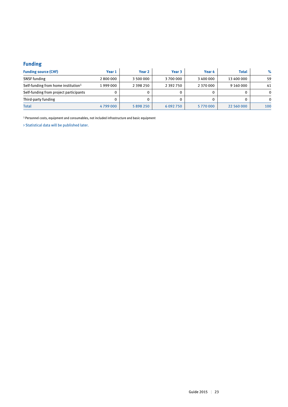# **Funding**

| <b>Funding source (CHF)</b>                     | Year 1  | Year 2        | Year 3        | Year 4    | <b>Total</b> | $\%$     |
|-------------------------------------------------|---------|---------------|---------------|-----------|--------------|----------|
| <b>SNSF</b> funding                             | 2800000 | 3 500 000     | 3700000       | 3 400 000 | 13 400 000   | 59       |
| Self-funding from home institution <sup>1</sup> | 1999000 | 2 3 9 8 2 5 0 | 2 3 9 2 7 5 0 | 2 370 000 | 9 160 000    | 41       |
| Self-funding from project participants          | 0       |               |               |           |              | $\Omega$ |
| Third-party funding                             |         |               |               |           |              | 0        |
| <b>Total</b>                                    | 4799000 | 5898250       | 6 0 9 2 7 5 0 | 5770000   | 22 560 000   | 100      |

1 Personnel costs, equipment and consumables, not included infrastructure and basic equipment

> Statistical data will be published later.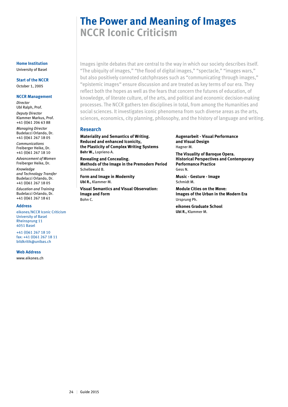# **The Power and Meaning of Images NCCR Iconic Criticism**

Images ignite debates that are central to the way in which our society describes itself. "The ubiquity of images," "the flood of digital images," "spectacle," "images wars," but also positively connoted catchphrases such as "communicating through images," "epistemic images" ensure discussion and are treated as key terms of our era. They reflect both the hopes as well as the fears that concern the futures of education, of knowledge, of literate culture, of the arts, and political and economic decision-making processes. The NCCR gathers ten disciplines in total, from among the Humanities and social sciences. It investigates iconic phenomena from such diverse areas as the arts, sciences, economics, city planning, philosophy, and the history of language and writing.

#### **Research**

**Materiality and Semantics of Writing. Reduced and enhanced Iconicity, the Plasticity of Complex Writing Systems Behr W.,** Loprieno A.

**Revealing and Concealing. Methods of the Image in the Premodern Period** Schellewald B.

**Form and Image in Modernity Ubl R.,** Klammer M.

**Visual Semantics and Visual Observation: Image and Form** Bohn C.

**Augenarbeit - Visual Performance and Visual Design** Hagner M.

**The Visuality of Baroque Opera. Historical Perspectives and Contemporary Performance Practice** Gess N.

**Music - Gesture - Image** Schmidt M.

**Module Cities on the Move: Images of the Urban in the Modern Era** Ursprung Ph.

**eikones Graduate School Ubl R.,** Klammer M.

#### **Home Institution** University of Basel

**Start of the NCCR** October 1, 2005

**NCCR Management** *Director* Ubl Ralph, Prof. *Deputy Director* Klammer Markus, Prof. +41 (0)61 206 63 88 *Managing Director* Budelacci Orlando, Dr. +41 (0)61 267 18 05

*Communications* Freiberger Heike, Dr. +41 (0)61 267 18 10

*Advancement of Women* Freiberger Heike, Dr.

*Knowledge and Technology Transfer* Budelacci Orlando, Dr. +41 (0)61 267 18 05 *Education and Training* Budelacci Orlando, Dr. +41 (0)61 267 18 61

#### **Address**

eikones/NCCR Iconic Criticism University of Basel Rheinsprung 11 4051 Basel

+41 (0)61 267 18 10 fax: +41 (0)61 267 18 11 bildkritik@unibas.ch

#### **Web Address**

www.eikones.ch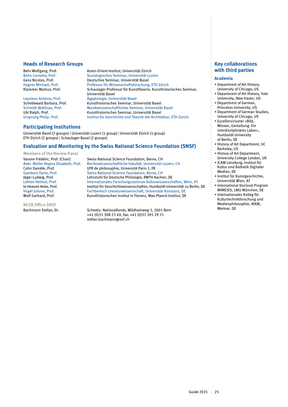#### **Heads of Research Groups**

Behr Wolfgang, Prof. Asien-Orient-Institut, Universität Zürich Bohn Cornelia, Prof. Soziologisches Seminar, Universität Luzern<br>Gess Nicolas, Prof. Seminar, Universität Basel Gess Nicolas, Prof. Deutsches Seminar, Universität Basel<br>
Hagner Michael, Prof. Professur für Wissenschaftsforschung Professur für Wissenschaftsforschung, ETH Zürich Klammer Markus, Prof. Schaulager-Professor für Kunsttheorie, Kunsthistorisches Seminar, Universität Basel Loprieno Antonio, Prof. Ägyptologie, Universität Basel Schellewald Barbara, Prof. Kunsthistorisches Seminar, Universität Basel Musikwissenschaftliches Seminar, Universität Basel Ubl Ralph, Prof. Kunsthistorisches Seminar, Universität Basel Ursprung Philip, Prof. Institut für Geschichte und Theorie der Architektur, ETH Zürich

### **Participating Institutions**

Universität Basel (7 groups) | Universität Luzern (1 group) | Universität Zürich (1 group) ETH Zürich (2 groups) | Schaulager Basel (2 groups)

#### **Evaluation and Monitoring by the Swiss National Science Foundation (SNSF)**

**Members of the Review Panel**

**NCCR Office SNSF**

Varone Frédéric, Prof. (Chair) Swiss National Science Foundation, Berne, CH Aebi- Müller Regina Elisabeth, Prof. Rechtswissenschaftliche Fakultät, Universität Luzern, CH Cohn Danièle, Prof. UFR de philosophie, Université Paris 1, FR Swiss National Science Foundation, Berne, CH Jäger Ludwig, Prof. <br>Lehrstuhl für Deutsche Philologie, RWTH Aachen, DE<br>Internationales Forschungszentrum Kulturwissensch Lethen Helmut, Prof. The Internationales Forschungszentrum Kulturwissenschaften, Wien, AT<br>Institut für Geschichtswissenschaften, Humboldt-Universität zu Berlin Institut für Geschichtswissenschaften, Humboldt-Universität zu Berlin, DE Vogel Juliane, Prof. Fachbereich Literaturwissenschaft, Universität Konstanz, DE Kunsthistorisches Institut in Florenz, Max-Planck-Institut, DE

Bachmann Stefan, Dr. Schweiz. Nationalfonds, Wildhainweg 3, 3001 Bern +41 (0)31 308 23 49, fax: +41 (0)31 305 29 71 stefan.bachmann@snf.ch

### **Key collaborations with third parties**

#### **Academia**

- Department of Art History, University of Chicago; US
- Department of Art History, Yale University, New Haven, US
- Department of German, Princeton University, US
- Department of German Studies, University of Chicago, US
- Exzellenzcluster «Bild, Wissen, Gestaltung. Ein interdisziplinäres Labor», Humboldt-University of Berlin, DE
- History of Art Department, UC Berkeley, US
- History of Art Department, University College London, UK
- ICAM Lüneburg, Institut für Kultur und Ästhetik Digitaler Medien, DE
- Institut für Kunstgeschichte, Universität Wien, AT
- International Doctoral Program MIMESIS, LMU München, DE
- Internationales Kolleg für Kulturtechnikforschung und Medienphilosophie, IKKM, Weimar, DE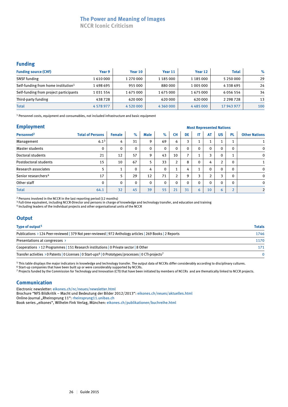# **The Power and Meaning of Images**

**NCCR Iconic Criticism**

## **Funding**

| <b>Funding source (CHF)</b>                     | Year 9    | Year 10       | Year 11   | Year 12   | <b>Total</b>  | $\%$ |
|-------------------------------------------------|-----------|---------------|-----------|-----------|---------------|------|
| <b>SNSF</b> funding                             | 1610000   | 1 270 000     | 1 185 000 | 1 185 000 | 5 250 000     | 29   |
| Self-funding from home institution <sup>1</sup> | 1 498 695 | 955000        | 880 000   | 1 005 000 | 4338695       | 24   |
| Self-funding from project participants          | 1031554   | 1675000       | 1675000   | 1675000   | 6056554       | 34   |
| Third-party funding                             | 438728    | 620 000       | 620 000   | 620 000   | 2 2 9 8 7 2 8 | 13   |
| <b>Total</b>                                    | 4 578 977 | 4 5 2 0 0 0 0 |           | 4485000   | 17 943 977    | 100  |

1 Personnel costs, equipment and consumables, not included infrastructure and basic equipment

#### **Employment**

| <b>Employment</b>               |                         |               |          |      |              |                      |                          | <b>Most Represented Nations</b> |                |              |                |                      |  |  |  |  |
|---------------------------------|-------------------------|---------------|----------|------|--------------|----------------------|--------------------------|---------------------------------|----------------|--------------|----------------|----------------------|--|--|--|--|
| Personnel <sup>2</sup>          | <b>Total of Persons</b> | <b>Female</b> | $\%$     | Male | $\%$         | <b>CH</b>            | DE                       | IT.                             | AT             | <b>US</b>    | <b>PL</b>      | <b>Other Nations</b> |  |  |  |  |
| Management                      | $6.1^{3}$               | 4             | 31       | 9    | 69           | 6                    | 3                        |                                 | T              |              |                |                      |  |  |  |  |
| Master students                 | 0                       | $\mathbf{0}$  | 0        | 0    | $\mathbf{0}$ | $\Omega$             | $\mathbf{0}$             | $\mathbf{0}$                    | $\mathbf 0$    | $\Omega$     | 0              | $\mathbf 0$          |  |  |  |  |
| Doctoral students               | 21                      | 12            | 57       | 9    | 43           | 10                   | $\overline{\phantom{a}}$ |                                 | 3              | $\mathbf{0}$ |                | $\mathbf 0$          |  |  |  |  |
| Postdoctoral students           | 15                      | 10            | 67       | 5    | 33           | 2                    | 8                        | $\Omega$                        | 4              | 2            | $\Omega$       |                      |  |  |  |  |
| Research associates             | 5                       |               | $\Omega$ | 4    | $\mathbf{0}$ | $\blacktriangleleft$ | 4                        |                                 | $\mathbf{0}$   | $\Omega$     | $\Omega$       | $\mathbf 0$          |  |  |  |  |
| Senior researchers <sup>4</sup> | 17                      | 5             | 29       | 12   | 71           | $\overline{2}$       | 9                        | 3                               | $\overline{2}$ | 3            | $\Omega$       | $\mathbf 0$          |  |  |  |  |
| Other staff                     | 0                       | $\mathbf{0}$  | 0        | 0    | $\mathbf{0}$ | $\Omega$             | $\mathbf{0}$             | $\Omega$                        | $\mathbf{0}$   | $\mathbf{0}$ | $\mathbf{0}$   | $\mathbf 0$          |  |  |  |  |
| <b>Total</b>                    | 64.1                    | 32            | 45       | 39   | 55           | 21                   | 31                       | 6                               | 10             | 6            | $\overline{ }$ | $\overline{2}$       |  |  |  |  |

<sup>2</sup> Persons involved in the NCCR in the last reporting period (12 months)

<sup>3</sup> Full-time equivalent, including NCCR-Director and persons in charge of knowledge and technology transfer, and education and training

4 Including leaders of the individual projects and other organisational units of the NCCR

### **Output**

| Type of output <sup>5</sup>                                                                                                                | <b>Totals</b> |  |  |
|--------------------------------------------------------------------------------------------------------------------------------------------|---------------|--|--|
| Publications > 124 Peer-reviewed   379 Not peer-reviewed   972 Anthology articles   269 Books   2 Reports                                  | 1746          |  |  |
| Presentations at congresses >                                                                                                              | 1170          |  |  |
| Cooperations > 12 Programmes   151 Research institutions   0 Private sector   8 Other                                                      | 171           |  |  |
| Transfer activities $\rightarrow$ 0 Patents   0 Licenses   0 Start-ups <sup>6</sup>   0 Prototypes/processes   0 CTI-projects <sup>7</sup> |               |  |  |

5 This table displays the major indicators in knowledge and technology transfer. The output data of NCCRs differ considerably according to disciplinary cultures. 6 Start-up companies that have been built up or were considerably supported by NCCRs.

7 Projects funded by the Commission for Technology and Innovation (CTI) that have been initiated by members of NCCRs and are thematically linked to NCCR projects.

### **Communication**

Electronic newsletter: eikones.ch/nc/neues/newsletter.html

Brochure "NFS Bildkritik – Macht und Bedeutung der Bilder 2012/2013": eikones.ch/neues/aktuelles.html

Online-Journal "Rheinsprung 11": rheinsprung11.unibas.ch

Book series "eikones", Wilhelm Fink Verlag, München: eikones.ch/publikationen/buchreihe.html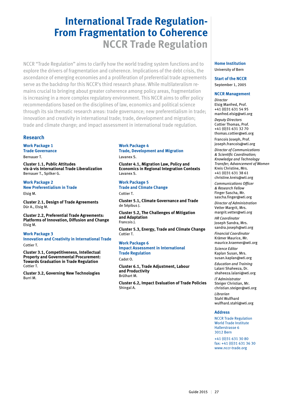# **International Trade Regulation-From Fragmentation to Coherence NCCR Trade Regulation**

NCCR "Trade Regulation" aims to clarify how the world trading system functions and to explore the drivers of fragmentation and coherence. Implications of the debt crisis, the ascendance of emerging economies and a proliferation of preferential trade agreements serve as the backdrop for this NCCR's third research phase. While multilateralism remains crucial to bringing about greater coherence among policy areas, fragmentation is increasing in a more complex regulatory environment. This NCCR aims to offer policy recommendations based on the disciplines of law, economics and political science through its six thematic research areas: trade governance; new preferentialism in trade; innovation and creativity in international trade; trade, development and migration; trade and climate change; and impact assessment in international trade regulation.

#### **Research**

**Work Package 1 Trade Governance** Bernauer T.

**Cluster 1.1, Public Attitudes** 

**vis-à-vis International Trade Liberalization** Bernauer T., Spilker G.

**Work Package 2 New Preferentialism in Trade** Elsig M.

**Cluster 2.1, Design of Trade Agreements** Dür A., Elsig M.

**Cluster 2.2, Preferential Trade Agreements: Platforms of Innovation, Diffusion and Change** Elsig M.

**Work Package 3 Innovation and Creativity in International Trade** Cottier T.

**Cluster 3.1, Competitiveness, Intellectual Property and Governmental Procurement: Towards Graduation in Trade Regulation** Cottier T.

**Cluster 3.2, Governing New Technologies** Burri M.

# **Work Package 4 Trade, Development and Migration**

Lavanex S.

**Cluster 4.1, Migration Law, Policy and Economics in Regional Integration Contexts** Lavanex S.

**Work Package 5 Trade and Climate Change** Cottier T.

**Cluster 5.1, Climate Governance and Trade** de Sépibus J.

**Cluster 5.2, The Challenges of Mitigation and Adaptation** Francois J.

**Cluster 5.3, Energy, Trade and Climate Change** Cottier T.

**Work Package 6 Impact Assessment in International Trade Regulation** Cadot O.

**Cluster 6.1, Trade Adjustment, Labour and Productivity** Brülhart M.

**Cluster 6.2, Impact Evaluation of Trade Policies** Shingal A.

#### **Home Institution** University of Bern

**Start of the NCCR** September 1, 2005

#### **NCCR Management**

*Director* Elsig Manfred, Prof. +41 (0)31 631 54 95 manfred.elsig@wti.org *Deputy Directors* Cottier Thomas, Prof. +41 (0)31 631 32 70 thomas.cottier@wti.org Francois Joseph, Prof.

joseph.francois@wti.org *Director of Communications & Scientific Coordination;*

*Knowledge and Technology Transfer; Advancement of Women* Kreis Christine, Mrs. +41 (0)31 631 38 61 christine.kreis@wti.org *Communications Officer* 

*& Research Fellow* Finger Sascha, Mr.

sascha.finger@wti.org *Director of Administration*  Vetter Margrit, Mrs.

margrit.vetter@wti.org

*HR Coordinator* Joseph Sandra, Mrs. sandra.joseph@wti.org

*Financial Coordinator* Krämer Maurice, Mr. maurice.kraemer@wti.org

*Science Editor* Kaplan Susan, Mrs. susan.kaplan@wti.org

*Education and Training* Lalani Shaheeza, Dr. shaheeza.lalani@wti.org *IT Administrator* Steiger Christian, Mr. christian.steiger@wti.org *Librarian* Stahl Wulfhard

wulfhard.stahl@wti.org

#### **Address**

NCCR Trade Regulation World Trade Institute Hallerstrasse 6 3012 Bern

+41 (0)31 631 30 80 fax: +41 (0)31 631 36 30 www.nccr-trade.org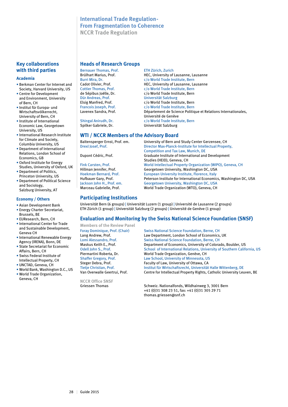# **International Trade Regulation-From Fragmentation to Coherence NCCR Trade Regulation**

# **Key collaborations with third parties**

#### **Academia**

- Berkman Center for Internet and Society, Harvard University, US
- Centre for Development and Environment, University of Bern, CH
- Institut für Europa- und Wirtschaftsvölkerrecht, University of Bern, CH
- Institute of International Economic Law, Georgetown University, US
- International Research Institute for Climate and Society, Columbia University, US
- Department of International Relations, London School of Economics, GB
- Oxford Institute for Energy Studies, University of Oxford, UK
- Department of Politics, Princeton University, US
- Department of Political Science and Sociology, Salzburg University, AT

#### **Economy / Others**

- Asian Development Bank • Energy Charter Secretariat,
- Brussels, BE • EUResearch, Bern, CH
- International Center for Trade and Sustainable Development, Geneva CH
- International Renewable Energy Agency (IRENA), Bonn, DE • State Secretariat for Economic
- Affairs, Bern, CH • Swiss Federal Institute of
- Intellectual Property, CH • UNCTAD, Geneva, CH
- World Bank, Washington D.C., US
- World Trade Organization, Geneva, CH

### **Heads of Research Groups**

Bernauer Thomas, Prof. ETH Zürich, Zurich Brülhart Marius, Prof.<br>
Brülhart Mira Dr. (O World Trade Institute, Bern Burri Mira, Dr. (b) compared to the Comparent Calculation Cadot Olivier. Prof.<br>Cadot Olivier. Prof. (b) HEC. University of Lausanne. La Cadot Olivier, Prof.<br>
Colling Thomas Prof Colling Colling Colling Professional Colling Professional Colling Professional Colling Prof de Sépibus Joëlle, Dr.<br>
Dür Andreas, Prof.<br>
Universität Salzburg Dür Andreas, Prof. Universität Salzburg Elsig Manfred, Prof.<br>
Francois Joseph, Prof.<br>
c/o World Trade Institute, Bern<br>
c/o World Trade Institute, Bern Francois Joseph, Prof.<br>
Lavenex Sandra, Prof.<br>
Département de Science Politic

Université de Genève<br>C/o World Trade Institutional Animal Animal Animal Animal Animal Animal Animal Animal Animal Animal Animal Ani Shingal Anirudh, Dr.<br>
Spilker Gabriele, Dr.<br>
Universität Salzburg

### **WTI / NCCR Members of the Advisory Board**

Baltensperger Ernst, Prof. em.<br>
Director Max-Planck-Institute for Intellectual Prope<br>
Director Max-Planck-Institute for Intellectual Prope Director Max-Planck-Institute for Intellectual Property, Competition and Tax Law, Munich, DE Dupont Cédric, Prof. Graduate Institute of International and Development Studies (HEID), Geneva, CH<br>Fink Carsten, Prof. The Studies (HEID), Geneva, CH<br>World Intellectual Property World Intellectual Property Organization (WIPO), Geneva, CH Hillman Jennifer, Prof. Georgetown University, Washington DC, USA European University Institute, Florence, Italy Hufbauer Gary, Prof. Peterson Institute for International Economics, Washington DC, USA<br>Jackson John H., Prof. em. Georgetown University, Washington DC, USA Jackson John H., Prof. em.<br>
Marceau Gabrielle, Prof. World Trade Organization (WTO), Geneva, CH World Trade Organization (WTO), Geneva, CH

Département de Science Politique et Relations Internationales,

## **Participating Institutions**

Universität Bern (6 groups) | Universität Luzern (1 group) | Université de Lausanne (2 groups) ETH Zürich (1 group) | Universität Salzburg (2 groups) | Université de Genève (1 group)

# **Evaluation and Monitoring by the Swiss National Science Foundation (SNSF)**

c/o World Trade Institute, Bern.

Universität Salzburg

**Members of the Review Panel**

**NCCR Office SNSF**

Foray Dominique, Prof. (Chair) Swiss National Science Foundation, Berne, CH<br>
Lang Andrew. Prof. 
Law Department. London School of Economics Lang Andrew, Prof. **Law Department, London School of Economics, UK**<br>Lomi Alessandro, Prof. **Canadia School School Science Foundation**, Berne, CH Lomi Alessandro, Prof. Swiss National Science Foundation, Berne, CH<br>
Maskus Keith E., Prof. **Subsett Benation Community** Colora Department of Economics, University of Colorado, Boulder, US Odell John S., Prof. School of International Relations, University of Southern California, US<br>
Piermartini Roberta, Dr. School of Trade Organization, Genève, CH Piermartini Roberta, Dr.<br>
Shaffer Gregory, Prof.<br>
Law School, University of Minnesota, University of Minnesota, U Law School, University of Minnesota, US Steger Debra, Prof. Faculty of Law, University of Ottawa, CA<br>
Fietie Christian, Prof. Faculty of Law, Universitäty of Ottawa, CA Institut für Wirtschaftsrecht, Universität Halle Wittenberg, DE Van Overwalle Geertrui, Prof. Centre for Intellectual Property Rights, Catholic University Leuven, BE

Griessen Thomas Schweiz. Nationalfonds, Wildhainweg 3, 3001 Bern +41 (0)31 308 23 51, fax: +41 (0)31 305 29 71 thomas.griessen@snf.ch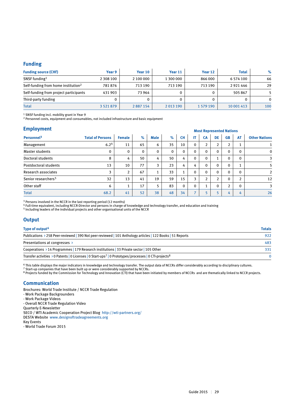#### **Funding**

| <b>Funding source (CHF)</b>                     | Year 9        | Year 10   | Year 11   | Year 12   | <b>Total</b> | $\%$         |
|-------------------------------------------------|---------------|-----------|-----------|-----------|--------------|--------------|
| SNSF funding <sup>1</sup>                       | 2 308 100     | 2 100 000 | 1 300 000 | 866 000   | 6 574 100    | 66           |
| Self-funding from home institution <sup>2</sup> | 781876        | 713 190   | 713 190   | 713 190   | 2921446      | 29           |
| Self-funding from project participants          | 431 903       | 73 964    |           | 0         | 505867       |              |
| Third-party funding                             |               |           |           |           |              | $\mathbf{0}$ |
| <b>Total</b>                                    | 3 5 2 1 8 7 9 | 2887154   | 2013190   | 1 579 190 | 10 001 413   | 100          |

<sup>1</sup> SNSF funding incl. mobility grant in Year 9

2 Personnel costs, equipment and consumables, not included infrastructure and basic equipment

| <b>Employment</b> |  |  |
|-------------------|--|--|
|                   |  |  |

| <b>Employment</b>               |                         |                |      |             |              |              | <b>Most Represented Nations</b> |                |                |                |                |                      |  |  |  |
|---------------------------------|-------------------------|----------------|------|-------------|--------------|--------------|---------------------------------|----------------|----------------|----------------|----------------|----------------------|--|--|--|
| Personnel <sup>3</sup>          | <b>Total of Persons</b> | <b>Female</b>  | $\%$ | <b>Male</b> | $\%$         | <b>CH</b>    | IT                              | <b>CA</b>      | DE             | <b>GB</b>      | <b>AT</b>      | <b>Other Nations</b> |  |  |  |
| Management                      | 6.2 <sup>4</sup>        | 11             | 65   | 6           | 35           | 10           | $\mathbf{0}$                    | $\overline{2}$ | 2              | $\overline{2}$ |                |                      |  |  |  |
| Master students                 | $\mathbf 0$             | 0              | 0    | $\mathbf 0$ | $\mathbf{0}$ | $\mathbf 0$  | $\mathbf{0}$                    | 0              | 0              | $\mathbf{0}$   | $\Omega$       | $\mathbf 0$          |  |  |  |
| Doctoral students               | 8                       | 4              | 50   | 4           | 50           | 4            | $\mathbf{0}$                    | $\mathbf{0}$   |                | $\mathbf{0}$   | $\Omega$       | 3                    |  |  |  |
| Postdoctoral students           | 13                      | 10             | 77   | 3           | 23           | 4            | 4                               | 0              | 0              | $\mathbf{0}$   |                | 5                    |  |  |  |
| Research associates             | 3                       | $\overline{2}$ | 67   | <b>I</b>    | 33           | $\mathbf{1}$ | $\mathbf{0}$                    | 0              | 0              | $\Omega$       | $\Omega$       | 2                    |  |  |  |
| Senior researchers <sup>5</sup> | 32                      | 13             | 41   | 19          | 59           | 15           | 3                               | <sup>1</sup>   | $\overline{2}$ | $\mathbf{0}$   | $\overline{2}$ | 12                   |  |  |  |
| Other staff                     | 6                       |                | 17   | 5           | 83           | $\mathbf 0$  | $\mathbf{0}$                    |                | 0              | $\overline{2}$ | $\Omega$       | 3                    |  |  |  |
| <b>Total</b>                    | 68.2                    | 41             | 52   | 38          | 48           | 34           | $\overline{ }$                  | 5              | 5              | 4              | 4              | 26                   |  |  |  |

<sup>3</sup> Persons involved in the NCCR in the last reporting period (12 months)

4 Full-time equivalent, including NCCR-Director and persons in charge of knowledge and technology transfer, and education and training

5 Including leaders of the individual projects and other organisational units of the NCCR

#### **Output**

| Type of output <sup>6</sup>                                                                                                                | <b>Totals</b> |
|--------------------------------------------------------------------------------------------------------------------------------------------|---------------|
| Publications > 258 Peer-reviewed   390 Not peer-reviewed   101 Anthology articles   122 Books   51 Reports                                 | 922           |
| Presentations at congresses $\rightarrow$                                                                                                  | 483           |
| Cooperations $\rightarrow$ 14 Programmes   179 Research institutions   33 Private sector   105 Other                                       | 331           |
| Transfer activities $\rightarrow$ 0 Patents   0 Licenses   0 Start-ups <sup>7</sup>   0 Prototypes/processes   0 CTI-projects <sup>8</sup> |               |

6 This table displays the major indicators in knowledge and technology transfer. The output data of NCCRs differ considerably according to disciplinary cultures.

 $7$  Start-up companies that have been built up or were considerably supported by NCCRs.

<sup>8</sup> Projects funded by the Commission for Technology and Innovation (CTI) that have been initiated by members of NCCRs and are thematically linked to NCCR projects.

#### **Communication**

Brochures: World Trade Institute / NCCR Trade Regulation - Work Package Backgrounders - Work Package Videos - Overall NCCR Trade Regulation Video Quarterly E-Newsletter SECO / WTI Academic Cooperation Project Blog http://wti-partners.org/ DESTA Website www.designoftradeagreements.org Key Events - World Trade Forum 2015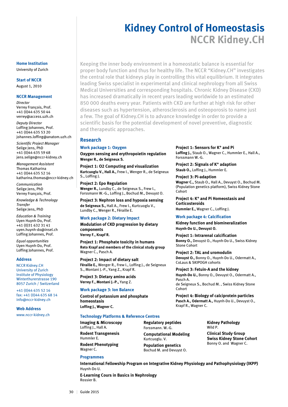# **Kidney Control of Homeostasis NCCR Kidney.CH**

Keeping the inner body environment in a homeostatic balance is essential for proper body function and thus for healthy life. The NCCR "Kidney.CH" investigates the central role that kidneys play in controlling this vital equilibrium. It integrates leading Swiss specialist in experimental and clinical nephrology from all Swiss Medical Universities and corresponding hospitals. Chronic Kidney Disease (CKD) has increased dramatically in recent years leading worldwide to an estimated 850 000 deaths every year. Patients with CKD are further at high risk for other diseases such as hypertension, atherosclerosis and osteoporosis to name just a few. The goal of Kidney.CH is to advance knowledge in order to provide a scientific basis for the potential development of novel preventive, diagnostic and therapeutic approaches.

#### **Research**

#### **Work package 1: Oxygen**

**Oxygen sensing and erythropoietin regulation Wenger R., de Seigneux S.**

**Project 1: O2 Computing and visualization Kurtcuoglu V., Hall A.,** Frew I., Wenger R., de Seigneux S., Loffing J.

**Project 2: Epo Regulation Wenger R.,** Lundby C., de Seigneux S., Frew I., Forssmann W.-G., Loffing J., Bochud M., Devuyst O.

**Project 3: Nephron loss and hypoxia sensing de Seigneux S.,** Hall A., Frew I., Kurtcuoglu V., Lundby C., Wenger R., Féraille E.

#### **Work package 2: Dietary Impact**

**Modulation of CKD progression by dietary components Verrey F., Krapf R.**

**Project 1: Phosphate toxicity in humans Reto Krapf and members of the clinical study group** Wagner C., Pasch A.

#### **Project 2: Impact of dietary salt**

**Féraille E.,** Wenger R., Frew I., Loffing J., de Seigneux S., Montani J.-P., Yang Z., Krapf R.

**Project 3: Dietary amino acids Verrey F., Montani J.-P.,** Yang Z.

#### **Work package 3: Ion Balance**

**Control of potassium and phosphate homeostasis**

**Loffing J., Wagner C.**

#### **Technology Platforms & Reference Centres**

**Imaging & Microscopy** Loffing J., Hall A. **Rodent Transgenesis**

Hummler E. **Rodent Phenotyping** Wagner C.

**Programmes**

Huynh-Do U.

**Regulatory peptides** Forssmann. W.-G. **Computational Modeling** Kurtcuoglu. V. **Population genetics**

Bochud M. and Devuyst O.

**International Fellowship Program on Integrative Kidney Physiology and Pathophysiology (IKPP)**

**Kidney Pathology** Wild P.

**Clinical Study Group Swiss Kidney Stone Cohort** Bonny O. and Wagner C.

**Project 1: Sensors for K+ and Pi**

**Loffing J.,** Staub O., Wagner C., Hummler E., Hall A., Forssmann W.-G.

**Project 2: Signals of K+ adaption Staub O.,** Loffing J., Hummler E.

**Project 3: Pi-adaption**

**Wagner C.,** Staub O., Hall A., Devuyst O., Bochud M. (Population genetics platform), Swiss Kidney Stone Cohort

**Project 4: K+ and Pi Homeostasis and Corticosteroids Hummler E.,** Wagner C., Loffing J.

#### **Work package 4: Calcification**

**Kidney function and biomineralization Huynh-Do U., Devuyst O.**

**Project 1: Intrarenal calcification Bonny O.,** Devuyst O., Huynh-Do U., Swiss Kidney Stone Cohort

**Project 2: TAL and uromodulin Devuyst O.,** Bonny O., Huynh-Do U., Odermatt A., CoLaus & SKIPOGH cohorts

**Project 3: Fetuin-A and the kidney Huynh-Do U.,** Bonny O., Devuyst O., Odermatt A., Pasch A. de Seigneux S., Bochud M. , Swiss Kidney Stone Cohort

**Project 4: Biology of calciprotein particles Pasch A., Odermatt A.,** Huynh-Do U., Devuyst O.,

Krapf R., Wagner C.

**E-Learning Cours in Basics in Nephrology** Rossier B.

30 | Guide 2015

**Home Institution**

University of Zurich

#### **Start of NCCR**

August 1, 2010

#### **NCCR Management**

*Director* Verrey François, Prof. +41 (0)44 635 50 44 verrey@access.uzh.ch

*Deputy Director* Loffing Johannes, Prof. +41 (0)44 635 53 20 johannes.loffing@anatom.uzh.ch

*Scientific Project Manager*  Selige Jens, PhD +41 (0)44 635 59 68 jens.selige@nccr-kidney.ch

*Management Assistant*  Thomas Katharina +41 (0)44 635 52 16 katharina.thomas@nccr-kidney.ch

*Communication* Selige Jens, PhD Verrey François, Prof.

*Knowledge & Technology Transfer* Selige Jens, PhD

*Education & Training* Uyen Huynh-Do, Prof. +41 (0)31 632 31 41 uyen.huynh-do@insel.ch Loffing Johannes, Prof.

*Equal opportunities* Uyen Huynh-Do, Prof. Loffing Johannes, Prof.

#### **Address**

NCCR Kidney.CH University of Zurich Institute of Physiology Winterthurerstrasse 190 8057 Zurich / Switzerland

+41 (0)44 635 52 16 fax: +41 (0)44 635 68 14 info@nccr-kidney.ch

#### **Web Address**

www.nccr-kidney.ch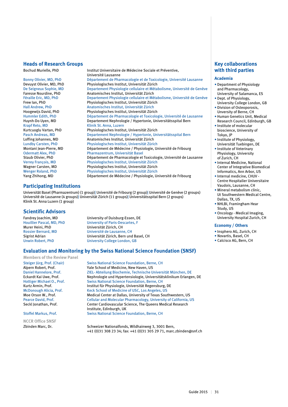#### **Heads of Research Groups**

Krapf Reto, MD<br>
Klinik St. Anna, Luzern<br>
Kurtcuoglu Vartan, PhD<br>
Physiologisches Institu

Bochud Murielle, PhD Institut Universitaire de Médecine Sociale et Préventive, Université Lausanne Bonny Olivier, MD, PhD Département de Pharmacologie et de Toxicologie, Université Lausanne<br>Devuyst Olivier, MD, PhD Physiologisches Institut, Universität Zürich Devuyst Olivier, MD, PhD Physiologisches Institut, Universität Zürich De Seigneux Sophie, MD Departement Physiologie cellulaire et Métabolisme, Université de Genève<br>Faresse Nourdine, PhD Anatomisches Institut, Universität Zürich Faresse Nourdine, PhD Anatomisches Institut, Universität Zürich Féraille Eric, MD, PhD Departement Physiologie cellulaire et Métabolisme, Université de Genève<br>Frew Ian, PhD Physiologisches Institut, Universität Zürich Physiologisches Institut, Universität Zürich Hall Andrew, PhD Anatomisches Institut, Universität Zürich Physiologisches Institut, Universität Zürich Hummler Edith, PhD **Département de Pharmacologie et Toxicologie**, Université de Lausanne<br>Huvnh-Do Uven. MD **Departement Nephrologie / Hypertonie. Universitätsspital Bern** Huynh-Do Uyen, MD Departement Nephrologie / Hypertonie, Universitätsspital Bern Kurtcuoglu Vartan, PhD Physiologisches Institut, Universität Zürich Pasch Andreas, MD Departement Nephrologie / Hypertonie, Universitätsspital Bern Loffing Johannes, MD Anatomisches Institut, Universität Zürich Lundby Carsten, PhD Physiologisches Institut, Universität Zürich Département de Médecine / Physiologie, Université de Fribourg Odermatt Alex, PhD Pharmazentrum, Universität Basel<br>
Staub Olivier. PhD Département de Pharmacologie et Staub Olivier, PhD Département de Pharmacologie et Toxicologie, Université de Lausanne<br>Verrey François, MD Physiologisches Institut, Universität Zürich Verrey François, MD Physiologisches Institut, Universität Zürich Wagner Carsten, MD Physiologisches Institut, Universität Zürich Physiologisches Institut, Universität Zürich Yang Zhihong, MD Département de Médecine / Physiologie, Université de Fribourg

### **Participating Institutions**

Universität Basel (Pharmazentrum) (1 group)| Université de Fribourg (2 group)| Université de Genève (2 groups) Université de Lausanne (4 groups)| Universität Zürich (11 groups)| Universitätsspital Bern (2 groups) Klinik St. Anna Luzern (1 group)

#### **Scientific Advisors**

Fandrey Joachim, MD<br>
Houillier Pascal, MD, PhD<br>
University of Paris-Descartes, F Houillier Pascal, MD, PhD University of Paris-Descartes, F Universität Zürich, CH Rossier Bernard, MD Université de Lausanne, CH Sigrist Adrian Universität Zürich, Bern und Basel, CH University College London, GB

### **Evaluation and Monitoring by the Swiss National Science Foundation (SNSF)**

**Members of the Review Panel**

**NCCR Office SNSF**

Steiger Jürg, Prof. (Chair) Swiss National Science Foundation, Berne, CH<br>
Alpern Robert, Prof. School of Medicine, New Haven, US Alpern Robert, Prof.<br>
Paniel Hannelore, Prof.<br>
71EL Abteilung Biochemie, Technische II. ZIEL- Abteilung Biochemie, Technische Universität München, DE Eckardt Kai Uwe, Prof. Nephrologie und Hypertensiologie, Universitätsklinikum Erlangen, DE<br>Hottiger Michael O., Prof. Swiss National Science Foundation, Berne, CH Swiss National Science Foundation, Berne, CH Kurtz Armin, Prof. **Institut für Physiologie, Universität Regensburg, DE**<br>McDonough Alicia, Prof. **Institut Regension Regension** Keck School of Medicine of USC. Los Angeles, US McDonough Alicia, Prof.<br>
Medical Center at Dallas Ilniversity of Texas South Ande Orson W. Prof. Medical Center at Dallas Ilniversity of Texas South Moe Orson W., Prof.<br>
Pearce David. Prof. Cellular and Molecular Pharmacology. University of California. L Pearce David, Prof. Cellular and Molecular Pharmacology, University of California, US<br>
Seckl Jonathan. Prof. Center Cardiovascular Science. The Queens Medical Research Seckl Jonathan, Prof. Center Cardiovascular Science, The Queens Medical Research Institute, Edinburgh, UK Stoffel Markus, Prof. Swiss National Science Foundation, Berne, CH

Zbinden Marc, Dr. Schweizer Nationalfonds, Wildhainweg 3, 3001 Bern, +41 (0)31 308 23 34; fax: +41 (0)31 305 29 71, marc.zbinden@snf.ch

# **Key collaborations with third parties**

#### **Academia**

- Department of Physiology and Pharmacology, University of Salamanca, ES
- Dept. of Physiology, University College London, GB
- Division of Osteoporosis, Unversity of Berne, CH
- Human Genetics Unit, Medical
- Research Council, Edinburgh, GB • Institute of molecular
- bioscience, University of Tokyo, JP
- Institute of Physiology, Universität Tuebingen, DE
- Institute of Veterinary Physiology, University of Zurich, CH
- Internal Medicine, National Center of Integrative Biomedical Informatics, Ann Arbor, US
- Internal medicine, CHUV Centre Hospitalier Universitaire Vaudois, Lausanne, CH
- Mineral metabolism clinic, Ut Southwestern Medical Centre, Dallas, TX, US
- NHLBI, Framingham Hear Study, US
- Oncology Medical Imaging, University Hospital Zurich, CH

#### **Economy / Others**

- Insphero AG, Zurich, CH
- Novartis, Basel, CH
- Calcisco AG, Bern, CH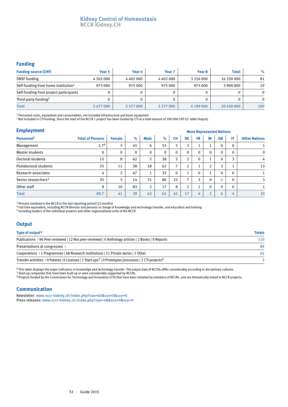# **Kidney Control of Homeostasis NCCR Kidney.CH**

#### **Funding**

| <b>Funding source (CHF)</b>                     | Year 5    | Year 6    | Year <sub>7</sub> | Year 8        | <b>Total</b> | $\%$         |
|-------------------------------------------------|-----------|-----------|-------------------|---------------|--------------|--------------|
| <b>SNSF</b> funding                             | 4 502 000 | 4402000   | 4 402 000         | 3 2 2 4 0 0 0 | 16 530 000   | 81           |
| Self-funding from home institution <sup>1</sup> | 975 000   | 975 000   | 975 000           | 975 000       | 3 900 000    | 19           |
| Self-funding from project participants          |           |           |                   |               |              | $\mathbf{0}$ |
| Third-party funding <sup>2</sup>                |           |           |                   |               |              | $\Omega$     |
| <b>Total</b>                                    | 5477000   | 5 377 000 | 5 377 000         | 4 199 000     | 20 430 000   | 100          |

1 Personnel costs, equipment and consumables, not included infrastructure and basic equipment

2 Not included is CTI funding. Since the start of the NCCR 1 project has been funded by CTI at a total amount of 200 000 CHF (cf. table Output).

| <b>Employment</b>               |                         | <b>Most Represented Nations</b> |              |                |              |                |                |              |                |              |              |                      |
|---------------------------------|-------------------------|---------------------------------|--------------|----------------|--------------|----------------|----------------|--------------|----------------|--------------|--------------|----------------------|
| Personnel <sup>3</sup>          | <b>Total of Persons</b> | <b>Female</b>                   | $\%$         | <b>Male</b>    | $\%$         | <b>CH</b>      | DE             | <b>FR</b>    | IN             | <b>GB</b>    | IT           | <b>Other Nations</b> |
| Management                      | 2.7 <sup>4</sup>        | 5                               | 45           | 6              | 55           | 5              | 3              |              | л.             | $\mathbf 0$  | $\Omega$     |                      |
| <b>Master students</b>          | $\mathbf 0$             | $\Omega$                        | $\mathbf{0}$ | 0              | $\mathbf{0}$ | $\mathbf{0}$   | $\mathbf{0}$   | 0            | $\mathbf{0}$   | $\mathbf{0}$ | $\mathbf{0}$ | $\mathbf 0$          |
| Doctoral students               | 15                      | 8                               | 62           | 5              | 38           | 3              | $\overline{2}$ | $\Omega$     | Τ.             | $\Omega$     | 3            | 4                    |
| Postdoctoral students           | 25                      | 11                              | 38           | 18             | 62           | $\overline{ }$ | $\overline{2}$ |              | $\overline{2}$ | 3            |              | 13                   |
| Research associates             | 4                       | 2                               | 67           | 1<br>л.        | 33           | $\Omega$       | 1              | $\mathbf{0}$ | 1<br>Τ.        | $\mathbf{0}$ | $\Omega$     |                      |
| Senior researchers <sup>5</sup> | 35                      | 5                               | 14           | 31             | 86           | 22             | 7              | 3            | $\mathbf 0$    |              | $\Omega$     | 3                    |
| Other staff                     | 8                       | 10                              | 83           | $\overline{2}$ | 17           | 8              | $\overline{2}$ |              | $\mathbf{0}$   | $\mathbf{0}$ | $\mathbf{0}$ |                      |
| <b>Total</b>                    | 89.7                    | 41                              | 39           | 63             | 61           | 45             | 17             | 6            | 5              | 4            | 4            | 23                   |

<sup>3</sup> Persons involved in the NCCR in the last reporting period (12 months)

4 Full-time equivalent, including NCCR-Director and persons in charge of knowledge and technology transfer, and education and training

5 Including leaders of the individual projects and other organisational units of the NCCR

### **Output**

| Type of output <sup>6</sup>                                                                                                    | <b>Totals</b> |  |  |
|--------------------------------------------------------------------------------------------------------------------------------|---------------|--|--|
| Publications > 96 Peer-reviewed   12 Not peer-reviewed   0 Anthology articles   2 Books   0 Reports                            | 110           |  |  |
| Presentations at congresses >                                                                                                  | 89            |  |  |
| Cooperations > 1 Programmes   48 Research institutions   11 Private sector   1 Other                                           | 61            |  |  |
| Transfer activities > 0 Patents   0 Licenses   1 Start-ups <sup>7</sup>   0 Prototypes/processes   1 CTI-projects <sup>8</sup> |               |  |  |

 $^6$  This table displays the major indicators in knowledge and technology transfer. The output data of NCCRs differ considerably according to disciplinary cultures.

 $7$  Start-up companies that have been built up or were considerably supported by NCCRs.

<sup>8</sup> Projects funded by the Commission for Technology and Innovation (CTI) that have been initiated by members of NCCRs and are thematically linked to NCCR projects.

### **Communication**

Newsletter: www.nccr-kidney.ch/index.php?nav=60&scx=0&scy=0 Press releases: www.nccr-kidney.ch/index.php?nav=48&scx=0&scy=0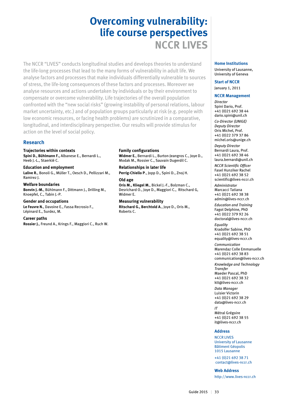# **Overcoming vulnerability: life course perspectives NCCR LIVES**

The NCCR "LIVES" conducts longitudinal studies and develops theories to understand the life-long processes that lead to the many forms of vulnerability in adult life. We analyse factors and processes that make individuals differentially vulnerable to sources of stress, the life-long consequences of these factors and processes. Moreover we analyse resources and actions undertaken by individuals or by their environment to compensate or overcome vulnerability. Life trajectories of the overall population confronted with the "new social risks" (growing instability of personal relations, labour market uncertainty, etc.) and of population groups particularly at risk (e.g. people with low economic resources, or facing health problems) are scrutinized in a comparative, longitudinal, and interdisciplinary perspective. Our results will provide stimulus for action on the level of social policy.

## **Research**

#### **Trajectories within contexts**

**Spini D., Bühlmann F.,** Albanese E., Bernardi L., Heeb J.-L., Staerklé C.

**Education and employment Lalive R.**, Bonoli G., Müller T., Oesch D., Pellizzari M., Ramirez J.

**Welfare boundaries Bonvin J.-M.**, Bühlmann F., Dittmann J., Drilling M., Knoepfel, C., Tabin J.-P.

**Gender and occupations Le Feuvre N.**, Davoine E., Fassa Recrosio F., Lépinard E., Surdez, M.

### **Career paths**

**Rossier J.**, Freund A., Krings F., Maggiori C., Ruch W.

#### **Family configurations**

**Widmer E.**, Bernardi L., Burton-Jeangros C., Joye D., Modak M., Rossier C., Sauvain Dugerdil C.

**Relationships in later life Perrig-Chiello P**., Jopp D., Spini D., Znoj H.

#### **Old age Oris M., Kliegel M.**, Bickel J.-F., Bolzman C., Desrichard O., Joye D., Maggiori C., Ritschard G, Widmer E.

**Measuring vulnerability Ritschard G., Berchtold A**., Joye D., Oris M., Roberts C.

# **Home Institutions**

University of Lausanne, University of Geneva

#### **Start of NCCR**

January 1, 2011

#### **NCCR Management**

*Director* Spini Dario, Prof. +41 (0)21 692 38 44 dario.spini@unil.ch *Co-Director (UNIGE) Deputy Director* Oris Michel, Prof. +41 (0)22 379 37 86 michel.oris@unige.ch *Deputy Director* Bernardi Laura, Prof. +41 (0)21 692 38 46 laura.bernardi@unil.ch

*NCCR Scientific Officer* Fasel Hunziker Rachel +41 (0)21 692 38 52 scientific@lives-nccr.ch

*Administrator* Marcacci Tatiana +41 (0)21 692 38 38 admin@lives-nccr.ch

*Education and Training* Fagot Delphine, PhD +41 (0)22 379 92 26 doctoral@lives-nccr.ch

*Equality* Kradolfer Sabine, PhD +41 (0)21 692 38 51 equality@lives-nccr.ch

*Communication* Marendaz Colle Emmanuelle +41 (0)21 692 38 83 communication@lives-nccr.ch

*Knowledge and Technology Transfer*

Maeder Pascal, PhD +41 (0)21 692 38 32 ktt@lives-nccr.ch

*Data Manager* Luisier Victorin +41 (0)21 692 38 29 data@lives-nccr.ch

*IT* Métral Grégoire +41 (0)21 692 38 55 it@lives-nccr.ch

#### **Address**

**NCCR LIVES** University of Lausanne Bâtiment Géopolis 1015 Lausanne

+41 (0)21 692 38 71 contact@lives-nccr.ch

**Web Address**

http://www.lives-nccr.ch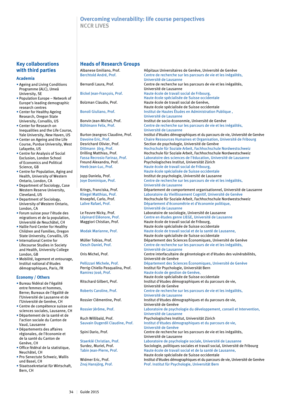# **Overcoming vulnerability: life course perspectives NCCR LIVES**

# **Key collaborations with third parties**

#### **Academia**

- Ageing and Living Conditions Programme (ALC), Umeå University, SE
- Population Europe Network of Europe's leading demographic research centres
- Center for Healthy Ageing Research, Oregon State University, Corvallis, US
- Center for Research on Inequalities and the Life Course, Yale University, New Haven, US
- Center on Ageing and the Life Course, Purdue University, West Lafayette, US
- Centre for Analysis of Social Exclusion, London School of Economics and Political Science, GB
- Centre for Population, Aging and Health, University of Western Ontario, London, CA
- Department of Sociology, Case Western Reserve University, Cleveland, US
- Department of Sociology, University of Western Ontario, London, CA
- Forum suisse pour l'étude des migrations et de la population, Université de Neuchâtel, CH
- Hallie Ford Center for Healthy Children and Families, Oregon State University, Corvallis, US
- International Centre for Lifecourse Studies in Society and Health, University College London, GB
- Mobilité, logement et entourage, Institut national d'études démographiques, Paris, FR

#### **Economy / Others**

- Bureau fédéral de l'égalité entre femmes et hommes, Berne; Bureaux de l'égalité de l'Université de Lausanne et de l'Université de Genève, CH
- Centre de compétence suisse en sciences sociales, Lausanne, CH
- Département de la santé et de l'action sociale du Canton de Vaud, Lausanne
- Départements des affaires régionales, de l'économie et de la santé du Canton de Genève, CH
- Office fédéral de la statistique, Neuchâtel, CH
- Pro Senectute Schweiz, Wallis und Basel, CH
- Staatssekretariat für Wirtschaft, Bern, CH

#### **Heads of Research Groups**

Znoj Hansjörg, Prof. North Prof. Institut für Psychologie, Universität Bern

Albanese Emiliano, Prof. Hôpitaux Universitaires de Genève, Université de Genève Centre de recherche sur les parcours de vie et les inégalités, Université de Lausanne Bernardi Laura, Prof. Centre de recherche sur les parcours de vie et les inégalités, Université de Lausanne Bickel Jean-François, Prof. Haute école de travail social de Fribourg, Haute école spécialisée de Suisse occidentale Bolzman Claudio, Prof. Haute école de travail social de Genève, Haute école spécialisée de Suisse occidentale Bonoli Giuliano, Prof. Institut de Hautes Études en Administration Publique , Université de Lausanne<br>Bonvin Jean-Michel, Prof. (Institut de socio-éconor Institut de socio-écononmie, Université de Genève Bühlmann Felix, Prof. Centre de recherche sur les parcours de vie et les inégalités, Université de Lausanne<br>Burton-leangros Claudine. Prof. [Institut d'études démogr Institut d'études démographiques et du parcours de vie, Université de Genève Davoine Eric, Prof. Chaire Ressources Humaines et Organisation, Université de Fribourg<br>Desrichard Olivier, Prof. Section de psychologie, Université de Genève Section de psychologie, Université de Genève Dittmann Jörg, Prof. Hochschule für Soziale Arbeit, Fachhochschule Nordwestschweiz Drilling Matthias, Prof.<br>Fassa Recrosio Farinaz. Prof. http://www.baboratoire.des.sciences.dell/education. Université de Lausanne Fassa Recrosio Farinaz, Prof. Laboratoire des sciences de l'éducation, Université de Lausanne<br>Freund Alexandra. Prof. Psychologisches Institut. Universität Zürich Freund Alexandra, Prof. Psychologisches Institut, Universität Zürich<br>Heeb Jean-Luc, Prof. Prof. Haute école de travail social de Fribourg, Haute école de travail social de Fribourg, Haute école spécialisée de Suisse occidentale Jopp Daniela, Prof. Institut de psychologie, Université de Lausanne Joye Dominique, Prof. Centre de recherche sur les parcours de vie et les inégalités, Université de Lausanne Krings, Franciska, Prof. Département de comportement organisationnel, Université de Lausanne<br>
Kliegel Matthias. Prof. (Laboratoire du Vieillissement Cognitif. Université de Genève Kliegel Matthias, Prof. <br>
Knoepfel, Carlo, Prof. **Laboratoire du Vieillissement Cognitif, Université de Genève**<br>
Hochschule für Soziale Arbeit, Fachhochschule Nordwestsch Knoepfel, Carlo, Prof. The Hochschule für Soziale Arbeit, Fachhochschule Nordwestschweiz<br>Lalive Rafael, Prof. The Robert Département d'économétrie et d'économie politique. Département d'économétrie et d'économie politique, Université de Lausanne Le Feuvre Nicky, Prof. Laboratoire de sociologie, Université de Lausanne Lépinard Eléonore, Prof. Centre en études genre LIEGE, Université de Lausanne Maggiori Chistian, Prof. Haute école de travail social de Fribourg, Haute école spécialisée de Suisse occidentale<br>Modak Marianne, Prof. Haute école de travail social et de la santé de l Haute école de travail social et de la santé de Lausanne. Haute école spécialisée de Suisse occidentale Département des Sciences Économiques, Université de Genève Oesch Daniel, Prof. Centre de recherche sur les parcours de vie et les inégalités, Université de Lausanne<br>Oris Michel, Prof. entre interfacultaire d Centre interfacultaire de gérontologie et d'études des vulnérabilités, Université de Genève Pellizzari Michele, Prof. Département des Sciences Économiques, Université de Genève Perrig-Chiello Pasqualina, Prof. Institut für Psychologie, Universität Bern Ramirez José, Prof. Haute école de gestion de Genève, Haute école spécialisée de Suisse occidentale<br>Institut d'études démographiques et du parco Institut d'études démographiques et du parcours de vie, Université de Genève Roberts Caroline, Prof. Centre de recherche sur les parcours de vie et les inégalités, Université de Lausanne Rossier Clémentine, Prof. Institut d'études démographiques et du parcours de vie, Université de Genève<br>Rossier Jérôme, Prof. Laboratoire de psych Laboratoire de psychologie du développement, conseil et Intervention, Université de Lausanne Ruch Willibald, Prof. Psychologisches Institut, Universität Zürich Sauvain Dugerdil Claudine, Prof. Institut d'études démographiques et du parcours de vie, Université de Genève Spini Dario, Prof. Centre de recherche sur les parcours de vie et les inégalités, Université de Lausanne<br>Staerklé Christian, Prof. (Laboratoire de psychology) Staerklé Christian, Prof. <br>
Sociologie, politiques sociales et travail social, Université de Lausanne<br>
Sociologie, politiques sociales et travail social, Université de Surdez, Muriel, Prof. Sociologie, politiques sociales et travail social, Université de Fribourg<br>Tabin Jean-Pierre, Prof. Haute école de travail social et de la santé de Lausanne, Haute école de travail social et de la santé de Lausanne, Haute école spécialisée de Suisse occidentale<br>Institut d'études démographiques et du parcours<br>Institut d'études démographiques et du parcours Institut d'études démographiques et du parcours de vie, Université de Genève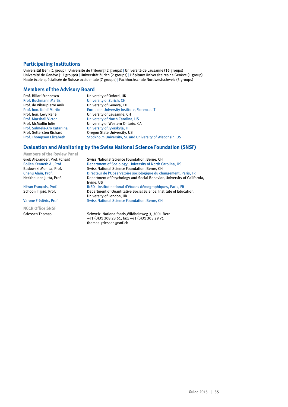# **Participating Institutions**

Universität Bern (1 group) | Université de Fribourg (2 groups) | Université de Lausanne (16 groups) Université de Genève (12 groups) | Universität Zürich (2 groups) | Hôpitaux Universitaires de Genève (1 group) Haute école spécialisée de Suisse occidentale (7 groups) | Fachhochschule Nordwestschweiz (3 groups)

#### **Members of the Advisory Board**

Prof. Billari Francesco University of Oxford, UK Prof. Buchmann Marlis University of Zurich, CH<br>Prof. de Ribaupierre Anik University of Geneva, CH Prof. hon. Levy René University of Lausanne, CH<br>Prof. Marshall Victor University of North Carolina

University of Geneva, CH Prof. hon. Kohli Martin **European University Institute, Florence, IT**<br>Prof. hon. Levy René **European University of Lausanne, CH** University of North Carolina, US Prof. McMullin Julie University of Western Ontario, CA<br>Prof. Salmela-Aro Katariina University of Ivväskylä. FI University of Jyväskylä, FI Prof. Settersten Richard **Oregon State University, US**<br>Prof. Thompson Elizabeth Stockholm University, SE an **Stockholm University, SE and University of Wisconsin, US** 

### **Evaluation and Monitoring by the Swiss National Science Foundation (SNSF)**

**Members of the Review Panel**

**NCCR Office SNSF**

Grob Alexander, Prof. (Chair) Swiss National Science Foundation, Berne, CH Bollen Kenneth A., Prof. Department of Sociology, University of North Carolina, US<br>Budowski Monica. Prof. Swiss National Science Foundation. Berne. CH Swiss National Science Foundation, Berne, CH Chenu Alain, Prof. Chenu Alain, Prof. Directeur de l'Observatoire sociologique du changement, Paris, FR<br>Department of Psychology and Social Behavior, University of Califo Department of Psychology and Social Behavior, University of California, Irvine, US Héran François, Prof.<br> **INED - Institut national d'études démographiques, Paris, FR**<br> **Communisty Department of Quantitative Social Science, Institute of Educ** Department of Quantitative Social Science, Institute of Education, University of London, UK Varone Frédéric, Prof. Swiss National Science Foundation, Berne, CH

Griessen Thomas Schweiz. Nationalfonds, Wildhainweg 3, 3001 Bern +41 (0)31 308 23 51, fax: +41 (0)31 305 29 71 thomas.griessen@snf.ch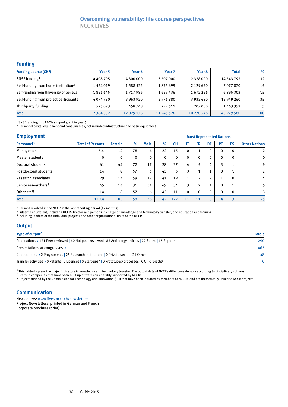# **Overcoming vulnerability: life course perspectives NCCR LIVES**

#### **Funding**

| <b>Funding source (CHF)</b>                     | Year 5     | Year 6     | Year <sub>7</sub> | Year 8        | <b>Total</b> | $\%$ |
|-------------------------------------------------|------------|------------|-------------------|---------------|--------------|------|
| SNSF funding <sup>1</sup>                       | 4408795    | 4 300 000  | 3 507 000         | 2 3 2 8 0 0 0 | 14 543 795   | 32   |
| Self-funding from home institution <sup>2</sup> | 1 524 019  | 1 588 522  | 1835699           | 2 1 2 9 6 3 0 | 7077870      | 15   |
| Self-funding from University of Geneva          | 1 851 645  | 1717986    | 1653436           | 1672236       | 6895303      | 15   |
| Self-funding from project participants          | 4074780    | 3963920    | 3976880           | 3933680       | 15 949 260   | 35   |
| Third-party funding                             | 525093     | 458748     | 272 511           | 207 000       | 1463352      | 3    |
| <b>Total</b>                                    | 12 384 332 | 12 029 176 | 11 245 526        | 10 270 546    | 45 929 580   | 100  |

1 SNSF funding incl 120% support grant in year 5

<sup>2</sup> Personnel costs, equipment and consumables, not included infrastructure and basic equipment

#### **Employment**

| <b>Employment</b>               | <b>Most Represented Nations</b> |               |               |             |              |              |              |                |                |             |                      |                      |
|---------------------------------|---------------------------------|---------------|---------------|-------------|--------------|--------------|--------------|----------------|----------------|-------------|----------------------|----------------------|
| Personnel <sup>3</sup>          | <b>Total of Persons</b>         | <b>Female</b> | $\frac{9}{6}$ | <b>Male</b> | $\%$         | <b>CH</b>    | IT           | <b>FR</b>      | <b>DE</b>      | PT          | ES                   | <b>Other Nations</b> |
| Management                      | 7.4 <sup>3</sup>                | 14            | 78            | 4           | 22           | 15           | $\mathbf{0}$ |                | $\mathbf 0$    | $\mathbf 0$ | $\Omega$             | $\overline{2}$       |
| Master students                 | 0                               | $\mathbf{0}$  | $\Omega$      | 0           | $\mathbf{0}$ | $\mathbf{0}$ | $\mathbf{0}$ | $\mathbf{0}$   | $\mathbf 0$    | $\Omega$    | $\mathbf{0}$         | $\mathbf 0$          |
| Doctoral students               | 61                              | 44            | 72            | 17          | 28           | 37           | 4            |                | 4              | 3           |                      | 9                    |
| Postdoctoral students           | 14                              | 8             | 57            | 6           | 43           | 6            | 3            |                | 1              | $\mathbf 0$ | $\blacktriangleleft$ | $\overline{2}$       |
| <b>Research associates</b>      | 29                              | 17            | 59            | 12          | 41           | 19           |              | $\overline{2}$ | $\overline{2}$ |             | $\mathbf{0}$         | 4                    |
| Senior researchers <sup>5</sup> | 45                              | 14            | 31            | 31          | 69           | 34           | 3            | $\overline{2}$ | 1              | $\Omega$    |                      | 5                    |
| Other staff                     | 14                              | 8             | 57            | 6           | 43           | 11           | $\mathbf{0}$ | $\mathbf{0}$   | $\mathbf{0}$   | $\Omega$    | $\Omega$             | 3                    |
| <b>Total</b>                    | 170.4                           | 105           | 58            | 76          | 42           | 122          | 11           | 11             | 8              | 4           | $\overline{a}$       | 25                   |

<sup>3</sup> Persons involved in the NCCR in the last reporting period (12 months)

4 Full-time equivalent, including NCCR-Director and persons in charge of knowledge and technology transfer, and education and training

5 Including leaders of the individual projects and other organisational units of the NCCR

### **Output**

| Type of output <sup>6</sup>                                                                                                    | <b>Totals</b> |
|--------------------------------------------------------------------------------------------------------------------------------|---------------|
| Publications > 121 Peer-reviewed   40 Not peer-reviewed   85 Anthology articles   29 Books   15 Reports                        | 290           |
| Presentations at congresses >                                                                                                  | 463           |
| Cooperations > 2 Programmes 25 Research institutions 0 Private sector 21 Other                                                 | 48            |
| Transfer activities > 0 Patents   0 Licenses   0 Start-ups <sup>7</sup>   0 Prototypes/processes   0 CTI-projects <sup>8</sup> |               |

6 This table displays the major indicators in knowledge and technology transfer. The output data of NCCRs differ considerably according to disciplinary cultures.

<sup>7</sup> Start-up companies that have been built up or were considerably supported by NCCRs.

<sup>8</sup> Projects funded by the Commission for Technology and Innovation (CTI) that have been initiated by members of NCCRs and are thematically linked to NCCR projects.

### **Communication**

Newsletters: www.lives-nccr.ch/newsletters

Project Newsletters: printed in German and French Corporate brochure (print)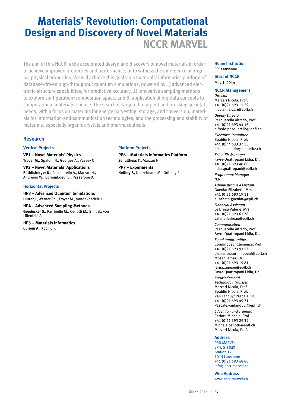# **Materials' Revolution: Computational Design and Discovery of Novel Materials NCCR MARVEL**

The aim of this NCCR is the accelerated design and discovery of novel materials in order to achieve improved properties and performance, or to witness the emergence of original physical properties. We will achieve this goal via a materials' informatics platform of database-driven high-throughput quantum simulations, powered by 1) advanced electronic-structure capabilities, for predictive accuracy, 2) innovative sampling methods to explore configuration/composition space, and 3) application of big-data concepts to computational materials science. The search is targeted to urgent and pressing societal needs, with a focus on materials for energy harvesting, storage, and conversion, materials for information-and-communication technologies, and the processing and stability of materials, especially organic crystals and pharmaceuticals.

# **Research**

#### **Vertical Projects**

**VP1 – Novel Materials' Physics Troyer M.,** Spaldin N., Georges A., Yazyev O.

**VP2 – Novel Materials' Applications Röthlisberger U.,** Pasquarello A., Marzari N., Andreoni W., Corminboeuf C., Passerone D.

#### **Horizontal Projects**

**HP3 – Advanced Quantum Simulations Hutter J.,** Werner Ph., Troyer M., VandeVondele J.

#### **HP4 – Advanced Sampling Methods**

**Goedecker S.,** Parrinello M., Ceriotti M., Smit B., von Lilienfeld A.

**HP5 – Materials Informatics Curioni A.,** Koch Ch.

### **Platform Projects**

**PP6 – Materials Informatics Platform Schulthess T.,** Marzari N.

**PP7 – Experiments Nolting F.,** Kenzelmann M., Gröning P.

#### **Home Institution** EPF Lausanne

**Start of NCCR** May 1, 2014

#### **NCCR Management**

*Director* Marzari Nicola, Prof. +41 (0)21 693 11 29 nicola.marzari@epfl.ch *Deputy Director* Pasquarello Alfredo, Prof. +41 (0)21 693 44 16 alfredo.pasquarello@epfl.ch *Executive Committee* Spaldin Nicola, Prof. +41 (0)44 633 37 55 nicola.spaldin@mat.ethz.ch *Scientific Manager* Favre-Quattropani Lidia, Dr. +41 (0)21 693 48 80 lidia.quattropani@epfl.ch *Programme Manager* N.N. *Administrative Assistant* Gueniat Elizabeth, Mrs +41 (0)21 693 19 11 elizabeth.gueniat@epfl.ch *Financial Assistant* Le Dreau Valérie, Mrs +41 (0)21 693 61 78 valerie.ledreau@epfl.ch *Communication* Pasquarello Alfredo, Prof. Favre-Quattropani Lidia, Dr. *Equal opportunities* Corminboeuf Clémence, Prof. +41 (0)21 693 93 57 clemence.corminboeuf@epfl.ch Moser Farnaz, Dr.

+41 (0)21 693 19 81 farnaz.moser@epfl.ch Favre-Quattropani Lidia, Dr.

*Knowledge and Technology Transfer* Marzari Nicola, Prof. Spaldin Nicola, Prof. Van Landuyt Pascale, Dr. +41 (0)21 693 49 71 Pascale.vanlanduyt@epfl.ch

*Education and Training* Ceriotti Michele, Prof. +41 (0)21 693 29 39 Michele.ceriotti@epfl.ch Marzari Nicola, Prof.

#### **Address**

PRN MARVEL EPFL STI IMX Station 12 1015 Lausanne +41 (0)21 693 48 80 info@nccr-marvel.ch

**Web Address** www.nccr-marvel.ch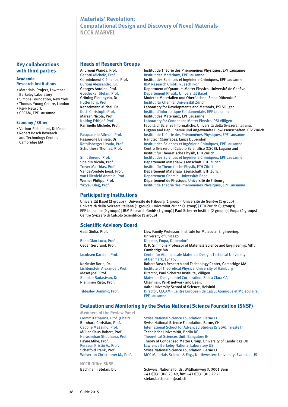# **Materials' Revolution: Computational Design and Discovery of Novel Materials NCCR MARVEL**

### **Key collaborations with third parties**

#### **Academia Research Institutions**

- Materials' Project, Lawrence Berkeley Laboratory
- Simons Foundation, New York
- Thomas Young Centre, London
- Psi-k Network
- CECAM, EPF Lausanne

#### **Economy / Other**

- Varinor-Richemont, Delémont
- Robert Bosch Research and Technology Center, Cambridge MA

#### **Heads of Research Groups**

Andreoni Wanda, Prof. **Institut de Théorie des Phénomènes Physiques, EPF Lausanne**<br>Ceriotti Michele, Prof. **Institut des Matériaux, EPF Lausanne** Ceriotti Michele, Prof. Institut des Matériaux, EPF Lausanne Institut des Sciences et Ingénierie Chimiques, EPF Lausanne Curioni Alessandro, Dr. IBM Research GmbH, Rueschlikon Department of Quantum Matter Physics, Université de Genève Goedecker Stefan, Prof. Supertement Physik, Universität Basel<br>Gröning Pierangelo, Dr. Moderne Materialien und Oberflächen Moderne Materialien und Oberflächen, Empa Dübendorf Hutter Jürg, Prof. Institut für Chemie, Universität Zürich Kenzelmann Michel, Dr. **Laboratory for Developments and Methods, PSI Villigen**<br>Koch Christoph, Prof. **Netally and American** Institut d'Informatique Fondamentale, EPF Lausanne Institut d'Informatique Fondamentale, EPF Lausanne Marzari Nicola, Prof. **Institut des Matériaux, EPF Lausanne** Nolting Frithjof, Prof. Laboratory for Condensed Matter Physics, PSI Villigen Facoltà di Scienze Informatiche, Università della Svizzera Italiana, Lugano and Dep. Chemie und Angewandte Biowissenschaften, ETZ Zürich<br>Pasquarello Alfredo. Prof. The antitut de Théorie des Phénomènes Physiques. EPF Lausanne Institut de Théorie des Phénomènes Physiques, EPF Lausanne Passerone Daniele, Dr. Nanotech@surfaces, Empa Dübendorf<br>
Röthlisberger Ursula, Prof. Institut des Sciences et Ingénierie Chir Röthlisberger Ursula, Prof. Institut des Sciences et Ingénierie Chimiques, EPF Lausanne<br>Schulthess Thomas. Prof. Centro Svizzero di Calcolo Scientifico (CSCS). Lugano and Centro Svizzero di Calcolo Scientifico (CSCS), Lugano and Institut für Theoretische Physik, ETH Zürich<br>Institut des Sciences et Ingénierie Chimique Smit Berend, Prof. **Institut des Sciences et Ingénierie Chimiques, EPF Lausanne<br>Spaldin Nicola. Prof. <b>Institut des Sciences et Ingénierie Chimiques, EPF Lausanne** Spaldin Nicola, Prof. Departement Materialwissenschaft, ETH Zürich<br>
Troyer Matthias, Prof. Subsettut für Theoretische Physik, ETH Zürich Troyer Matthias, Prof. Institut für Theoretische Physik, ETH Zürich Departement Materialwissenschaft, ETH Zürich von Lilienfeld Anatole, Prof.<br>
Verner Philipp, Prof.<br>
Département de Physique, Université de Département de Physique, Université de Fribourg Yazyev Oleg, Prof. Institut de Théorie des Phénomènes Physiques, EPF Lausanne

### **Participating Institutions**

Universität Basel (2 groups) | Université de Fribourg (1 group) | Université de Genève (1 group) Università della Svizzera Italiana (1 group) | Universität Zürich (1 group) | ETH Zurich (5 groups) EPF Lausanne (9 groups) | IBM Research GmbH (1 group) | Paul Scherrer Institut (2 groups) | Empa (2 groups) Centro Svizzero di Calcolo Scientifico (1 group)

### **Scientific Advisory Board**

| Bona Gian-Luca, Prof. |  |
|-----------------------|--|
| Ceder Gerbrand, Prof. |  |

Galli Giulia, Prof. Liew Family Professor, Institute for Molecular Engineering, University of Chicago Director, Empa, Dübendorf R. P. Simmons Professor of Materials Science and Engineering, MIT, Cambridge MA Jacobsen Karsten, Prof. Center for Atomic-scale Materials Design, Technical University of Denmark, Lyngby Kozinsky Boris, Dr. Robert Bosch Research and Technology Center, Cambridge MA Lichtenstein Alexander, Prof. Institute of Theoretical Physics, University of Hamburg<br>
Mesot Joël, Prof. Director, Paul Scherrer Institute, Villigen Director, Paul Scherrer Institute, Villigen Shankar Sadasivan, Dr. Materials Design, Intel Corporation, Santa Clara CA<br>Nieminen Risto. Prof. Chairman. Psi-K network and Dean. Chairman, Psi-K network and Dean, Aalto University School of Science, Helsinki Tildesley Dominic, Prof. Director, CECAM - Centre Européen de Calcul Atomique et Moléculaire, EPF Lausanne

### **Evaluation and Monitoring by the Swiss National Science Foundation (SNSF)**

**Members of the Review Panel** Fromm Katharina, Prof. (Chair) Swiss National Science Foundation, Berne CH

**NCCR Office SNSF**

Bernhard Christian, Prof. Swiss National Science Foundation, Berne, CH<br>Capone Massimo, Prof. 1996 (SIS) International School for Advanced Studies International School for Advanced Studies (SISSA), Trieste IT Müller Klaus-Robert, Prof.<br>Narasimhan Shobhana, Prof. Theoretical Sciences Unit, Bangal Narasimhan Shobhana, Prof. Theoretical Sciences Unit, Bangalore IN Theory of Condensed Matter Group, University of Cambridge UK Persson Kristin A., Prof. Lawrence Berkeley National Laboratory US Scheffold Frank, Prof. Swiss National Science Foundation, Berne CH Wolverton Christopher M., Prof. MCC Materials Science & Eng., Northwestern University, Evanston US

Bachmann Stefan, Dr. Schweiz. Nationalfonds, Wildhainweg 3, 3001 Bern +41 (0)31 308 23 49, fax: +41 (0)31 305 29 71 stefan.bachmann@snf.ch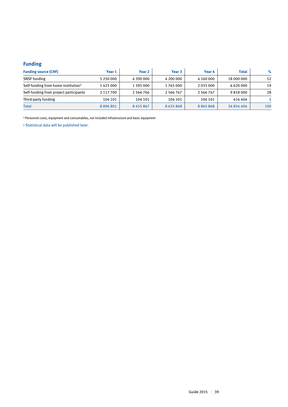# **Funding**

| <b>Funding source (CHF)</b>                     | Year 1        | Year 2        | Year 3        | Year 4        | <b>Total</b> | $\%$ |
|-------------------------------------------------|---------------|---------------|---------------|---------------|--------------|------|
| <b>SNSF</b> funding                             | 5 2 5 0 0 0 0 | 4 390 000     | 4 200 000     | 4 160 000     | 18 000 000   | 52   |
| Self-funding from home institution <sup>1</sup> | 1425000       | 1 395 000     | 1765000       | 2 0 3 5 0 0 0 | 6 6 20 0 00  | 19   |
| Self-funding from project participants          | 2 117 700     | 2 566 766     | 2 5 6 6 7 6 7 | 2 5 6 6 7 6 7 | 9818000      | 28   |
| Third-party funding                             | 104 101       | 104 101       | 104 101       | 104 101       | 416 404      |      |
| <b>Total</b>                                    | 8896801       | 8 4 5 5 8 6 7 | 8635868       | 8865868       | 34 854 404   | 100  |

1 Personnel costs, equipment and consumables, not included infrastructure and basic equipment

> Statistical data will be published later.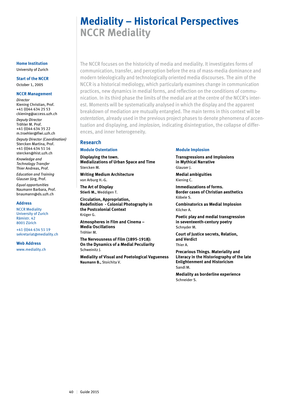# **Mediality – Historical Perspectives NCCR Mediality**

The NCCR focuses on the historicity of media and mediality. It investigates forms of communication, transfer, and perception before the era of mass-media dominance and modern teleologically and technologically oriented media discourses. The aim of the NCCR is a historical mediology, which particularly examines change in communication practices, new dynamics in medial forms, and reflection on the conditions of communication. In its third phase the limits of the medial are at the centre of the NCCR's interest. Moments will be systematically analysed in which the display and the apparent breakdown of mediation are mutually entangled. The main terms in this context will be *ostentation,* already used in the previous project phases to denote phenomena of accentuation and displaying, and *implosion,* indicating disintegration, the collapse of differences, and inner heterogeneity.

### **Research**

#### **Module Ostentation**

**Displaying the town. Medializations of Urban Space and Time**  Stercken M.

**Writing Medium Architecture** von Arburg H.-G.

**The Art of Display Stierli M.,** Weddigen T.

**Circulation, Appropriation, Redefinition - Colonial Photography in the Postcolonial Context** Krüger G. **Atmospheres in Film and Cinema – Media Oscillations**

Tröhler M.

**The Nervousness of Film (1895-1918): On the Dynamics of a Medial Peculiarity** Schweinitz J.

**Mediality of Visual and Poetological Vagueness Naumann B.,** Stoichita V.

#### **Module Implosion**

**Transgressions and Implosions in Mythical Narrative** Glauser J.

**Medial ambiguities** Kiening C.

**Immediazations of forms. Border cases of Christian aesthetics** Köbele S.

**Combinatorics as Medial Implosion** Kilcher A.

**Poetic play and medial transgression in seventeenth-century poetry** Schnyder M.

**Court of Justice secrets, Relation, and Verdict** Thier A.

**Precarious Things. Materiality and Literacy in the Historiography of the late Enlightenment and Historicism** Sandl M.

**Mediality as borderline experience** Schneider S.

#### **Home Institution** University of Zurich

# **Start of the NCCR**

October 1, 2005

#### **NCCR Management**

*Director* Kiening Christian, Prof. +41 (0)44 634 25 53 ckiening@access.uzh.ch *Deputy Director* Tröhler M. Prof. +41 (0)44 634 35 22 m.troehler@fiwi.uzh.ch *Deputy Director (Coordination)*

Stercken Martina, Prof. +41 (0)44 634 51 16 stercken@hist.uzh.ch

*Knowledge and Technology Transfer* Thier Andreas, Prof.

*Education and Training* Glauser Jürg, Prof.

*Equal opportunities* Naumann Barbara, Prof. bnaumann@ds.uzh.ch

#### **Address**

NCCR Mediality University of Zurich Rämistr. 42 8001 Zürich

+41 (0)44 634 51 19 sekretariat@mediality.ch

#### **Web Address**

www.mediality.ch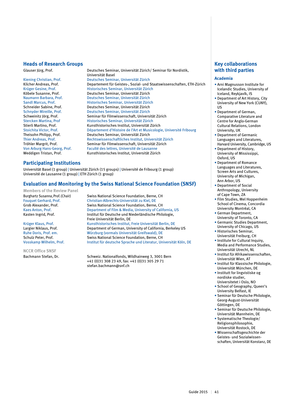#### **Heads of Research Groups**

Glauser Jürg, Prof. Deutsches Seminar, Universität Zürich/ Seminar für Nordistik, Universität Basel Kiening Christian, Prof. Deutsches Seminar, Universität Zürich<br>Kilcher Andreas, Prof. Departement für Geistes-, Sozial- und S Kilcher Andreas, Prof. Departement für Geistes-, Sozial- und Staatswissenschaften, ETH-Zürich<br>Krüger Gesine, Prof. Test eines Historisches Seminar, Universität Zürich Krüger Gesine, Prof. Historisches Seminar, Universität Zürich Köbele Susanne, Prof. Deutsches Seminar, Universität Zürich<br>Naumann Barbara, Prof. Deutsches Seminar, Universität Zürich Deutsches Seminar, Universität Zürich Sandl Marcus, Prof. Historisches Seminar, Universität Zürich Schneider Sabine, Prof. Deutsches Seminar, Universität Zürich Deutsches Seminar, Universität Zürich Schweinitz Jörg, Prof. Seminar für Filmwissenschaft, Universität Zürich<br>Stercken Martina. Prof Sterreisches Seminar. Universität Zürich Stercken Martina, Prof Historisches Seminar, Universität Zürich<br>
Stierli Martino Prof Kunsthistorisches Institut Universität Zürich Stierli Martino, Prof. Kunsthistorisches Institut, Universität Zürich<br>Stoichita Victor, Prof. Département d'Histoire de l'Art et Musicologi Stoichita Victor, Prof. **Département d'Histoire de l'Art et Musicologie**, Université Fribourg<br>Theisohn Philipp. Prof. **Deutsches Seminar. Universität Zürich** Deutsches Seminar, Universität Zürich Thier Andreas, Prof. Rechtswissenschaftliches Institut, Universität Zürich<br>Tröhler Margrit, Prof. Seminar für Filmwissenschaft, Universität Zürich Tröhler Margrit, Prof. Seminar für Filmwissenschaft, Universität Zürich<br>Von Arburg Hans-Georg, Prof. Faculté des lettres. Université de Lausanne Faculté des lettres, Université de Lausanne Weddigen Tristan, Prof. Kunsthistorisches Institut, Universität Zürich

#### **Participating Institutions**

Universität Basel (1 group) | Universität Zürich (15 groups) | Université de Fribourg (1 group) Université de Lausanne (1 group) | ETH Zürich (1 group)

#### **Evaluation and Monitoring by the Swiss National Science Foundation (SNSF)**

**Members of the Review Panel**

**NCCR Office SNSF**

Burghartz Susanna, Prof. (Chair) Swiss National Science Foundation, Berne, CH Fouquet Gerhard, Prof. Christian-Albrechts-Universität zu Kiel, DE Swiss National Science Foundation, Berne, CH Kaes Anton, Prof. Department of Film & Media, University of California, US Kasten Ingrid, Prof. Institut für Deutsche und Niederländische Philologie, Freie Universität Berlin, DE Krüger Klaus, Prof. Kunsthistorisches Institut, Freie Universität Berlin, DE<br>Largier Niklaus, Prof. Communisty of California, Berkel Department of German, University of California, Berkeley US Ruhe Doris, Prof. em. Würzburg (vormals Universität Greifswald), DE Schulz Peter, Prof. Swiss National Science Foundation, Berne, CH Vosskamp Wilhelm, Prof. Institut für deutsche Sprache und Literatur, Universität Köln, DE

Bachmann Stefan, Dr. Schweiz. Nationalfonds, Wildhainweg 3, 3001 Bern +41 (0)31 308 23 49, fax: +41 (0)31 305 29 71 stefan.bachmann@snf.ch

# **Key collaborations with third parties**

#### **Academia**

- Arni Magnusson Institute for Icelandic Studies, University of Iceland, Reykjavík, IS
- Department of Art History, City University of New York (CUNY), US
- Department of German, Comparative Literature and Centre for Anglo-German Cultural Relations, London University, UK
- Department of Germanic Languages and Literatures, Harvard University, Cambridge, US
- Department of History, University of Mississippi, Oxford, US
- Department of Romance Languages and Literatures, Screen Arts and Cultures, University of Michigan, Ann Arbor, US
- Department of Social Anthropology, University of Cape Town, ZA
- Film Studies, Mel Hoppenheim School of Cinema, Concordia University Montréal, CA
- German Department, University of Toronto, CA
- Germanic Studies Department, University of Chicago, US
- Historisches Seminar, Universität Freiburg, CH
- Institute for Cultural Inquiry, Media and Performance Studies, Universität Utrecht, NL
- Institut für Afrikawissenschaften, Universität Wien, AT
- Institut für Klassische Philologie, Universität München, DE
- Institutt for lingvistiske og nordiske studier,
- Universitetet i Oslo, NO • School of Geography, Queen's University Belfast, IE
- Seminar für Deutsche Philologie, Georg-August-Universität Göttingen, DE
- Seminar für Deutsche Philologie, Universität Mannheim, DE
- Systematische Theologie/ Religionsphilosophie, Universität Rostock, DE
- Wissenschaftsgeschichte der Geistes- und Sozialwissenschaften, Universität Konstanz, DE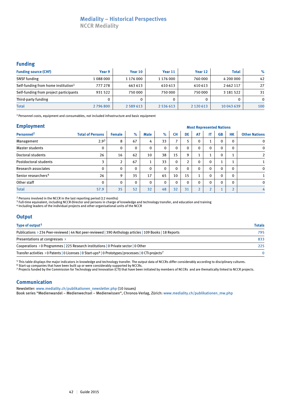# **Mediality – Historical Perspectives**

**NCCR Mediality**

# **Funding**

| <b>Funding source (CHF)</b>                     | Year 9  | Year 10       | Year 11   | Year 12       | <b>Total</b>  | $\%$     |
|-------------------------------------------------|---------|---------------|-----------|---------------|---------------|----------|
| <b>SNSF</b> funding                             | 1088000 | 1 176 000     | 1 176 000 | 760 000       | 4 200 000     | 42       |
| Self-funding from home institution <sup>1</sup> | 777 278 | 663 613       | 610 613   | 610 613       | 2 6 6 2 1 1 7 | 27       |
| Self-funding from project participants          | 931 522 | 750 000       | 750 000   | 750 000       | 3 181 522     | 31       |
| Third-party funding                             |         |               |           |               |               | $\Omega$ |
| <b>Total</b>                                    | 2796800 | 2 5 8 9 6 1 3 | 2 536 613 | 2 1 2 0 6 1 3 | 10 043 639    | 100      |

1 Personnel costs, equipment and consumables, not included infrastructure and basic equipment

#### **Employment**

|                                 |                         | <u>most nepresentea nations</u> |              |                     |              |                          |              |                    |                |           |          |                      |
|---------------------------------|-------------------------|---------------------------------|--------------|---------------------|--------------|--------------------------|--------------|--------------------|----------------|-----------|----------|----------------------|
| Personnel <sup>2</sup>          | <b>Total of Persons</b> | <b>Female</b>                   | $\%$         | <b>Male</b>         | $\%$         | <b>CH</b>                | DE           | <b>AT</b>          | ΙT             | <b>GB</b> | HК       | <b>Other Nations</b> |
| Management                      | $2.9^{3}$               | 8                               | 67           | 4                   | 33           | $\overline{\phantom{a}}$ | 5            | 0                  | Τ.             | $\Omega$  | $\Omega$ | $\mathbf 0$          |
| Master students                 | $\mathbf 0$             | $\mathbf{0}$                    | $\mathbf 0$  | 0                   | $\mathbf 0$  | 0                        | $\mathbf{0}$ | $\mathbf{0}$       | $\mathbf 0$    | $\Omega$  |          | $\mathbf 0$          |
| Doctoral students               | 26                      | 16                              | 62           | 10                  | 38           | 15                       | 9            |                    | л.             | $\Omega$  |          | $\overline{2}$       |
| Postdoctoral students           | 3                       | ∍                               | 67           | $\overline{ }$<br>Ŧ | 33           | 0                        | 2            | $\mathbf{0}$       | $\mathbf 0$    |           |          |                      |
| Research associates             | 0                       | $\mathbf{0}$                    | $\mathbf{0}$ | 0                   | $\mathbf{0}$ | $\mathbf 0$              | $\Omega$     | $\mathbf{0}$       | $\mathbf 0$    | $\Omega$  | $\Omega$ | $\mathbf 0$          |
| Senior researchers <sup>4</sup> | 26                      | q                               | 35           | 17                  | 65           | 10                       | 15           |                    | $\mathbf 0$    | $\Omega$  | $\Omega$ |                      |
| Other staff                     | $\mathbf 0$             | $\mathbf{0}$                    | 0            | 0                   | $\mathbf 0$  | 0                        | $\Omega$     | 0                  | $\mathbf 0$    | $\Omega$  | $\Omega$ | $\mathbf 0$          |
| <b>Total</b>                    | 57.9                    | 35                              | 52           | 32                  | 48           | 32                       | 31           | $\mathbf{\hat{z}}$ | $\overline{2}$ |           |          | 4                    |

 **Most Represented Nations**

2 Persons involved in the NCCR in the last reporting period (12 months)

<sup>3</sup> Full-time equivalent, including NCCR-Director and persons in charge of knowledge and technology transfer, and education and training

4 Including leaders of the individual projects and other organisational units of the NCCR

### **Output**

| Type of output <sup>5</sup>                                                                                                                | <b>Totals</b> |
|--------------------------------------------------------------------------------------------------------------------------------------------|---------------|
| Publications > 234 Peer-reviewed   44 Not peer-reviewed   390 Anthology articles   109 Books   18 Reports                                  | 795           |
| Presentations at congresses >                                                                                                              | 833           |
| Cooperations $\rightarrow$ 0 Programmes 225 Research institutions 0 Private sector 0 Other                                                 | 225           |
| Transfer activities $\rightarrow$ 0 Patents   0 Licenses   0 Start-ups <sup>6</sup>   0 Prototypes/processes   0 CTI-projects <sup>7</sup> | $\Omega$      |

<sup>5</sup> This table displays the major indicators in knowledge and technology transfer. The output data of NCCRs differ considerably according to disciplinary cultures.

<sup>6</sup> Start-up companies that have been built up or were considerably supported by NCCRs.

7 Projects funded by the Commission for Technology and Innovation (CTI) that have been initiated by members of NCCRs and are thematically linked to NCCR projects.

### **Communication**

Newsletter: www.mediality.ch/publikationen\_newsletter.php (10 issues)

Book series "Medienwandel – Medienwechsel – Medienwissen", Chronos-Verlag, Zürich: www.mediality.ch/publikationen\_mw.php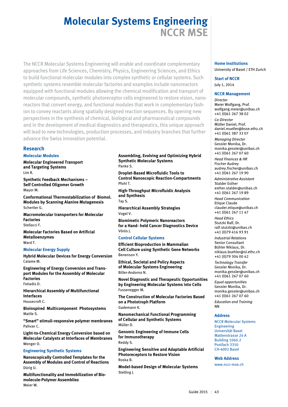# **Molecular Systems Engineering NCCR MSE**

The NCCR Molecular Systems Engineering will enable and coordinate complementary approaches from Life Sciences, Chemistry, Physics, Engineering Sciences, and Ethics to build functional molecular modules into complex synthetic or cellular systems. Such synthetic systems resemble molecular factories and examples include nanoreactors equipped with functional modules allowing the chemical modification and transport of molecular compounds, synthetic photoreceptor cells engineered to restore vision, nanoreactors that convert energy, and functional modules that work in complementary fashion to convey reactants along spatially designed reaction sequences. By opening new perspectives in the synthesis of chemical, biological and pharmaceutical compounds and in the development of medical diagnostics and therapeutics, this unique approach will lead to new technologies, production processes, and industry branches that further advance the Swiss innovation potential.

# **Research**

#### **Molecular Modules**

**Molecular Engineered Transport and Targeting Systems** Lim R.

**Synthetic Feedback Mechanisms – Self Controlled Oligomer Growth** Mayor M.

**Conformational Thermostabilization of Biomol. Modules by Scanning Alanine Mutagenesis**  Schertler G.

**Macromolecular transporters for Molecular Factories** Stellacci F.

**Molecular Factories Based on Artificial Metalloenzymes** Ward T.

### **Molecular Energy Supply**

**Hybrid Molecular Devices for Energy Conversion** Calame M.

**Engineering of Energy Conversion and Transport Modules for the Assembly of Molecular Factories**  Fotiadis D.

**Hierarchical Assembly of Multifunctional Interfaces**

Housecroft C.

**Bioinspired Multicomponent Photosystems** Matile S.

**"Smart" stimuli-responsive polymer membranes** Palivan C.

**Light-to-Chemical Energy Conversion based on Molecular Catalysts at Interfaces of Membranes** Wenger O.

#### **Engineering Synthetic Systems**

**Nanoscopically Controlled Templates for the Assembly of Modules and Control of Reactions**  Dürig U.

**Multifunctionality and Immobilization of Biomolecule-Polymer Assemblies** Meier W.

#### **Assembling, Evolving and Optimizing Hybrid Synthetic Molecular Systems** Panke S.

**Droplet-Based Microfluidic Tools to Control Nanoscopic Reaction-Compartments** Pfohl T.

**High-Throughput Microfluidic Analysis and Synthesis** Tay S.

**Hierarchical Assembly Strategies** Vogel V.

**Biomimetic Polymeric Nanoreactors for a Hand- held Cancer Diagnostics Device** Vörös J.

#### **Control Cellular Systems**

**Efficient Bioproduction in Mammalian Cell Culture using Synthetic Gene Networks** Benenson Y.

**Ethical, Societal and Policy Aspects of Molecular Systems Engineering**  Biller-Andorno N.

**Novel Diagnostic and Therapeutic Opportunities by Engineering Molecular Systems into Cells**  Fussenegger M.

**The Construction of Molecular Factories Based on a Phototroph Platform** Gademann K.

**Nanomechanical Functional Programming of Cellular and Synthetic Systems** Müller D.

**Genomic Engineering of Immune Cells for Immunotherapy** Reddy S.

**Engineering Sensitive and Adaptable Artificial Photoreceptors to Restore Vision** Roska B.

**Model-based Design of Molecular Systems** Stelling J.

# **Home Institutions**

University of Basel / ETH Zurich

#### **Start of NCCR** July 1, 2014

#### **NCCR Management**

*Director* Meier Wolfgang, Prof. wolfgang.meier@unibas.ch +41 (0)61 267 38 02

*Co-Director* Müller Daniel, Prof. daniel.mueller@bsse.ethz.ch +41 (0)61 387 33 07

*Managing Director* Gessler Monika, Dr. monika.gessler@unibas.ch +41 (0)61 267 07 60

*Head Finances & HR* Fischer Audrey audrey.fischer@unibas.ch +41 (0)61 267 19 90

*Administrative Assistant* Stalder Esther esther.stalder@unibas.ch +41 (0)61 267 19 89

*Head Communication* Etique Claude clauder.etique@unibas.ch +41 (0)61 267 11 47

*Head Ethics* Stutzki Ralf, Dr. ralf.stutzki@unibas.ch +41 (0)79 416 93 91

*Industrial Relations* Senior Consultant Bühler Niklaus, Dr. niklaus.buehler@sl.ethz.ch +41 (0)79 304 00 42

*Technology Transfer* Gessler Monika, Dr. monika.gessler@unibas.ch +41 (0)61 267 07 60

*Equal opportunities* Gessler Monika, Dr. monika.gessler@unibas.ch +41 (0)61 267 07 60

*Education and Training* NN

#### **Address**

NCCR Molecular Systems Engineering Universität Basel Mattenstrasse 24 A Building 1060.2 Postfach 3350 CH-4002 Basel

**Web Address**

www.nccr-mse.ch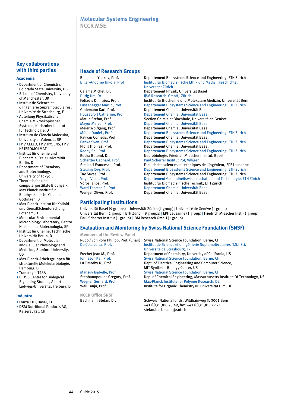# **Molecular Systems Engineering NCCR MSE**

## **Key collaborations with third parties**

#### **Academia**

- Department of Chemistry,
- Colorado State University, US • School of Chemistry, University of Manchester, UK
- Institut de Science et d'Ingénierie Supramoléculaires,
- Université de Strasbourg, F • Abteilung Physikalische Chemie Mikroskopischer Systeme, Karlsruher Institut für Technologie, D
- Instituto de Ciencia Molecular, University of Valencia, SP
- FP 7 CELLO, FP 7 HYSENS, FP 7 HETEROMOLMAT
- Institut für Chemie und Biochemie, Freie Universität Berlin, D
- Department of Chemistry and Biotechnology, University of Tokyo, J
- Theoretische und computergestützte Biophysik, Max Planck Institut für Biophysikalische Chemie Göttingen, D
- Max-Planck-Institut für Kolloidund Grenzflächenforschung Potsdam, D
- Molecular Environmental Microbiology Laboratory, Centro Nacional de Biotecnología, SP
- Institut für Chemie, Technische Universität Berlin, D
- Department of Molecular and Cellular Physiology and Medicine, Stanford University,  $\overline{\mathsf{H}}$
- Max-Planck-Arbeitsgruppen für strukturelle Molekularbiologie, Hamburg, D
- Transregio TR88
- BIOSS Centre for Biological Signalling Studies, Albert-Ludwigs-Universität Freiburg, D

#### **Industry**

- Lonza LTD, Basel, CH
- DSM Nutritional Products AG, Kaiseraugst, CH

# **Heads of Research Groups**

#### Benenson Yaakov, Prof. Departement Biosystems Science and Engineering, ETH Zürich<br>Biller-Andorno Nikola, Prof Science Institut für Biomedizinsche Ethik und Medizingeschichte, Institut für Biomedizinsche Ethik und Medizingeschichte, Universität Zürich Departement Physik, Universität Basel Dürig Urs, Dr. **IBM Research GmbH, Zürich**<br>Fotiadis Dimitrios. Prof. **Institut für Biochemie und Mc** Fotiadis Dimitrios, Prof. **Institut für Biochemie und Molekulare Medizin**, Universität Bern<br>Fussenegger Martin, Prof. **Institut Beattement Biosystems Science and Engineering**, ETH Zürich Fussenegger Martin, Prof. Departement Biosystems Science and Engineering, ETH Zürich<br>Gademann Karl, Prof. Departement Chemie, Universität Basel Gademann Karl, Prof. **Departement Chemie, Universität Basel**<br>Housecroft Catherine. Prof. **Departement Chemie, Universität Basel** Departement Chemie, Universität Basel Matile Stefan, Prof. Section Chimie et Biochimie, Université de Genève<br>Mayor Marcel, Prof. Separtement Chemie, Universität Basel Mayor Marcel, Prof. Chemie, Departement Chemie, Universität Basel<br>Meier Wolfgang, Prof. Chemie, Universität Basel Departement Chemie, Universität Basel Müller Daniel , Prof. Departement Biosystems Science and Engineering, ETH Zürich<br>Palivan Cornelia. Prof. Departement Chemie. Universität Basel Departement Chemie, Universität Basel Panke Sven, Prof. Departement Biosystems Science and Engineering, ETH Zürich<br>
Prohl Thomas. Prof. Departement Chemie. Universität Basel Pfohl Thomas, Prof. 2008 Departement Chemie, Universität Basel<br>Reddy Sai, Prof. 2008 Departement Biosystems Science and E Departement Biosystems Science and Engineering, ETH Zürich Roska Botond, Dr. Neurobiologie, Friedrich Miescher Institut, Basel Schertler Gebhard, Prof. Paul Scherrer Institut PSI, Villigen<br>
Stellacci Francesco, Prof. Faculté des sciences et technique Faculté des sciences et techniques de l'ingénieur, EPF Lausanne Stelling Jörg, Prof. Departement Biosystems Science and Engineering, ETH Zürich<br>Tay Savas, Prof. Departement Biosystems Science and Engineering, ETH Zürich Departement Biosystems Science and Engineering, ETH Zürich Vogel Viola, Prof. Departement Gesundheitswissenschaften und Technologie, ETH Zürich Vörös Janos, Prof. The State Institut für Biomedizinische Technik, ETH Zürich<br>
Vard Thomas R., Prof. The Departement Chemie, Universität Basel Ward Thomas R., Prof. **Departement Chemie, Universität Basel Wenger Oliver, Prof.** Departement Chemie, Universität Basel Departement Chemie, Universität Basel

## **Participating Institutions**

Universität Basel (9 groups) | Universität Zürich (1 group) | Université de Genève (1 group) Universität Bern (1 group) | ETH Zürich (9 groups) | EPF Lausanne (1 group) | Friedrich Miescher Inst. (1 group) Paul Scherrer Institut (1 group) | IBM Research GmbH (1 group)

# **Evaluation and Monitoring by Swiss National Science Foundation (SNSF)**

**Members of the Review Panel**

**NCCR Office SNSF**

Rudolf von Rohr Philipp, Prof. (Chair) Swiss National Science Foundation, Berne, CH Institut de Science et d'Ingénierie Supramoléculaires (I.S.I.S.), Université de Strasbourg, FR Frechet Jean M., Prof. Department of Chemistry, University of California, US Johnsson Kai, Prof. Swiss National Science Foundation, Berne, CH<br>Lu Timothy K., Prof. Sept. of Electrical Engineering and Computer S Dept. of Electrical Engineering and Computer Science, MIT Synthetic Biology Center, US Mansuy Isabelle, Prof. Swiss National Science Foundation, Berne, CH<br>Stephanopoulos Gregory, Prof. Dep. of Chemical Engineering, Massachusetts Dep. of Chemical Engineering, Massachusetts Institute Of Technology, US Wegner Gerhard, Prof. Max-Planck Institute for Polymer Research, DE Weil Tanja, Prof. 1997. Institute for Organic Chemistry III, Universität Ulm, DE

Bachmann Stefan, Dr. Schweiz. Nationalfonds, Wildhainweg 3, 3001 Bern +41 (0)31 308 23 49, fax: +41 (0)31 305 29 71 stefan.bachmann@snf.ch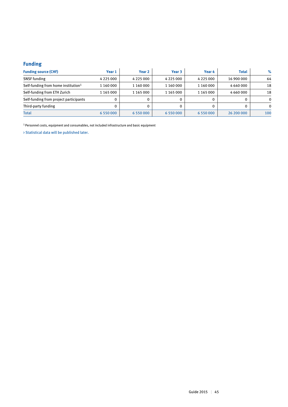# **Funding**

| <b>Funding source (CHF)</b>                     | Year 1        | Year 2        | Year 3          | Year 4        | <b>Total</b> | $\%$     |
|-------------------------------------------------|---------------|---------------|-----------------|---------------|--------------|----------|
| <b>SNSF</b> funding                             | 4 2 2 5 0 0 0 | 4 2 2 5 0 0 0 | 4 2 2 5 0 0 0   | 4 2 2 5 0 0 0 | 16 900 000   | 64       |
| Self-funding from home institution <sup>1</sup> | 1 160 000     | 1 160 000     | 1 160 000       | 1 160 000     | 4 640 000    | 18       |
| Self-funding from ETH Zurich                    | 1 165 000     | 1 165 000     | 1 165 000       | 1 165 000     | 4 660 000    | 18       |
| Self-funding from project participants          | 0             |               |                 |               |              | $\Omega$ |
| Third-party funding                             | 0             |               |                 |               |              | $\Omega$ |
| <b>Total</b>                                    | 6 5 5 0 0 0 0 | 6 550 000     | 6 5 5 0 0 0 0 0 | 6 550 000     | 26 200 000   | 100      |

1 Personnel costs, equipment and consumables, not included infrastructure and basic equipment

> Statistical data will be published later.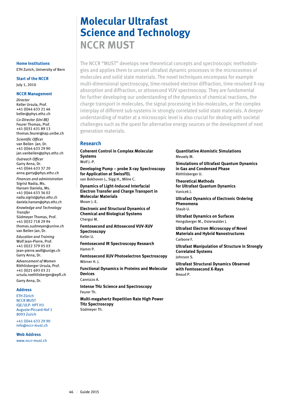# **Molecular Ultrafast Science and Technology NCCR MUST**

The NCCR "MUST" develops new theoretical concepts and spectroscopic methodologies and applies them to unravel ultrafast dynamic processes in the microcosmos of molecules and solid state materials. The novel techniques encompass for example multi-dimensional spectroscopy, time-resolved electron diffraction, time-resolved X-ray absorption and diffraction, or attosecond VUV spectroscopy. They are fundamental for further developing our understanding of the dynamics of chemical reactions, the charge transport in molecules, the signal processing in bio-molecules, or the complex interplay of different sub-systems in strongly correlated solid state materials. A deeper understanding of matter at a microscopic level is also crucial for dealing with societal challenges such as the quest for alternative energy sources or the development of next generation materials.

## **Research**

**Coherent Control in Complex Molecular Systems** Wolf J.-P.

**Developing Pump – probe X-ray Spectroscopy for Application at SwissFEL**  van Bokhoven J., Sigg H., Milne C.

**Dynamics of Light-Induced Interfacial Electron Transfer and Charge Transport in Molecular Materials** Moser J.-E.

**Electronic and Structural Dynamics of Chemical and Biological Systems** Chergui M.

**Femtosecond and Attosecond VUV-XUV Spectroscopy** Keller U.

**Femtosecond IR Spectroscopy Research** Hamm P.

**Femtosecond XUV Photoelectron Spectroscopy** Wörner H. J.

**Functional Dynamics in Proteins and Molecular Devices**

Cannizzo A.

**Intense THz Science and Spectroscopy** Feurer Th.

**Multi-megahertz Repetition Rate High Power THz Spectroscopy**  Südmeyer Th.

**Quantitative Atomistic Simulations** Meuwly M.

**Simulations of Ultrafast Quantum Dynamics in Gas and Condensed Phase** Röthlisberger U.

**Theoretical Methods for Ultrafast Quantum Dynamics** Vanicek J.

**Ultrafast Dynamics of Electronic Ordering Phenomena**  Staub U.

**Ultrafast Dynamics on Surfaces** Hengsberger M., Osterwalder J.

**Ultrafast Electron Microscopy of Novel Materials and Hybrid Nanostructures** Carbone F.

**Ultrafast Manipulation of Structure in Strongly Correlated Systems** Johnson S.

**Ultrafast Structural Dynamics Observed with Femtosecond X-Rays** Beaud P.

#### **Home Institutions** ETH Zurich, University of Bern

**Start of the NCCR** July 1, 2010

#### **NCCR Management**

*Director* Keller Ursula, Prof. +41 (0)44 633 21 46 keller@phys.ethz.ch *Co-Director (Uni BE)* Feurer Thomas, Prof. +41 (0)31 631 89 13 thomas.feurer@iap.unibe.ch *Scientific Officer* van Beilen Jan, Dr. +41 (0)44 633 29 90 jan.vanbeilen@phys.ethz.ch *Outreach Officer*

Garry Anna, Dr. +41 (0)44 633 37 20 anna.garry@phys.ethz.ch *Finances and administration* Sigrist Nadia, Ms. Hansen Daniela, Ms. +41 (0)44 633 36 02 nadia.sigrist@phys.ethz.ch daniela.hansen@phys.ethz.ch

*Knowledge and Technology Transfer* Südmeyer Thomas, Prof. +41 (0)32 718 29 94 thomas.sudmeyer@unine.ch

van Beilen Jan, Dr. *Education and Training* Wolf Jean-Pierre, Prof. +41 (0)22 379 05 03 jean-pierre.wolf@unige.ch Garry Anna, Dr.

*Advancement of Women* Röthlisberger Ursula, Prof. +41 (0)21 693 03 21 ursula.roethlisberger@epfl.ch

Garry Anna, Dr.

#### **Address**

ETH Zürich NCCR MUST IQE/ULP- HPT H3 Auguste-Piccard-Hof 1 8093 Zurich

+41 (0)44 633 29 90 info@nccr-must.ch

**Web Address**

www.nccr-must.ch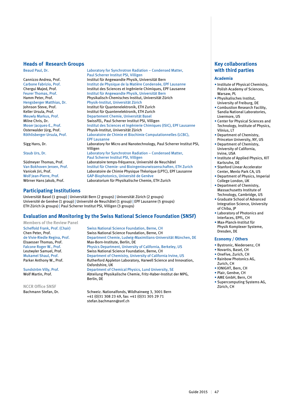#### **Heads of Research Groups**

Beaud Paul, Dr. Laboratory for Synchrotron Radiation – Condensed Matter,

Cannizzo Andrea, Prof. **Institut für Angewandte Physik, Universität Bern**<br>Carbone Fabrizio, Prof. **Institut de Physique de la Matière Condensée**, El Carbone Fabrizio, Prof. **Institut de Physique de la Matière Condensée**, EPF Lausanne<br>Chergui Maied. Prof. **Institut des Sciences et Ingénierie Chimiques. EPF Lausanne** Feurer Thomas, Prof.<br> **Institut für Angewandte Physik, Universität Bern**<br> **Physikalisch-Chemisches Institut, Universität Zü** Hamm Peter, Prof. Physikalisch-Chemisches Institut, Universität Zürich<br>Hengsberger Matthias, Dr. Physik-Institut, Universität Zürich Johnson Steve, Prof. Institut für Quantenelektronik, ETH Zurich Meuwly Markus, Prof. The Departement Chemie, Universität Basel<br>Milne Chris. Dr. Departement Chemie, 2011 Scherrer Institut PSI. Vill Milne Chris, Dr. SwissFEL, Paul Scherrer Institut PSI, Villigen<br>Moser Jacques-E.. Prof. The Unstitut des Sciences et Ingénierie Chimique Moser Jacques-E., Prof. Institut des Sciences et Ingénierie Chimiques (ISIC), EPF Lausanne<br>Osterwalder Jürg, Prof. Physik-Institut, Universität Zürich Osterwalder Jürg, Prof. Physik-Institut, Universität Zürich<br>
Röthlisberger Ursula, Prof. Laboratoire de Chimie et Biochimi

Sigg Hans, Dr. Laboratory for Micro and Nanotechnology, Paul Scherrer Institut PSI,

Staub Urs, Dr. Laboratory for Synchrotron Radiation – Condensed Matter,

Paul Scherrer Institut PSI, Villigen<br>
Laboratoire temps-fréquence. Univ Südmeyer Thomas, Prof. Laboratoire temps-fréquence, Université de Neuchâtel<br>Van Bokhoven Jeroen, Prof. listitut für Chemie- und Bioingenieurwissenschaften, I Van Bokhoven Jeroen, Prof. Institut für Chemie- und Bioingenieurwissenschaften, ETH Zurich Vanicek Jiri, Prof. **Laboratoire de Chimie Physique Théorique (LPTC), EPF Lausanne**<br>Wolf Jean-Pierre, Prof. **GAP-Biophotonics, Université de Genève** Wolf Jean-Pierre, Prof.<br>
Wörner Hans Jakob, Prof.<br>
Laboratorium für Physikalische Chemie,

### **Participating Institutions**

Universität Basel (1 group) | Universität Bern (2 groups) | Universität Zürich (2 groups) Université de Genève (1 group) | Université de Neuchâtel (1 group) | EPF Lausanne (5 groups) ETH Zürich (4 groups) | Paul Scherrer Institut PSI, Villigen (3 groups)

EPF Lausanne

Villigen

### **Evaluation and Monitoring by the Swiss National Science Foundation (SNSF)**

Paul Scherrer Institut PSI, Villigen

Physik-Institut, Universität Zürich

Institut für Quantenelektronik, ETH Zurich

Institut des Sciences et Ingénierie Chimiques, EPF Lausanne

Laboratoire de Chimie et Biochimie Computationnelles (LCBC),

Laboratorium für Physikalische Chemie, ETH Zurich

**Members of the Review Panel**

**NCCR Office SNSF**

Scheffold Frank, Prof. (Chair) Swiss National Science Foundation, Berne, CH<br>Chen Peter. Prof. Swiss National Science Foundation, Berne, CH Chen Peter, Prof.<br>
de Vivie-Riedle Regina, Prof.<br>
Department Chemie, Ludwig-Maximilians-Univ de Vivie-Riedle Regina, Prof. Department Chemie, Ludwig-Maximilians-Universität München, DE<br>Elsaesser Thomas. Prof. Max-Born-Institute, Berlin, DE Max-Born-Institute, Berlin, DE Falcone Roger W., Prof. Physics Department, University of California, Berkeley, US<br>
Leutwyler Samuel, Prof. Swiss National Science Foundation, Berne, CH Leutwyler Samuel, Prof. Swiss National Science Foundation, Berne, CH<br>
Mukamel Shaul, Prof. Department of Chemistry, University of Californ Department of Chemistry, University of California Irvine, US Parker Anthony W., Prof. Rutherford Appleton Laboratory, Harwell Science and Innovation, Oxfordshire, UK Sundström Villy, Prof. **Department of Chemical Physics, Lund University, SE**<br>Molf Martin. Prof. **Department of Chemical Physics, Lund University, SE** Abteilung Physikalische Chemie, Fritz-Haber-Institut der MPG, Berlin, DE

Bachmann Stefan, Dr. Schweiz. Nationalfonds, Wildhainweg 3, 3001 Bern +41 (0)31 308 23 49, fax: +41 (0)31 305 29 71 stefan.bachmann@snf.ch

# **Key collaborations with third parties**

#### **Academia**

- Institute of Physical Chemistry, Polish Academy of Sciences, Warsaw, PL
- Physikalisches Institut, University of Freiburg, DE
- Combustion Research Facility, Sandia National Laboratories, Livermore, US
- Center for Physical Sciences and Technology, Institute of Physics, Vilnius, LT
- Department of Chemistry, Princeton University, NY, US
- Department of Chemistry, University of California, Irvine, USA
- Institute of Applied Physics, KIT Karlsruhe, DE
- Stanford Linear Accelerator Center, Menlo Park CA, US
- Department of Physics, Imperial College London, UK
- Department of Chemistry, Massachusetts Institute of Technology, Cambridge, US
- Graduate School of Advanced Integration Science, University of Chiba, JP
- Laboratory of Photonics and Interfaces, EPFL, CH
- Max-Planck-Institut für Physik Komplexer Systeme, Dresden, DE

#### **Economy / Others**

- Bystronic, Niederoenz, CH
- Novartis, Basel, CH
- OneFive, Zurich, CH
- Rainbow Photonics AG, Zurich, CH
- IONIGHT, Bern, CH
- Plair, Genève, CH
- AME GmbH, Bern, CH
- Supercomputing Systems AG, Zürich, CH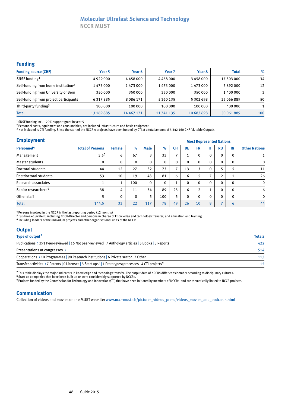# **Molecular Ultrafast Science and Technology**

**NCCR MUST**

## **Funding**

| <b>Funding source (CHF)</b>                     | Year 5     | Year 6         | Year <sub>7</sub> | Year 8     | <b>Total</b> | $\%$ |
|-------------------------------------------------|------------|----------------|-------------------|------------|--------------|------|
| SNSF funding <sup>1</sup>                       | 4929000    | 4458000        | 4458000           | 3458000    | 17 303 000   | 34   |
| Self-funding from home institution <sup>2</sup> | 1 473 000  | 1473000        | 1 473 000         | 1473000    | 5892000      | 12   |
| Self-funding from University of Bern            | 350000     | 350000         | 350 000           | 350000     | 1400000      |      |
| Self-funding from project participants          | 6317885    | 8 0 8 6 1 7 1  | 5 360 135         | 5 302 698  | 25 066 889   | 50   |
| Third-party funding <sup>3</sup>                | 100 000    | 100 000        | 100 000           | 100 000    | 400 000      |      |
| <b>Total</b>                                    | 13 169 885 | 14 4 6 7 1 7 1 | 11 741 135        | 10 683 698 | 50 061 889   | 100  |

1 SNSF funding incl. 120% support grant in year 5

<sup>2</sup> Personnel costs, equipment and consumables, not included infrastructure and basic equipment

<sup>3</sup> Not included is CTI funding. Since the start of the NCCR 4 projects have been funded by CTI at a total amount of 3 342 160 CHF (cf. table Output).

#### **Employment**

| <b>Employment</b>               | <b>Most Represented Nations</b> |                      |              |             |              |                |              |           |                          |                          |              |                      |
|---------------------------------|---------------------------------|----------------------|--------------|-------------|--------------|----------------|--------------|-----------|--------------------------|--------------------------|--------------|----------------------|
| Personnel <sup>4</sup>          | <b>Total of Persons</b>         | <b>Female</b>        | $\%$         | <b>Male</b> | $\%$         | <b>CH</b>      | <b>DE</b>    | <b>FR</b> | IT                       | <b>RU</b>                | IN           | <b>Other Nations</b> |
| Management                      | 3.5 <sup>5</sup>                | 6                    | 67           | 3           | 33           | $\overline{ }$ |              | 0         | 0                        | $\Omega$                 | 0            |                      |
| <b>Master students</b>          | 0                               | $\Omega$             | $\mathbf{0}$ | 0           | $\mathbf 0$  | $\mathbf 0$    | $\Omega$     | 0         | $\mathbf 0$              | $\Omega$                 | $\mathbf{0}$ | $\mathbf 0$          |
| Doctoral students               | 44                              | 12                   | 27           | 32          | 73           | $\overline{ }$ | 13           | 3         | $\mathbf 0$              | 5                        | ר            | 11                   |
| Postdoctoral students           | 53                              | 10                   | 19           | 43          | 81           | 6              | 6            |           | $\overline{\phantom{a}}$ | $\overline{2}$           |              | 26                   |
| Research associates             | $\overline{ }$                  | $\blacktriangleleft$ | 100          | 0           | $\mathbf{0}$ |                | $\mathbf{0}$ | 0         | $\Omega$                 | $\mathbf{0}$             | $\Omega$     | $\Omega$             |
| Senior researchers <sup>6</sup> | 38                              | 4                    | 11           | 34          | 89           | 23             | 6            | C.        | $\overline{ }$<br>Τ.     | $\mathbf{0}$             | $\mathbf{0}$ | 6                    |
| Other staff                     | 5                               | $\Omega$             | 0            | 5           | 100          | 5              | $\mathbf{0}$ | $\Omega$  | $\Omega$                 | $\mathbf{0}$             | $\Omega$     | $\mathbf{0}$         |
| <b>Total</b>                    | 144.5                           | 33                   | 22           | 117         | 78           | 49             | 26           | 10        | 8                        | $\overline{\phantom{a}}$ | 6            | 44                   |

<sup>4</sup> Persons involved in the NCCR in the last reporting period (12 months)

<sup>5</sup> Full-time equivalent, including NCCR-Director and persons in charge of knowledge and technology transfer, and education and training

6 Including leaders of the individual projects and other organisational units of the NCCR

# **Output**

| Type of output <sup>7</sup>                                                                                                    | <b>Totals</b> |
|--------------------------------------------------------------------------------------------------------------------------------|---------------|
| Publications > 391 Peer-reviewed   16 Not peer-reviewed   7 Anthology articles   5 Books   3 Reports                           | 422           |
| Presentations at congresses >                                                                                                  | 514           |
| Cooperations > 10 Programmes   90 Research institutions   6 Private sector   7 Other                                           | 113           |
| Transfer activities > 7 Patents   0 Licenses   3 Start-ups <sup>8</sup>   1 Prototypes/processes   4 CTI-projects <sup>9</sup> | 15            |

7 This table displays the major indicators in knowledge and technology transfer. The output data of NCCRs differ considerably according to disciplinary cultures.

<sup>8</sup> Start-up companies that have been built up or were considerably supported by NCCRs.

9 Projects funded by the Commission for Technology and Innovation (CTI) that have been initiated by members of NCCRs and are thematically linked to NCCR projects.

### **Communication**

Collection of videos and movies on the MUST website: www.nccr-must.ch/pictures\_videos\_press/videos\_movies\_and\_podcasts.html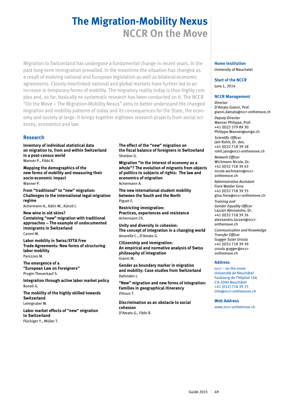# **The Migration-Mobility Nexus NCCR On the Move**

Migration to Switzerland has undergone a fundamental change in recent years. In the past long-term immigration prevailed. In the meantime the situation has changed as a result of evolving national and European legislation as well as bilateral economic agreements. Closely interlinked national and global markets have further led to an increase in temporary forms of mobility. The migratory reality today is thus highly complex and, so far, basically no systematic research has been conducted on it. The NCCR "On the Move – The Migration-Mobility Nexus" aims to better understand the changed migration and mobility patterns of today and its consequences for the State, the economy and society at large. It brings together eighteen research projects from social sciences, economics and law.

## **Research**

**Inventory of individual statistical data on migration to, from and within Switzerland in a post-census world** Wanner P., Fibbi R.

**Mapping the demographics of the new forms of mobility and measuring their socio-economic impact** Wanner P.

**From "traditional" to "new" migration: Challenges to the international legal migration regime** Achermann A., Kälin W., Künzli J.

**New wine in old skins? Containing "new" migration with traditional approaches – The example of undocumented immigrants in Switzerland**  Caroni M.

**Labor mobility in Swiss/EFTA Free Trade Agreements: New forms of structuring labor mobility**  Panizzon M.

**The emergence of a "European Law on Foreigners"**  Progin-Theuerkauf S.

**Integration through active labor market policy**  Bonoli G.

**The mobility of the highly skilled towards Switzerland**  Leimgruber W.

**Labor market effects of "new" migration to Switzerland**  Flückiger Y., Müller T.

**The effect of the "new" migration on the fiscal balance of foreigners in Switzerland**  Sheldon G.

**Migration "in the interest of economy as a whole"? The evolution of migrants from objects of politics to subjects of rights: The law and economics of migration**  Achermann A.

**The new international student mobility between the South and the North**  Piguet E.

**Restricting immigration: Practices, experiences and resistance**  Achermann Ch.

**Unity and diversity in cohesion: The concept of integration in a changing world** Amarelle C., D'Amato G.

**Citizenship and immigration: An empirical and normative analysis of Swiss philosophy of integration**  Gianni M.

**Gender as boundary marker in migration and mobility: Case studies from Switzerland**  Dahinden J.

**"New" migration and new forms of integration: Families in geographical itinerancy**  Zittoun T.

**Discrimination as an obstacle to social cohesion**  D'Amato G., Fibbi R.

# **Home Institution**

University of Neuchatel

#### **Start of the NCCR**

June 1, 2014

#### **NCCR Management**

*Director* D'Amato Gianni, Prof. gianni.damato@nccr-onthemove.ch *Deputy Director* Wanner Philippe, Prof. +41 (0)22 379 89 30 Philippe.Wanner@unige.ch *Scientific Officer* Jain Rohit, Dr. des.

+41 (0)32 718 39 18 rohit.jain@nccr-onthemove.ch

*Network Officer* Wichmann Nicole, Dr. +41 (0)32 718 39 43 nicole.wichmann@nccronthemove.ch

*Administrative Assistant* Fiore Walder Gina +41 (0)32 718 39 35

gina.fiore@nccr-onthemove.ch *Training and* 

*Gender Equality Officer* Lazzari Alessandro, Dr. +41 (0)32 718 39 26 alessandro.lazzari@nccronthemove.ch

*Communication and Knowledge Transfer Officer* Gugger Suter Ursula +41 (0)32 718 39 39 ursula.gugger@nccronthemove ch

#### **Address**

nccr – on the move Université de Neuchâtel Faubourg de l'Hôpital 106 CH-2000 Neuchâtel +41 (032) 718 39 25 info@nccr-onthemove.ch

#### **Web Address**

www.nccr-onthemove.ch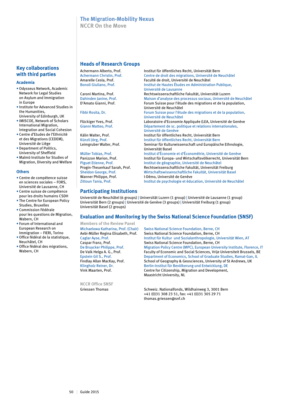# **The Migration-Mobility Nexus**

**NCCR On the Move**

### **Key collaborations with third parties**

#### **Academia**

- Odysseus Network, Academic Network for Legal Studies on Asylum and Immigration in Europe
- Institute for Advanced Studies in the Humanities, University of Edinburgh, UK
- IMISCOE, Network of Scholars International Migration, Integration and Social Cohesion
- Centre d'Etudes de l'Ethnicité et des Migrations (CEDEM), Université de Liège
- Department of Politics, University of Sheffield
- Malmö Institute for Studies of Migration, Diversity and Welfare

#### **Others**

- Centre de compétence suisse en sciences sociales – FORS, Université de Lausanne, CH
- Centre suisse de compétence pour les droits humains CSDH
- The Centre for European Policy Studies, Bruxelles
- Commission Fédérale pour les questions de Migration,
- Wabern, CH • Forum of International and European Research on
- Immigration FIERI, Torino • Office fédéral de la statistique, Neuchâtel, CH
- Office fédéral des migrations, Wabern, CH

#### **Heads of Research Groups**

| Achermann Alberto, Prof.      | Institut für öffentliches Recht, Universität Bern |
|-------------------------------|---------------------------------------------------|
| Achermann Christin, Prof.     | Centre de droit des migrations, Université de N   |
| Amarelle Cesla, Prof.         | Faculté de droit. Université de Neuchâtel         |
| <b>Bonoli Giuliano, Prof.</b> | Institut de Hautes Études en Administration Pu    |
|                               | Université de Lausanne                            |
| Caroni Martina, Prof.         | Rechtswissenschaftliche Fakultät. Universität L   |

Achermann Christin, Prof. Centre de droit des migrations, Université de Neuchâtel Bonoli Giuliano, Prof. **Institut de Hautes Études en Administration Publique,** Rechtswissenschaftliche Fakultät, Universität Luzern Dahinden Janine, Prof. Maison d'analyse des processus sociaux, Université de Neuchâtel D'Amato Gianni, Prof. Forum Suisse pour l'étude des migrations et de la population, Université de Neuchâtel Fibbi Rosita, Dr. Forum Suisse pour l'étude des migrations et de la population, Université de Neuchâtel Flückiger Yves, Prof. Laboratoire d'Economie Appliquée (LEA, Université de Genève<br>Gianni Matteo, Prof. Casas de Département de sc. politique et relations internationales. Département de sc. politique et relations internationales, Université de Genève Kälin Walter, Prof. The State of Unit institut für öffentliches Recht, Universität Bern<br>Institut für öffentliches Recht, Universität Bern Institut für öffentliches Recht, Universität Bern Leimgruber Walter, Prof. Seminar für Kulturwissenschaft und Europäische Ethnologie, Universität Basel<br>Müller Tobias. Prof. etter and the linstitut d'Économ Institut d'Économie et d'Économétrie, Université de Genève Panizzon Marion, Prof. **Institut für Europa- und Wirtschaftsvölkerrecht**, Universität Bern<br>Piguet Etienne, Prof. **Institut de géographie, Université de Neuch**âtel Institut de géographie, Université de Neuchâtel Progin-Theuerkauf Sarah, Prof. Rechtswissenschaftliche Fakultät, Universität Freiburg Sheldon George, Prof. Wirtschaftswissenschaftliche Fakultät, Universität Basel<br>Wanner Philippe, Prof. 1990 - I-Démo, Université de Genève I-Démo, Université de Genève

# Zittoun Tania, Prof. Institut de psychologie et éducation, Université de Neuchâtel

# **Participating Institutions**

Université de Neuchâtel (6 groups) | Universität Luzern (1 group) | Université de Lausanne (1 group) Universität Bern (2 groups) | Université de Genève (3 groups) | Universität Freiburg (1 group) Universität Basel (2 groups)

### **Evaluation and Monitoring by the Swiss National Science Foundation (SNSF)**

**Members of the Review Panel**

**NCCR Office SNSF**

Michaelowa Katharina, Prof. (Chair) Swiss National Science Foundation, Berne, CH Aebi-Müller Regina Elisabeth, Prof. Swiss National Science Foundation, Berne, CH Caglar Ayse, Prof. Institut für Kultur und Sozialanthropologie, Universität Wien, AT Caspar Franz, Prof. Swiss National Science Foundation, Berne, CH<br>
De Bruycker Philippe, Prof. Migration Policy Centre (MPC), European Unive Migration Policy Centre (MPC), European University Institute, Florence, IT De Valk Helga A. G., Prof. Faculty of Economic and Social Sciences, Vrije Universiteit Brussels, BE Epstein Gil S., Prof. Department of Economics, School of Graduate Studies, Ramat-Gan, IL Findlay Allan MacKay, Prof. School of Geography & Geosciences, University of St Andrews, UK Klingholz Reiner, Dr. Berlin-Institut für Bevölkerung und Entwicklung, DE Vink Maarten, Prof. Centre for Citizenship, Migration and Development, Maastricht University, NL

Griessen Thomas Schweiz. Nationalfonds, Wildhainweg 3, 3001 Bern +41 (0)31 308 23 51, fax: +41 (0)31 305 29 71 thomas.griessen@snf.ch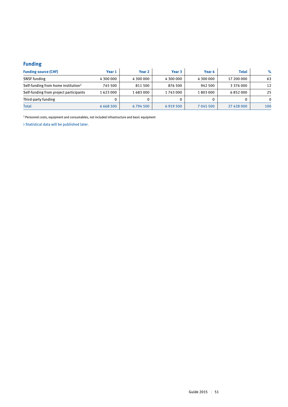# **Funding**

| <b>Funding source (CHF)</b>                     | Year 1        | Year 2    | Year 3    | Year 4    | <b>Total</b>  | %            |
|-------------------------------------------------|---------------|-----------|-----------|-----------|---------------|--------------|
| <b>SNSF</b> funding                             | 4 300 000     | 4 300 000 | 4 300 000 | 4 300 000 | 17 200 000    | 63           |
| Self-funding from home institution <sup>1</sup> | 745 500       | 811 500   | 876 500   | 942 500   | 3 3 7 6 0 0 0 | 12           |
| Self-funding from project participants          | 1623000       | 1683000   | 1743000   | 1803000   | 6852000       | 25           |
| Third-party funding                             |               |           |           |           |               | $\mathbf{0}$ |
| <b>Total</b>                                    | 6 6 6 8 5 0 0 | 6794500   | 6919500   | 7 045 500 | 27 428 000    | 100          |

 $^{\rm 1}$  Personnel costs, equipment and consumables, not included infrastructure and basic equipment

> Statistical data will be published later.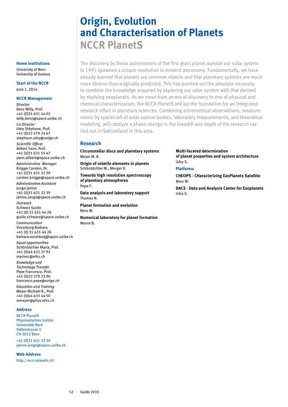# **Origin, Evolution and Characterisation of Planets NCCR PlanetS**

The discovery by Swiss astronomers of the first giant planet outside our solar system in 1995 spawned a unique revolution in modern astronomy. Fundamentally, we have already learned that planets are common objects and that planetary systems are much more diverse than originally predicted. This has pointed out the absolute necessity to combine the knowledge acquired by exploring our solar system with that derived by studying exoplanets. As we move from an era of discovery to one of physical and chemical characterization, the NCCR PlanetS will lay the foundation for an integrated research effort in planetary sciences. Combining astronomical observations, measurements by spacecraft of solar system bodies, laboratory measurements, and theoretical modeling, will catalyze a phase change in the breadth and depth of the research carried out in Switzerland in this area.

## **Research**

**Circumstellar discs and planetary systems**  Meyer M. R.

**Origin of volatile elements in planets**  Schönbächler M., Mezger K.

**Towards high resolution spectroscopy of planetary atmospheres**  Pepe F.

**Data analysis and laboratory support**  Thomas N.

**Planet formation and evolution**  Benz W.

**Numerical laboratory for planet formation**  Moore B.

**Multi-faceted determination of planet properties and system architecture**  Udry S.

**Platforms**

**CHEOPS - CHaracterizing ExoPlanets Satellite**  Benz W.

**DACE - Data and Analysis Center for Exoplanets**  Udry S.

**Home Institutions**

University of Bern University of Geneva

**Start of the NCCR** June 1, 2014

#### **NCCR Management**

*Director* Benz Willy, Prof. +41 (0)31 631 44 03 willy.benz@space.unibe.ch *Co-Director*  Udry Stéphane, Prof. +41 (0)22 379 24 67 stephane.udry@unige.ch *Scientific Officer* Alibert Yann, Prof. +41 (0)31 631 55 47 yann.alibert@space.unibe.ch *Administrative Manager* Knigge Carsten, Dr. +41 (0)31 631 32 39 carsten.knigge@space.unibe.ch *Administrative Assistant* Jungo Janine +41 (0)31 631 32 39 janine.jungo@space.unibe.ch *Outreach* Schwarz Guido +41 (0) 31 631 44 28 guido.schwarz@space.unibe.ch *Communication*

Vonarburg Barbara +41 (0) 31 631 44 28 barbara.vonarburg@space.unibe.ch *Equal opportunities*

Schönbächler Maria, Prof. +41 (0)44 632 37 92 mariasc@ethz.ch

*Knowledge and Technology Transfer* Pepe Francesco, Prof. +41 (0)22 379 23 96 francesco.pepe@unige.ch *Education and Training* Meyer Michael R., Prof. +41 (0)44 633 44 50 mmeyer@phys.ethz.ch

#### **Address**

NCCR PlanetS Physikalisches Institut Universität Bern Sidlerstrasse 5 CH-3012 Bern

+41 (0)31 631 32 39 janine.jungo@space.unibe.ch

#### **Web Address**

http://nccr-planets.ch/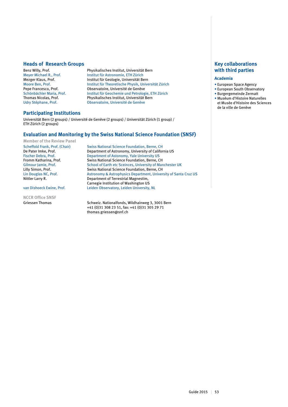#### **Heads of Research Groups**

Benz Willy, Prof.<br>
Meyer Michael R., Prof.<br>
Institut für Astronomie, ETH Zürich<br>
Institut für Astronomie, ETH Zürich Meyer Michael R., Prof. Institut für Astronomie, ETH Zürich Mezger Klaus, Prof. Institut für Geologie, Universität Bern Moore Ben, Prof. **Institut für Theoretische Physik, Universität Zürich**<br> **Pepe Francesco. Prof.** Observatoire. Université de Genève Pepe Francesco, Prof. **Observatoire, Université de Genève**<br>
Schönbächler Maria, Prof. **Observatoire in Schönbächler Maria, Prof.** Muslitut für Geochemie und Petrolog Schönbächler Maria, Prof. **Institut für Geochemie und Petrologie, ETH Zürich Institut Für Schönbächler Institut**<br>Institut, Universität Bern Institut Universität Bern Thomas Nicolas, Prof. Physikalisches Institut, Universität Bern<br>
Udry Stéphane, Prof. Physikalisches Institut, Université de Genève Observatoire, Université de Genève

## **Participating Institutions**

Universität Bern (2 groups) / Université de Genève (2 groups) / Universität Zürich (1 group) / ETH Zürich (2 groups)

#### **Evaluation and Monitoring by the Swiss National Science Foundation (SNSF)**

**Member of the Review Panel**

**NCCR Office SNSF**

Scheffold Frank, Prof. (Chair) Swiss National Science Foundation, Berne, CH<br>De Pater Imke, Prof. (Chair) Department of Astronomy, University of Califor Department of Astronomy, University of California US Fischer Debra, Prof. 2008 Department of Astonomy, Yale University US<br>
Fromm Katharina, Prof. 2008 Swiss National Science Foundation, Berne, C Fromm Katharina, Prof. Swiss National Science Foundation, Berne, CH<br>Gilmour Jamie, Prof. School of Earth etc Sceinces. University of Mar School of Earth etc Sceinces, University of Manchester UK Lilly Simon, Prof.<br>
Lin Douglas NC, Prof.<br>
Astronomy & Astrophysics Department, Univer Astronomy & Astrophysics Department, University of Santa Cruz US Nittler Larry R. Department of Terrestrial Magnestim, Carnegie Institution of Washington US<br>
Van Dishoeck Ewine, Prof. Leiden Observatory, Leiden University, Leiden Observatory, Leiden University, NL

Griessen Thomas Schweiz. Nationalfonds, Wildhainweg 3, 3001 Bern +41 (0)31 308 23 51, fax: +41 (0)31 305 29 71 thomas.griessen@snf.ch

## **Key collaborations with third parties**

#### **Academia**

- European Space Agency
- European South Observatory • Burgergemeinde Zermatt
- Muséum d'Histoire Naturelles
- et Musée d'Histoire des Sciences de la ville de Genève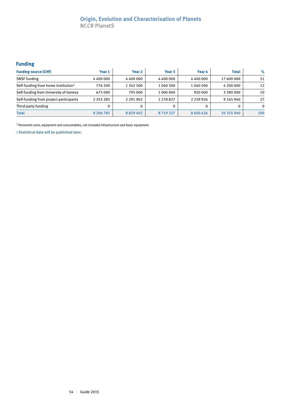# **Origin, Evolution and Characterisation of Planets NCCR PlanetS**

# **Funding**

| <b>Funding source (CHF)</b>                     | Year 1        | Year 2        | Year 3        | Year 4        | <b>Total</b> | $\%$     |
|-------------------------------------------------|---------------|---------------|---------------|---------------|--------------|----------|
| <b>SNSF</b> funding                             | 4400000       | 4400000       | 4 400 000     | 4400000       | 17 600 000   | 51       |
| Self-funding from home institution <sup>1</sup> | 776 500       | 1 342 500     | 1 040 500     | 1 040 500     | 4 200 000    | 12       |
| Self-funding from University of Geneva          | 675 000       | 795 000       | 1 000 000     | 920 000       | 3 390 000    | 10       |
| Self-funding from project participants          | 2 3 5 5 2 8 5 | 2 2 9 1 9 0 2 | 2 2 7 8 8 2 7 | 2 2 3 9 9 2 6 | 9 165 940    | 27       |
| Third-party funding                             | 0             |               |               |               |              | $\Omega$ |
| <b>Total</b>                                    | 8 206 785     | 8829402       | 8719327       | 8 600 426     | 34 355 940   | 100      |

1 Personnel costs, equipment and consumables, not included infrastructure and basic equipment

> Statistical data will be published later.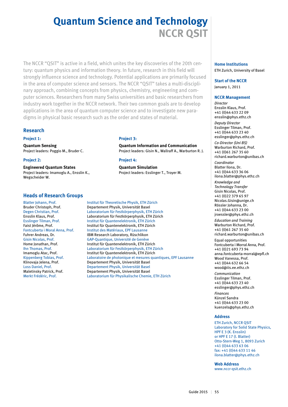# **Quantum Science and Technology NCCR QSIT**

The NCCR "QSIT" is active in a field, which unites the key discoveries of the 20th century: quantum physics and information theory. In future, research in this field will strongly influence science and technology. Potential applications are primarily focused in the area of computer science and sensors. The NCCR "QSIT" takes a multi-disciplinary approach, combining concepts from physics, chemistry, engineering and computer sciences. Researchers from many Swiss universities and basic researchers from industry work together in the NCCR network. Their two common goals are to develop applications in the area of quantum computer science and to investigate new paradigms in physical basic research such as the order and states of material.

## **Research**

#### **Project 1:**

**Quantum Sensing** Project leaders: Poggio M., Bruder C.

#### **Project 2:**

**Engineered Quantum States** Project leaders: Imamoglu A., Ensslin K., Wegscheider W.

#### **Heads of Research Groups**

#### **Project 3:**

**Quantum Information and Communication** Project leaders: Gisin N., Wallraff A., Warburton R. J.

#### **Project 4:**

**Quantum Simulation** Project leaders: Esslinger T., Troyer M.

Blatter Johann, Prof. Institut für Theoretische Physik, ETH Zürich Bruder Christoph, Prof. Departement Physik, Universität Basel Degen Christian, Prof. Laboratorium für Festkörperphysik, ETH Zürich Ensslin Klaus, Prof. Laboratorium für Festkörperphysik, ETH Zürich Esslinger Tilman, Prof.<br>
Faist Jérôme, Prof. Institut für Quantenelektronik, ETH Zürich Institut für Quantenelektronik, ETH Zürich Fontcuberta i Moral Anna, Prof. Institut des Matériaux, EPF Lausanne Fuhrer Andreas, Dr. **IBM Research Laboratory, Rüschlikon** Gisin Nicolas, Prof. GAP-Quantique, Université de Genève Home Jonathan, Prof. Institut für Quantenelektronik, ETH Zürich Ihn Thomas, Prof. Laboratorium für Festkörperphysik, ETH Zürich Imamoglu Atac, Prof. Institut für Quantenelektronik, ETH Zürich Kippenberg Tobias, Prof. Laboratoire de photonique et mesures quantiques, EPF Lausanne Klinovaja Jelena, Prof. Departement Physik, Universität Basel Loss Daniel, Prof. Departement Physik, Universität Basel Departement Physik, Universität Basel Merkt Frédéric, Prof. Laboratorium für Physikalische Chemie, ETH Zürich

#### **Home Institutions** ETH Zurich, University of Basel

**Start of the NCCR** January 1, 2011

#### **NCCR Management**

*Director* Ensslin Klaus, Prof. +41 (0)44 633 22 09 ensslin@phys.ethz.ch *Deputy Director*

Esslinger Tilman, Prof. +41 (0)44 633 23 40 esslinger@phys.ethz.ch

*Co-Director (Uni BS)* Warburton Richard, Prof. +41 (0)61 267 35 60 richard.warburton@unibas.ch

*Coordinator* Blatter Ilona, Dr. +41 (0)44 633 36 06 ilona.blatter@phys.ethz.ch

*Knowledge and Technology Transfer* Gisin Nicolas, Prof. +41 (0)22 379 65 97 Nicolas.Gisin@unige.ch Rössler Johanna, Dr. +41 (0)44 633 23 00 jroessler@phys.ethz.ch

*Education and Training* Warburton Richard, Prof. +41 (0)61 267 35 60 richard.warburton@unibas.ch

Equal opportunities Fontcuberta i Morral Anna, Prof. +41 (0)21 693 73 94 anna.fontcuberta-morral@epfl.ch Wood Vanessa, Prof. +41 (0)44 632 66 54 wood@iis.ee.ethz.ch

*Communication* Esslinger Tilman, Prof. +41 (0)44 633 23 40 esslinger@phys.ethz.ch

*Finances* Künzel Sandra +41 (0)44 633 23 00 kuenzels@phys.ethz.ch

#### **Address**

ETH Zurich, NCCR QSIT Laboratory for Solid State Physics, HPF E 3 (K. Ensslin) or HPF E 17 (I. Blatter) Otto-Stern-Weg 1, 8093 Zurich +41 (0)44 633 63 06 fax: +41 (0)44 633 11 46 ilona.blatter@phys.ethz.ch

**Web Address** www.nccr-qsit.ethz.ch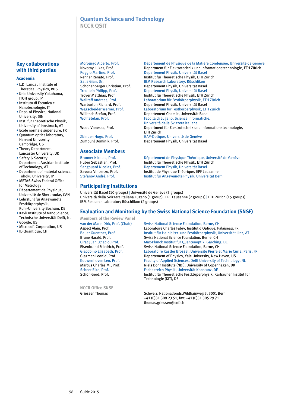## **Quantum Science and Technology NCCR QSIT**

# **Key collaborations with third parties**

#### **Academia**

- L.D. Landau Institute of Thoretical Physics, RUS
- Keio University Yokohama, ITOH group, JP
- Instituto di Fotonica e Nanotecnologie, IT
- Dept. of Physics, National University, SIN
- Inst. für Theoretische Physik, University of Innsbruck, AT
- Ecole normale superieure, FR • Quantum optics laboratory, Harvard Univserity Cambridge, US
- Theory Department, Lancaster University, UK
- Safety & Security Department, Austrian Institute of Technology, AT
- Department of material science, Tohoku University, JP
- METAS Swiss Federal Office for Metrology
- Département de Physique, Université de Sherbrooke, CAN
- Lehrstuhl für Angewandte Festkörperphysik, Ruhr-University Bochum, DE
- Kavli Institute of NanoScience, Technische Universität Delft, NL
- Google, US
- Microsoft Corporation, US • ID Quantique, CH

#### **Associate Members**

| <b>Brunner Nicolas, Prof.</b> |
|-------------------------------|
| luber Sebastian. Prof.        |
| angouard Nicolas, Prof.       |
| iavona Vincenzo. Prof.        |
| itefanov André Prof           |

Morpurgo Alberto, Prof. Département de Physique de la Matière Condensée, Université de Genève<br>Novotny Lukas, Prof. Department für Elektrotechnik und Informationstechnologie, ETH Zürich Novotny Lukas, Prof. Department für Elektrotechnik und Informationstechnologie, ETH Zürich Poggio Martino, Prof. Departement Physik, Universität Basel Renner Renato, Prof. **Institut für Theoretische Physik, ETH Zürich**<br>Salis Gian, Dr. **IBM Research Laboratory, Rüschlikon** IBM Research Laboratory, Rüschlikon Schönenberger Christian, Prof. Departement Physik, Universität Basel Treutlein Philipp, Prof. Departement Physik, Universität Basel Troyer Matthias, Prof. Institut für Theoretische Physik, ETH Zürich Wallraff Andreas, Prof. Laboratorium für Festkörperphysik, ETH Zürich Warburton Richard, Prof.<br>
Universität Basel<br>
Universität Basel<br>
Laboratorium für Festkörperphysik, ETI Wegscheider Werner, Prof. Laboratorium für Festkörperphysik, ETH Zürich<br>Willitsch Stefan, Prof. Departement Chemie, Universität Basel Willitsch Stefan, Prof. Departement Chemie, Universität Basel Facoltà di Lugano, Scienze informatiche, Università della Svizzera italiana Wood Vanessa, Prof. Department für Elektrotechnik und Informationstechnologie, ETH Zürich Zbinden Hugo, Prof. GAP-Optique, Université de Genève Departement Physik, Universität Basel

Brunner Nicolas, Prof. Département de Physique Théorique, Université de Genève Huber Sebastian, Prof. Institut für Theoretische Physik, ETH Zürich Sangouard Nicolas, Prof. Departement Physik, Universität Basel Savona Vincenzo, Prof. **Institut de Physique Théorique, EPF Lausanne**<br>Stefanov André, Prof. **Institut für Angewandte Physik, Universität Be** Institut für Angewandte Physik, Universität Bern

# **Participating Institutions**

Universität Basel (10 groups) | Université de Genève (3 groups) Università della Svizzera Italiana Lugano (1 group) | EPF Lausanne (2 groups) | ETH Zürich (15 groups) IBM Research Laboratory Rüschlikon (2 groups)

# **Evaluation and Monitoring by the Swiss National Science Foundation (SNSF)**

**Members of the Review Panel**

**NCCR Office SNSF**

van der Marel Dirk, Prof. (Chair) Swiss National Science Foundation, Berne, CH Aspect Alain, Prof. Laboratoire Charles Fabry, Institut d'Optique, Palaiseau, FR Bauer Guenther, Prof. Institut für Halbleiter- und Festkörperphysik, Universität Linz, AT Brune Harald, Prof. Swiss National Science Foundation, Berne, CH Cirac Juan Ignacio, Prof. Max-Planck Institut für Quantenoptik, Garching, DE Eisenbrand Friedrich, Prof.<br>
Giacobino Elisabeth, Prof. 
Laboratoire Kastler Brossel, Université Pierre e Laboratoire Kastler Brossel, Université Pierre et Marie Curie, Paris, FR Glazman Leonid, Prof. Departement of Physics, Yale University, New Haven, US Kouwenhoven Leo, Prof. Faculty of Applied Sciences, Delft University of Technology, NL<br>Marcus Charles M., Prof. Niels Bohr Institute (NBI). University of Copenhagen. DK Niels Bohr Institute (NBI), University of Copenhagen, DK Scheer Elke, Prof. Fachbereich Physik, Universität Konstanz, DE<br>Schön Gerd. Prof. Fachbereich Physik, Universität Konstanz, DE Institut für Theoretische Festkörperphysik, Karlsruher Institut für Technologie (KIT), DE

Griessen Thomas Schweiz. Nationalfonds,Wildhainweg 3, 3001 Bern +41 (0)31 308 23 51, fax: +41 (0)31 305 29 71 thomas.griessen@snf.ch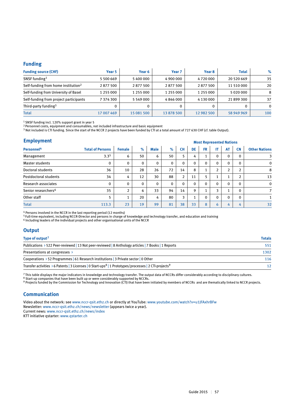#### **Funding**

| <b>Funding source (CHF)</b>                     | Year 5     | Year 6     | Year <sub>7</sub> | Year 8     | <b>Total</b> | $\%$         |
|-------------------------------------------------|------------|------------|-------------------|------------|--------------|--------------|
| SNSF funding <sup>1</sup>                       | 5 500 669  | 5400000    | 4 900 000         | 4720000    | 20 520 669   | 35           |
| Self-funding from home institution <sup>2</sup> | 2877500    | 2877500    | 2877500           | 2877500    | 11 510 000   | 20           |
| Self-funding from University of Basel           | 1 255 000  | 1 255 000  | 1 255 000         | 1 255 000  | 5020000      | 8            |
| Self-funding from project participants          | 7 374 300  | 5 549 000  | 4846000           | 4 130 000  | 21899300     | 37           |
| Third-party funding <sup>3</sup>                | 0          | $\Omega$   |                   | 0          |              | $\mathbf{0}$ |
| <b>Total</b>                                    | 17 007 469 | 15 081 500 | 13878500          | 12 982 500 | 58 949 969   | 100          |

1 SNSF funding incl. 120% support grant in year 5

2 Personnel costs, equipment and consumables, not included infrastructure and basic equipment<br>3 Not included is CTI funding. Since the start of the NCCR 2 projects have been funded by CTI at a total amount of 727 630 CHF (

#### **Employment**

| <b>Employment</b>               |                         |               | <b>Most Represented Nations</b> |             |              |                |                |              |                          |                |              |                      |
|---------------------------------|-------------------------|---------------|---------------------------------|-------------|--------------|----------------|----------------|--------------|--------------------------|----------------|--------------|----------------------|
| Personnel <sup>4</sup>          | <b>Total of Persons</b> | <b>Female</b> | $\%$                            | <b>Male</b> | $\%$         | <b>CH</b>      | <b>DE</b>      | <b>FR</b>    | IT                       | <b>AT</b>      | <b>CN</b>    | <b>Other Nations</b> |
| Management                      | 3.3 <sup>5</sup>        | 6             | 50                              | 6           | 50           | 5              | 4              |              | $\mathbf 0$              | $\mathbf{0}$   | 0            | 3                    |
| Master students                 | 0                       | $\mathbf{0}$  | $\Omega$                        | $\mathbf 0$ | $\mathbf{0}$ | $\mathbf{0}$   | $\Omega$       | 0            | $\mathbf 0$              | $\Omega$       | $\mathbf{0}$ | $\mathbf 0$          |
| Doctoral students               | 36                      | 10            | 28                              | 26          | 72           | 14             | 8              |              | $\overline{2}$           | $\overline{2}$ | C.           | 8                    |
| Postdoctoral students           | 34                      | 4             | 12                              | 30          | 88           | $\overline{2}$ | 11             |              | $\overline{\phantom{a}}$ |                | C.           | 13                   |
| Research associates             | $\mathbf 0$             | $\mathbf{0}$  | $\Omega$                        | $\mathbf 0$ | $\mathbf 0$  | $\mathbf{0}$   | $\mathbf{0}$   | $\mathbf{0}$ | $\mathbf{0}$             | $\Omega$       | $\mathbf{0}$ | $\mathbf 0$          |
| Senior researchers <sup>6</sup> | 35                      | 2             | 6                               | 33          | 94           | 14             | 9              |              | 3                        |                | $\mathbf{0}$ |                      |
| Other staff                     | 5                       | ◢             | 20                              | 4           | 80           | 3              | $\overline{ }$ | $\Omega$     | $\Omega$                 | $\Omega$       | $\mathbf{0}$ |                      |
| <b>Total</b>                    | 113.3                   | 23            | 19                              | 99          | 81           | 38             | 33             | 8            | 6                        | 4              | 4            | 32                   |

4 Persons involved in the NCCR in the last reporting period (12 months)<br><sup>5</sup> Full-time equivalent, including NCCR-Director and persons in charge of knowledge and technology transfer, and education and training<br><sup>6</sup> Including

## **Output**

| Type of output <sup>7</sup>                                                                                                    | <b>Totals</b> |
|--------------------------------------------------------------------------------------------------------------------------------|---------------|
| Publications > 522 Peer-reviewed   13 Not peer-reviewed   8 Anthology articles   7 Books   1 Reports                           | 551           |
| Presentations at congresses $\rightarrow$                                                                                      | 1302          |
| Cooperations > 52 Programmes   61 Research institutions   3 Private sector   0 Other                                           | 116           |
| Transfer activities > 6 Patents   3 Licenses   0 Start-ups <sup>8</sup>   1 Prototypes/processes   2 CTI-projects <sup>9</sup> | 12            |

 $^7$  This table displays the major indicators in knowledge and technology transfer. The output data of NCCRs differ considerably according to disciplinary cultures.

<sup>8</sup> Start-up companies that have been built up or were considerably supported by NCCRs.<br><sup>9</sup> Projects funded by the Commission for Technology and Innovation (CTI) that have been initiated by members of NCCRs and are themati

#### **Communication**

Video about the network: see www.nccr-qsit.ethz.ch or directly at YouTube: www.youtube.com/watch?v=u1JFAxhrBFw Newsletter: www.nccr-qsit.ethz.ch/news/newsletter (appears twice a year). Current news: www.nccr-qsit.ethz.ch/news/index

KTT initiative qstarter: www.qstarter.ch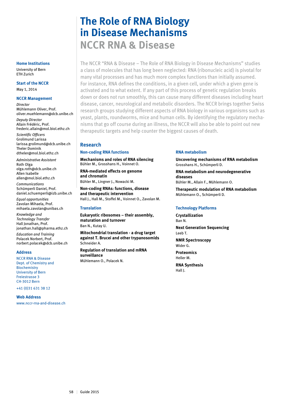# **The Role of RNA Biology in Disease Mechanisms NCCR RNA & Disease**

The NCCR "RNA & Disease – The Role of RNA Biology in Disease Mechanisms" studies a class of molecules that has long been neglected: RNA (ribonucleic acid) is pivotal for many vital processes and has much more complex functions than initially assumed. For instance, RNA defines the conditions, in a given cell, under which a given gene is activated and to what extent. If any part of this process of genetic regulation breaks down or does not run smoothly, this can cause many different diseases including heart disease, cancer, neurological and metabolic disorders. The NCCR brings together Swiss research groups studying different aspects of RNA biology in various organisms such as yeast, plants, roundworms, mice and human cells. By identifying the regulatory mechanisms that go off course during an illness, the NCCR will also be able to point out new therapeutic targets and help counter the biggest causes of death.

#### **Research**

#### **Non-coding RNA functions**

**Mechanisms and roles of RNA silencing**  Bühler M., Grosshans H., Voinnet O. **RNA-mediated effects on genome and chromatin**  Bühler M., Lingner J., Nowacki M.

**Non-coding RNAs: functions, disease and therapeutic intervention**  Hall J., Hall M., Stoffel M., Voinnet O., Zavolan M.

#### **Translation**

**Eukaryotic ribosomes – their assembly, maturation and turnover**  Ban N., Kutay U.

**Mitochondrial translation - a drug target against T. Brucei and other trypanosomids**  Schneider A.

**Regulation of translation and mRNA surveillance**  Mühlemann O., Polacek N.

#### **RNA metabolism**

**Uncovering mechanisms of RNA metabolism**  Grosshans H., Schümperli D. **RNA metabolism and neurodegenerative diseases** 

Bühler M., Allain F., Mühlemann O.

**Therapeutic modulation of RNA metabolism**  Mühlemann O., Schümperli D.

#### **Technology Platforms**

**Crystallization** Ban N.

**Next Generation Sequencing** Leeb T.

**NMR Spectroscopy**  Wider G.

**Proteomics**  Heller M.

**RNA Synthesis**  Hall J.

#### **Home Institutions**

University of Bern ETH Zurich

# **Start of the NCCR**

May 1, 2014

#### **NCCR Management**

*Director* Mühlemann Oliver, Prof. oliver.muehlemann@dcb.unibe.ch *Deputy Director* Allain Frédéric, Prof.

frederic.allain@mol.biol.ethz.ch *Scientific Officers* Grolimund Larissa

larissa.grolimund@dcb.unibe.ch Theler Dominik dtheler@mol.biol.ethz.ch

*Administrative Assistant*  Roth Olga olga.roth@dcb.unibe.ch Allen Isabelle allen@mol.biol.ethz.ch

*Communications* Schümperli Daniel, Prof. daniel.schuemperli@izb.unibe.ch

*Equal opportunities*  Zavolan Mihaela, Prof. mihaela.zavolan@unibas.ch

*Knowledge and Technology Transfer*  Hall Jonathan, Prof. jonathan.hall@pharma.ethz.ch

*Education and Training*  Polacek Norbert, Prof. norbert.polacek@dcb.unibe.ch

#### **Address**

NCCR RNA & Disease Dept. of Chemistry and **Biochemistry** University of Bern Freiestrasse 3 CH-3012 Bern

+41 (0)31 631 38 12

#### **Web Address**

www.nccr-rna-and-disease.ch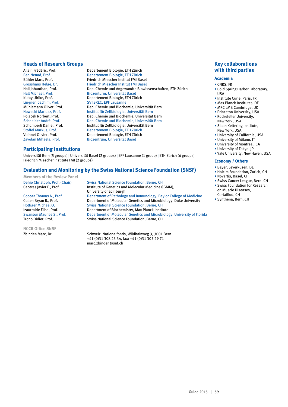#### **Heads of Research Groups**

Allain Frédéric, Prof. Departement Biologie, ETH Zürich **Departement Biologie, ETH Zürich** Bühler Marc, Prof. Friedrich Miescher Institut FMI Basel Grosshans Helge, Dr. Friedrich Miescher Institut FMI Basel<br>Hall Iohanthan. Prof. **Friedrich Exercise Chemie und Angewandte Biowi**s Dep. Chemie und Angewandte Biowissenschaften, ETH Zürich Hall Michael, Prof. Biozenturm, Universität Basel Kutay Ulrike, Prof. Departement Biologie, ETH Zürich<br>
Lingner Joachim, Prof. SV ISREC, EPF Lausanne SV ISREC, EPF Lausanne Mühlemann Oliver, Prof.<br>
Nowacki Mariusz. Prof.<br>
Institut für Zellbiologie. Universität Bern Nowacki Mariusz, Prof. Institut für Zellbiologie, Universität Bern Polacek Norbert, Prof.<br>
Schneider André. Prof.<br>
Dep. Chemie und Biochemie. Universität Bern<br>
Dep. Chemie und Biochemie. Universität Bern Schneider André, Prof. Dep. Chemie und Biochemie, Universität Bern<br>Schümnerli Daniel. Prof. Prof. Institut für Zellbiologie, Universität Bern Schümperli Daniel, Prof. **Institut für Zellbiologie, Universität Bern**<br>Stoffel Markus, Prof. **Institut Biologie, ETH Zürich** Stoffel Markus, Prof. Departement Biologie, ETH Zürich Departement Biologie, ETH Zürich Zavolan Mihaela, Prof. Biozentrum, Universität Basel

#### **Participating Institutions**

Universität Bern (5 groups) | Universität Basel (2 groups) | EPF Lausanne (1 group) | ETH Zürich (6 groups) Friedrich Miescher Institute FMI (2 groups)

#### **Evaluation and Monitoring by the Swiss National Science Foundation (SNSF)**

**Members of the Review Panel**

**NCCR Office SNSF**

Dehio Christoph, Prof. (Chair) Swiss National Science Foundation, Berne, CH Caceres Javier F., Prof. **Institute of Genetics and Molecular Medicine (IGMM)**, University of Edinburgh Cooper Thomas A., Prof. Department of Pathology and Immunology, Baylor College of Medicine Cullen Bryan R., Prof. **Department of Molecular Genetics and Microbiology**, Duke University<br>
Hottiger Michael O. Swiss National Science Foundation. Berne. CH Hottiger Michael O. Swiss National Science Foundation, Berne, CH<br>Izaurralde Elisa, Prof. Department of Biochemistry, Max Planck Instit Izaurralde Elisa, Prof. Department of Biochemistry, Max Planck Institute<br>Swanson Maurice S., Prof. Department of Molecular Genetics and Microbiology Swanson Maurice S., Prof. Department of Molecular Genetics and Microbiology, University of Florida<br>Trono Didier. Prof. Swiss National Science Foundation. Berne. CH Swiss National Science Foundation, Berne, CH

Zbinden Marc, Dr. Schweiz. Nationalfonds, Wildhainweg 3, 3001 Bern +41 (0)31 308 23 34, fax: +41 (0)31 305 29 71 marc.zbinden@snf.ch

### **Key collaborations with third parties**

#### **Academia**

- CNRS, FR
- Cold Spring Harbor Laboratory, USA
- Institute Curie, Paris, FR
- Max Planck Institutes, DE
- MRC LMB Cambridge, UK
- Princeton University, USA • Rockefeller University,
- New York, USA • Sloan Kettering Institute,
- New York, USA
- University of California, USA
- University of Milano, IT
- University of Montreal, CA
- University of Tokyo, JP • Yale University, New Haven, USA
- 

#### **Economy / Others**

- Bayer, Leverkusen, DE
- Holcim Foundation, Zurich, CH
- Novartis, Basel, CH
- Swiss Cancer League, Bern, CH • Swiss Foundation for Research on Muscle Diseases, Cortaillod, CH
- 
- Synthena, Bern, CH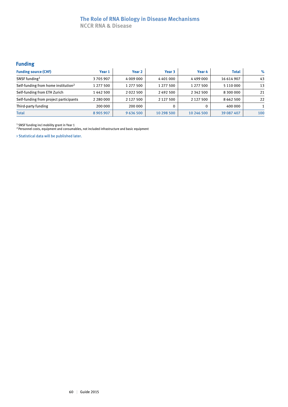# **The Role of RNA Biology in Disease Mechanisms**

**NCCR RNA & Disease**

# **Funding**

| <b>Funding source (CHF)</b>                     | Year 1        | Year <sub>2</sub> | Year <sub>3</sub> | Year 4        | <b>Total</b>  | $\%$ |
|-------------------------------------------------|---------------|-------------------|-------------------|---------------|---------------|------|
| SNSF funding <sup>1</sup>                       | 3705907       | 4 009 000         | 4401000           | 4499000       | 16 614 907    | 43   |
| Self-funding from home institution <sup>2</sup> | 1 277 500     | 1 277 500         | 1 277 500         | 1 277 500     | 5 110 000     | 13   |
| Self-funding from ETH Zurich                    | 1 442 500     | 2022500           | 2492500           | 2 3 4 2 5 0 0 | 8 300 000     | 21   |
| Self-funding from project participants          | 2 2 8 0 0 0 0 | 2 1 2 7 5 0 0     | 2 1 2 7 5 0 0     | 2 1 2 7 5 0 0 | 8 6 6 2 5 0 0 | 22   |
| Third-party funding                             | 200 000       | 200 000           |                   | 0             | 400 000       |      |
| <b>Total</b>                                    | 8 9 0 5 9 0 7 | 9636500           | 10 298 500        | 10 246 500    | 39 087 407    | 100  |

<sup>1</sup> SNSF funding incl mobility grant in Year 1

<sup>2</sup> Personnel costs, equipment and consumables, not included infrastructure and basic equipment

> Statistical data will be published later.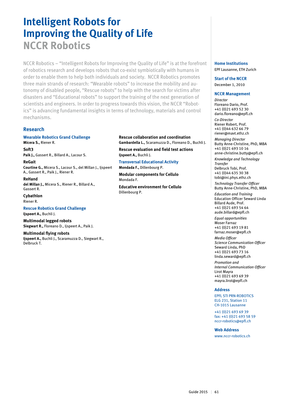# **Intelligent Robots for Improving the Quality of Life NCCR Robotics**

NCCR Robotics – "Intelligent Robots for Improving the Quality of Life" is at the forefront of robotics research and develops robots that co-exist symbiotically with humans in order to enable them to help both individuals and society. NCCR Robotics promotes three main strands of research: "Wearable robots" to increase the mobility and autonomy of disabled people, "Rescue robots" to help with the search for victims after disasters and "Educational robots" to support the training of the next generation of scientists and engineers. In order to progress towards this vision, the NCCR "Robotics" is advancing fundamental insights in terms of technology, materials and control mechanisms.

### **Research**

#### **Wearable Robotics Grand Challenge Micera S.,** Riener R.

**Soft3 Paik J.,** Gassert R., Billard A., Lacour S.

**ReGait Courtine G.,** Micera S., Lacour S., del Millan J., Ijspeert A., Gassert R., Paik J., Riener R.

**ReHand del Millan J.,** Micera S., Riener R., Billard A., Gassert R.

#### **Cybathlon** Riener R.

# **Rescue Robotics Grand Challenge**

**Ijspeert A.,** Buchli J.

**Multimodal legged robots Siegwart R.,** Floreano D., Ijspeert A., Paik J.

#### **Multimodal flying robots**

**Ijspeert A.,** Buchli J., Scaramuzza D., Siegwart R., Delbruck T.

#### **Rescue collaboration and coordination Gambardella L.,** Scaramuzza D., Floreano D., Buchli J.

**Rescue evaluation and field test actions Ijspeert A.,** Buchli J.

#### **Transversal Educational Activity Mondada F.,** Dillenbourg P.

**Modular components for Cellulo** Mondada F.

**Educative environment for Cellulo** Dillenbourg P.

#### **Home Institutions** EPF Lausanne, ETH Zurich

**Start of the NCCR** December 1, 2010

#### **NCCR Management**

*Director* Floreano Dario, Prof. +41 (0)21 693 52 30 dario.floreano@epfl.ch *Co-Director* Riener Robert, Prof. +41 (0)44 632 66 79 riener@mavt.ethz.ch *Managing Director* Butty Anne-Christine, PhD, MBA +41 (0)21 693 10 16 anne-christine.butty@epfl.ch *Knowledge and Technology Transfer* Delbruck Tobi, Prof. +41 (0)44 635 30 38 tobi@ini.phys.ethz.ch *Technology Transfer Officer* Butty Anne-Christine, PhD, MBA *Education and Training* Education Officer Seward Linda Billard Aude, Prof. +41 (0)21 693 54 64 aude.billard@epfl.ch *Equal opportunities* Moser Farnaz +41 (0)21 693 19 81 farnaz.moser@epfl.ch *Media Officer Science Communication Officer* Seward Linda, PhD +41 (0)21 693 73 16 linda.seward@epfl.ch *Promotion and* 

*Internal Communication Officer* Lirot Mayra +41 (0)21 693 69 39 mayra.lirot@epfl.ch

#### **Address**

EPFL STI PRN-ROBOTICS ELG 231, Station 11 CH-1015 Lausanne

+41 (0)21 693 69 39 fax: +41 (0)21 693 58 59 nccr-robotics@epfl.ch

#### **Web Address**

www.nccr-robotics.ch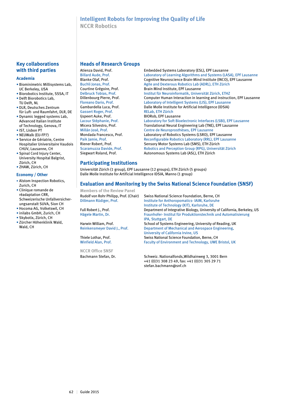## **Intelligent Robots for Improving the Quality of Life NCCR Robotics**

### **Key collaborations with third parties**

#### **Academia**

- Biominimetric Millisystems Lab, UC Berkeley, USA
- Biorobotics Institute, SSSA, IT
- Delft Biorobotics Lab,
- TU Delft, NL • DLR, Deutsches Zentrum
- für Luft- und Raumfahrt, DLR, DE • Dynamic legged systems Lab,
- Advanced Italian Institute of Technology, Genova, IT
- IST, Lisbon PT
- NEUWalk (EU-FP7)
- Service de Gériatrie, Centre Hospitalier Universitaire Vaudois CHUV, Lausanne, CH
- Spinal Cord Injury Center, University Hospital Balgrist, Zürich, CH
- ZHAW, Zürich, CH

#### **Economy / Other**

- Alstom Inspection Robotics, Zurich, CH
- Clinique romande de réadaptation CRR, Schweizerische Unfallversicherungsanstalt SUVA, Sion CH
- Hocoma AG, Volketswil, CH
- inilabs GmbH, Zurich, CH
- Skybotix, Zürich, CH
- Zürcher Höhenklinik Wald, Wald, CH

#### **Heads of Research Groups**

Gassert Roger, Prof. Ijspeert Auke, Prof. BIORob, EPF Lausanne

Atienza David, Prof.<br>
Billard Aude. Prof. The State of Laboratory of Learning Algorithms and Systems (LAS Billard Aude, Prof. **Laboratory of Learning Algorithms and Systems (LASA)**, EPF Lausanne<br>Blanke Olaf. Prof. **Cognitive Neuroscience Brain-Mind Institute (INCO)**, EPF Lausanne Blanke Olaf, Prof. Cognitive Neuroscience Brain-Mind Institute (INCO), EPF Lausanne<br>Buchli Jonas, Prof. Cognitive Artile and Dexterous Robotics Lab (ADRL), ETH Zürich Buchli Jonas, Prof. **Agile and Dexterous Robotics Lab (ADRL)**, ETH Zürich<br>Courtine Grégoire, Prof. **Brain Mind Institute, EPF Lausanne** Brain Mind Institute, EPF Lausanne Delbruck Tobias, Prof. Institut für Neuroinformatik, Universität Zürich, ETHZ Computer Human Interaction in learning and instruction, EPF Lausanne Floreano Dario, Prof. Laboratory of Intelligent Systems (LIS), EPF Lausanne Gambardella Luca, Prof.<br>Gassert Roger. Prof. Prof. RELab. ETH Zürich Lacour Stéphanie, Prof. Laboratory for Soft Bioelectronic Interfaces (LSBI), EPF Lausanne Micera Silvestro, Prof. Translational Neural Engineering Lab (TNE), EPF Lausanne<br>Millán José, Prof. Centre de Neuroprosthèses, EPF Lausanne Millán José, Prof.<br>
Mondada Francesco. Prof. 
Laboratory of Robotics Systems (LSRO). EP Laboratory of Robotics Systems (LSRO), EPF Lausanne Paik Jamie, Prof. **Reconfigurable Robotics Laboratory (RRL), EPF Lausanne**<br>
Riener Robert, Prof. **Reconfigurable Robotics Lab (SMS), ETH Zürich** Riener Robert, Prof. Sensory Motor Systems Lab (SMS), ETH Zürich<br>Scaramuzza Davide. Prof. Scaramuzza Davide. Prof. Scaramuzza Davide. Prof. Robotics and Perception Group (RPG), Universität Zürich Siegwart Roland, Prof. **Autonomous Systems Lab (ASL), ETH Zürich** 

## **Participating Institutions**

Universität Zürich (1 group), EPF Lausanne (12 groups), ETH Zürich (5 groups) Dalle Molle Institute for Artificial Intelligence IDSIA, Manno (1 group)

#### **Evaluation and Monitoring by the Swiss National Science Foundation (SNSF)**

**Members of the Review Panel**

**NCCR Office SNSF**

Rudolf von Rohr Philipp, Prof. (Chair) Swiss National Science Foundation, Berne, CH Dillmann Rüdiger, Prof. Institute for Anthoropomatics- IAIM, Karlsruhe Institute of Technology (KIT), Karlsruhe, DE Full Robert J., Prof. **Department of Integrative Biology, University of California, Berkeley, US** Hägele Martin, Dr. Fraunhofer- Institut für Produktionstechnik und Automatisierung IPA, Stuttgart, DE Harwin William, Prof. School of Systems Engineering, University of Reading, UK Reinkensmeyer David J., Prof. Department of Mechanical and Aerospace Engineering, University of California Irvine, US Thiele Lothar, Prof. Swiss National Science Foundation, Berne, CH Winfield Alan, Prof. Faculty of Environment and Technology, UWE Bristol, UK

Bachmann Stefan, Dr. Schweiz. Nationalfonds, Wildhainweg 3, 3001 Bern +41 (0)31 308 23 49, fax: +41 (0)31 305 29 71 stefan.bachmann@snf.ch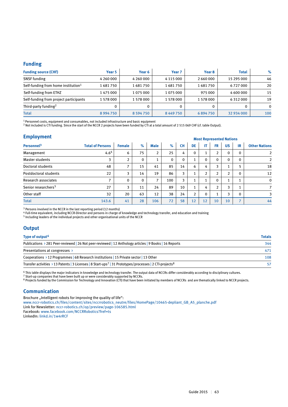#### **Funding**

| <b>Funding source (CHF)</b>                     | Year 5    | Year 6        | Year <sub>7</sub> | Year 8    | <b>Total</b> | $\%$         |
|-------------------------------------------------|-----------|---------------|-------------------|-----------|--------------|--------------|
| <b>SNSF</b> funding                             | 4 260 000 | 4 260 000     | 4 1 1 5 0 0 0     | 2 660 000 | 15 295 000   | 46           |
| Self-funding from home institution <sup>1</sup> | 1681750   | 1681750       | 1681750           | 1681750   | 6727000      | 20           |
| Self-funding from ETHZ                          | 1 475 000 | 1075000       | 1075000           | 975 000   | 4 600 000    | 15           |
| Self-funding from project participants          | 1 578 000 | 1 578 000     | 1 578 000         | 1 578 000 | 6312000      | 19           |
| Third-party funding <sup>2</sup>                |           |               |                   | 0         |              | $\mathbf{0}$ |
| <b>Total</b>                                    | 8994750   | 8 5 9 4 7 5 0 | 8449750           | 6894750   | 32 934 000   | 100          |

<sup>1</sup> Personnel costs, equipment and consumables, not included infrastructure and basic equipment

<sup>2</sup> Not included is CTI funding. Since the start of the NCCR 2 projects have been funded by CTI at a total amount of 2 515 069 CHF (cf. table Output).

| <b>Employment</b>               |                          |               | <b>Most Represented Nations</b> |                |             |           |                    |                |                |                |                          |                      |
|---------------------------------|--------------------------|---------------|---------------------------------|----------------|-------------|-----------|--------------------|----------------|----------------|----------------|--------------------------|----------------------|
| Personnel <sup>3</sup>          | <b>Total of Persons</b>  | <b>Female</b> | $\%$                            | <b>Male</b>    | %           | <b>CH</b> | DE                 | IT             | <b>FR</b>      | <b>US</b>      | IR                       | <b>Other Nations</b> |
| Management                      | 4.6 <sup>4</sup>         | 6             | 75                              | 2              | 25          | 4         | $\mathbf 0$        |                | $\overline{2}$ | $\mathbf 0$    | $\mathbf{0}$             | 2                    |
| Master students                 | 3                        | 2             | $\mathbf{0}$                    | 1              | $\mathbf 0$ | 0         | $\overline{ }$     | $\Omega$       | $\mathbf 0$    | $\Omega$       | $\mathbf{0}$             | $\overline{2}$       |
| Doctoral students               | 48                       | ⇁             | 15                              | 41             | 85          | 14        | 6                  | 4              | 3              |                | 5                        | 18                   |
| Postdoctoral students           | 22                       | 3             | 14                              | 19             | 86          | 3         | ÷.                 | $\overline{2}$ | $\overline{2}$ | $\overline{2}$ | $\mathbf{0}$             | 12                   |
| Research associates             | $\overline{\phantom{a}}$ | $\Omega$      | $\mathbf{0}$                    | $\overline{7}$ | 100         | 3         | $\mathbf{A}$<br>л. |                | $\Omega$       |                |                          | $\mathbf 0$          |
| Senior researchers <sup>5</sup> | 27                       | 3             | 11                              | 24             | 89          | 10        | $\mathbf{1}$       | 4              | $\overline{2}$ | 3              | 1                        | $\overline{7}$       |
| Other staff                     | 32                       | 20            | 63                              | 12             | 38          | 24        | $\overline{2}$     | $\mathbf{0}$   |                | 3              | $\mathbf{0}$             | 3                    |
| <b>Total</b>                    | 143.6                    | 41            | 28                              | 106            | 72          | 58        | 12                 | 12             | 10             | 10             | $\overline{\phantom{a}}$ | 44                   |

<sup>3</sup> Persons involved in the NCCR in the last reporting period (12 months)

<sup>4</sup> Full-time equivalent, including NCCR-Director and persons in charge of knowledge and technology transfer, and education and training

5 Including leaders of the individual projects and other organisational units of the NCCR

### **Output**

| Type of output <sup>6</sup>                                                                                                      | <b>Totals</b> |
|----------------------------------------------------------------------------------------------------------------------------------|---------------|
| Publications > 281 Peer-reviewed   26 Not peer-reviewed   12 Anthology articles   9 Books   16 Reports                           | 344           |
| Presentations at congresses $\rightarrow$                                                                                        | 471           |
| Cooperations > 12 Programmes   68 Research institutions   15 Private sector   13 Other                                           | 108           |
| Transfer activities > 13 Patents   3 Licenses   8 Start-ups <sup>7</sup>   31 Prototypes/processes   2 CTI-projects <sup>8</sup> | 57            |

6 This table displays the major indicators in knowledge and technology transfer. The output data of NCCRs differ considerably according to disciplinary cultures.

<sup>7</sup> Start-up companies that have been built up or were considerably supported by NCCRs.

<sup>8</sup> Projects funded by the Commission for Technology and Innovation (CTI) that have been initiated by members of NCCRs and are thematically linked to NCCR projects.

#### **Communication**

Brochure "Intelligent robots for improving the quality of life":

www.nccr-robotics.ch/files/content/sites/nccrrobotics\_neutre/files/HomePage/10465-depliant\_GB\_A5\_planche.pdf

Link for Newsletter: nccr-robotics.ch/op/preview/page-106585.html

Facebook: www.facebook.com/NCCRRobotics?fref=ts

LinkedIn: linkd.in/1w4rRCF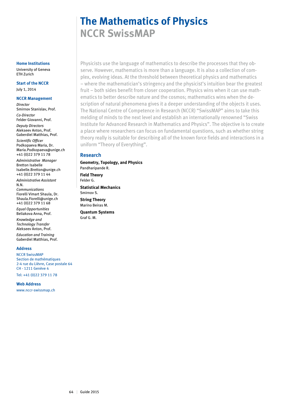# **The Mathematics of Physics NCCR SwissMAP**

Physicists use the language of mathematics to describe the processes that they observe. However, mathematics is more than a language. It is also a collection of complex, evolving ideas. At the threshold between theoretical physics and mathematics – where the mathematician's stringency and the physicist's intuition bear the greatest fruit – both sides benefit from closer cooperation. Physics wins when it can use mathematics to better describe nature and the cosmos; mathematics wins when the description of natural phenomena gives it a deeper understanding of the objects it uses. The National Centre of Competence in Research (NCCR) "SwissMAP" aims to take this melding of minds to the next level and establish an internationally renowned "Swiss Institute for Advanced Research in Mathematics and Physics". The objective is to create a place where researchers can focus on fundamental questions, such as whether string theory really is suitable for describing all of the known force fields and interactions in a uniform "Theory of Everything".

#### **Research**

**Geometry, Topology, and Physics**  Pandharipande R.

**Field Theory**  Felder G. **Statistical Mechanics** 

Smirnov S. **String Theory**  Marino Beiras M.

**Quantum Systems**  Graf G. M.

**Home Institutions**

University of Geneva ETH Zurich

**Start of the NCCR** July 1, 2014

#### **NCCR Management**

*Director* Smirnov Stanislav, Prof. *Co-Director* Felder Giovanni, Prof. *Deputy Directors* Alekseev Anton, Prof. Gaberdiel Matthias, Prof. *Scientific Officer* Podkopaeva Maria, Dr.

Maria.Podkopaeva@unige.ch +41 (0)22 379 11 78

*Administrative Manager* Bretton Isabelle Isabelle.Bretton@unige.ch +41 (0)22 379 11 44

*Administrative Assistant* N.N.

*Communications* Fiorelli Vimart Shaula, Dr. Shaula.Fiorelli@unige.ch +41 (0)22 379 11 68

*Equal Opportunities* Beliakova Anna, Prof.

*Knowledge and Technology Transfer* Alekseev Anton, Prof.

*Education and Training* Gaberdiel Matthias, Prof.

#### **Address**

NCCR SwissMAP Section de mathématiques 2-4 rue du Lièvre, Case postale 64 CH - 1211 Genève 4

Tel: +41 (0)22 379 11 78

**Web Address**

www.nccr-swissmap.ch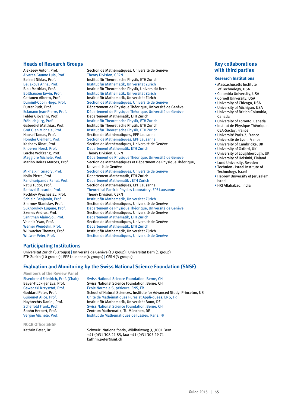#### **Heads of Research Groups**

Alvarez-Gaume Luis, Prof.<br>Beisert Niklas, Prof. Lerche Wolfgang, Prof.<br>
Maggiore Michele. Prof.<br>
Département de Physic

Rychkov Vyacheslav, Prof.<br>Schlein Benjamin, Prof.

Alekseev Anton, Prof. Section de Mathématiques, Université de Genève<br>Alvarez-Gaume Luis, Prof. Theory Division, CERN Beisert Niklas, Prof. Institut für Theoretische Physik, ETH Zurich Beliakova Anna, Prof. Institut für Mathematik, Universität Zürich Institut für Theoretische Physik, Universität Bern Bolthausen Erwin, Prof. **Institut für Mathematik, Universität Zürich**<br>Cattaneo Alberto, Prof. **Institut für Mathematik, Universität Zürich** Cattaneo Alberto, Prof. **Institut für Mathematik, Universität Zürich**<br>
Duminil-Copin Hugo, Prof. Section de Mathématiques, Université de Section de Mathématiques, Université de Genève Durrer Ruth, Prof.<br>
Eckmann lean-Pierre. Prof. Département de Physique Théorique. Université de Genève Eckmann Jean-Pierre, Prof. Département de Physique Théorique, Université de Genève<br>Felder Giovanni. Prof. Departement Mathematik. ETH Zurich Felder Giovanni, Prof.<br>Fröhlich lürg, Prof. Departement Mathematik, ETH Zurich<br>Institut für Theoretische Physik, ETH Zurich Fröhlich Jürg, Prof. Institut für Theoretische Physik, ETH Zurich Gaberdiel Matthias, Prof. **Institut für Theoretische Physik, ETH Zurich**<br>Graf Gian Michele, Prof. **Institut für Theoretische Physik, ETH Zurich** Graf Gian Michele, Prof. **Institut für Theoretische Physik, ETH Zurich**<br>Institut für Theoretische Physik, ETH Lausanne Section de Mathématiques, EPF Lausanne Hongler Clément, Prof. Section de Mathématiques, EPF Lausanne<br>
Kashaev Rinat, Prof. Section de Mathématiques, Université de Kashaev Rinat, Prof.<br>
Knoerrer Horst. Prof. Section de Mathématik. ETH Zurich<br>
Departement Mathematik. ETH Zurich Departement Mathematik, ETH Zurich Maggiore Michele, Prof. Département de Physique Théorique, Université de Genève<br>Mariño Beiras Marcos, Prof. Section de Mathématiques et Départment de Physique Théo Section de Mathématiques et Départment de Physique Théorique, Université de Genève Mikhalkin Grigory, Prof. Section de Mathématiques, Université de Genève<br>
Nolin Pierre. Prof. Section de Mathematik. ETH Zurich Departement Mathematik, ETH Zurich Pandharipande Rahul, Prof.<br> **Pandharipande Rahul, Prof.** Departement Mathématiques. EPF Lausa<br>
Section de Mathématiques. EPF Lausa Section de Mathématiques, EPF Lausanne Rattazzi Riccardo, Prof. Theoretical Particle Physics Laboratory, EPF Lausanne Schlein Benjamin, Prof.<br>
Section de Mathématiques. Universität Zürich<br>
Section de Mathématiques. Université de Smirnov Stanislav, Prof. Section de Mathématiques, Université de Genève<br>Sukhorukov Eugene, Prof. Département de Physique Théorique, Université d Département de Physique Théorique, Université de Genève Szenes Andras, Prof. Section de Mathématiques, Université de Genève<br>Sznitman Alain-Sol. Prof. Departement Mathematik. ETH Zurich Sznitman Alain-Sol, Prof. Departement Mathematik, ETH Zurich Velenik Yvan, Prof. Section de Mathématiques, Université de Genève<br>
Verner Wendelin. Prof. Departement Mathematik. ETH Zurich Werner Wendelin, Prof. Departement Mathematik, ETH Zurich<br>Willwacher Thomas. Prof. Departement Institut für Mathematik. Universität Zi Institut für Mathematik, Universität Zürich Wittwer Peter, Prof. Section de Mathématiques, Université de Genève

#### **Key collaborations with third parties**

#### **Research Institutions**

- Massachusetts Institute of Technology, USA
- Columbia University, USA
- Cornell University, USA
- University of Chicago, USA
- University of Michigan, USA
- University of British Columbia, Canada
- University of Toronto, Canada
- Institut de Physique Théorique, CEA-Saclay, France
	- Université Paris-7, France
	- Université de Lyon, France
- University of Cambridge, UK
- University of Oxford, UK
- University of Loughborough, UK
- University of Helsinki, Finland
- Lund University, Sweden
- Technion Israel Institute of Technology, Israel
- Hebrew University of Jerusalem, Israel
- HRI Allahabad, India

#### **Participating Institutions**

Universität Zürich (5 groups) | Université de Genève (13 group) | Universität Bern (1 group) ETH Zurich (10 groups) | EPF Lausanne (4 groups) | CERN (3 groups)

#### **Evaluation and Monitoring by the Swiss National Science Foundation (SNSF)**

#### **Members of the Review Panel**

**NCCR Office SNSF**

Eisenbrand Friedrich, Prof. (Chair) Swiss National Science Foundation, Berne, CH Bayer-Flückiger Eva, Prof. Swiss National Science Foundation, Berne, CH<br>Gawedzki Krzysztof. Prof. Scole Normale Supérieure. ENS. FR Ecole Normale Supérieure, ENS, FR Goddard Peter, Prof. School of Natural Sciences, Institute for Advanced Study, Princeton, US<br>Guionnet Alice, Prof. School of Mathématiques Pures et Appli-quées, ENS, FR Guionnet Alice, Prof. 
Unité de Mathématiques Pures et Appli-quées, ENS, FR<br>
Huybrechts Daniel. Prof. 
Unité de Mathématik. Universität Bonn. DE Institut für Mathematik, Universität Bonn, DE Scheffold Frank, Prof.<br>
Swiss National Science Foundation, Berne, CH<br>
Zentrum Mathematik. TU München. DE Zentrum Mathematik, TU München, DE Vergne Michèle, Prof. Institut de Mathématiques de Jussieu, Paris, FR

Kathrin Peter, Dr. Schweiz, Nationalfonds, Wildhainweg 3, 3001 Bern +41 (0)31 308 21 85, fax: +41 (0)31 305 29 71 kathrin.peter@snf.ch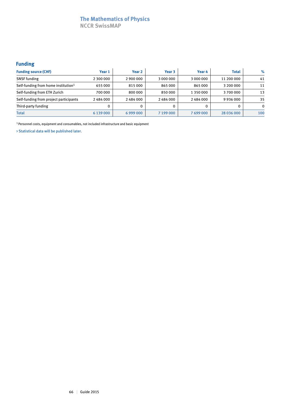# **The Mathematics of Physics**

**NCCR SwissMAP**

# **Funding**

| <b>Funding source (CHF)</b>                     | Year 1    | Year 2    | Year 3    | Year 4    | <b>Total</b>  | $\%$     |
|-------------------------------------------------|-----------|-----------|-----------|-----------|---------------|----------|
| <b>SNSF</b> funding                             | 2 300 000 | 2 900 000 | 3 000 000 | 3 000 000 | 11 200 000    | 41       |
| Self-funding from home institution <sup>1</sup> | 655 000   | 815000    | 865 000   | 865 000   | 3 200 000     | 11       |
| Self-funding from ETH Zurich                    | 700 000   | 800 000   | 850 000   | 1 350 000 | 3700000       | 13       |
| Self-funding from project participants          | 2484000   | 2484000   | 2484000   | 2484000   | 9 9 3 6 0 0 0 | 35       |
| Third-party funding                             | 0         |           |           |           |               | $\Omega$ |
| <b>Total</b>                                    | 6 139 000 | 6999000   | 7 199 000 | 7699000   | 28 036 000    | 100      |

 $^{\rm 1}$  Personnel costs, equipment and consumables, not included infrastructure and basic equipment

> Statistical data will be published later.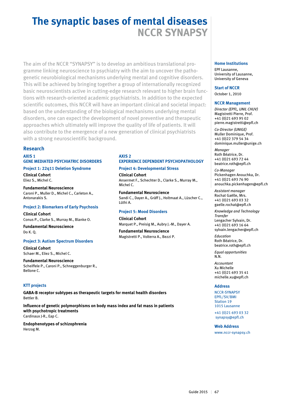# **The synaptic bases of mental diseases NCCR SYNAPSY**

The aim of the NCCR "SYNAPSY" is to develop an ambitious translational programme linking neuroscience to psychiatry with the aim to uncover the pathogenetic neurobiological mechanisms underlying mental and cognitive disorders. This will be achieved by bringing together a group of internationally recognized basic neuroscientists active in cutting-edge research relevant to higher brain functions with research-oriented academic psychiatrists. In addition to the expected scientific outcomes, this NCCR will have an important clinical and societal impact: based on the understanding of the biological mechanisms underlying mental disorders, one can expect the development of novel preventive and therapeutic approaches which ultimately will improve the quality of life of patients. It will also contribute to the emergence of a new generation of clinical psychiatrists with a strong neuroscientific background.

## **Research**

#### **AXIS 1 GENE MEDIATED PSYCHIATRIC DISORDERS**

### **Project 1: 22q11 Deletion Syndrome**

**Clinical Cohort** Eliez S., Michel C.

**Fundamental Neuroscience** Caroni P., Muller D., Michel C., Carleton A., Antonarakis S.

### **Project 2: Biomarkers of Early Psychosis**

**Clinical Cohort** Conus P., Clarke S., Murray M., Blanke O.

**Fundamental Neuroscience** Do K. Q.

#### **Project 3: Autism Spectrum Disorders**

**Clinical Cohort** Schaer M., Eliez S., Michel C.

**Fundamental Neuroscience** Scheiffele P., Caroni P., Schneggenburger R., Bellone C.

### **KTT projects**

**GABA-B receptor subtypes as therapeutic targets for mental health disorders** Bettler B.

**Influence of genetic polymorphisms on body mass index and fat mass in patients with psychotropic treatments** Cardinaux J-R., Eap C.

**Endophenotypes of schizophrenia** Herzog M.

#### **AXIS 2 EXPERIENCE DEPENDENT PSYCHOPATHOLOGY**

**Project 4: Developmental Stress Clinical Cohort** Ansermet F., Schechter D., Clarke S., Murray M., Michel C.

**Fundamental Neuroscience** Sandi C., Dayer A., Gräff J., Holtmaat A., Lüscher C., Lüthi A.

### **Project 5: Mood Disorders**

#### **Clinical Cohort** Marquet P., Preisig M., Aubry J.-M., Dayer A.

**Fundamental Neuroscience** Magistretti P., Volterra A., Bezzi P.

#### **Home Institutions**

EPF Lausanne, University of Lausanne, University of Geneva

**Start of NCCR** October 1, 2010

## **NCCR Management**

*Director (EPFL, UNIL CHUV)* Magistretti Pierre, Prof. +41 (0)21 693 95 02 pierre.magistretti@epfl.ch

*Co-Director (UNIGE)* Muller Dominique, Prof. +41 (0)22 379 54 34 dominique.muller@unige.ch

*Manager* Roth Béatrice, Dr. +41 (0)21 693 72 44 beatrice.roth@epfl.ch

*Co-Manager* Pickenhagen Anouchka, Dr. +41 (0)21 693 76 90 anouchka.pickenhagen@epfl.ch

*Assistant manager* Rochat Gaëlle, Mrs. +41 (0)21 693 03 32 gaelle.rochat@epfl.ch

*Knowledge and Technology Transfer*  Lengacher Sylvain, Dr. +41 (0)21 693 16 64 sylvain.lengacher@epfl.ch

*Education* Roth Béatrice, Dr. beatrice.roth@epfl.ch

*Equal opportunities*  N.N.

*Accountant* Xu Michelle +41 (0)21 693 35 41 michelle.xu@epfl.ch

#### **Address**

NCCR-SYNAPSY EPFL/SV/BMI Station 19 1015 Lausanne

+41 (0)21 693 03 32 synapsy@epfl.ch

**Web Address**

www.nccr-synapsy.ch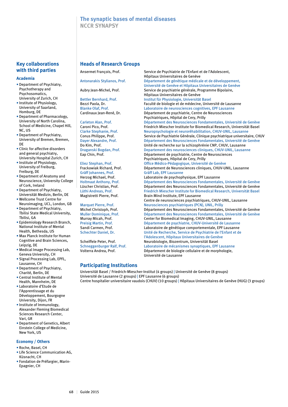# **The synaptic bases of mental diseases NCCR SYNAPSY**

### **Key collaborations with third parties**

#### **Academia**

- Department of Psychiatry, Psychotherapy and Psychosomatics, University of Zurich, CH
- Institute of Physiology, University of Saarland, Homburg, DE
- Department of Pharmacology, University of North Carolina, School of Medicine, Chapel Hill, NC, US
- Department of Psychiatry, University of Bremen, Bremen, DE
- Clinic for affective disorders and general psychiatry, University Hospital Zurich, CH
- Institute of Physiology, University of Freiburg, Freiburg, DE
- Department of Anatomy and Neuroscience, University College of Cork, Ireland
- Department of Psychiatry, Universität Medizin, Berlin, DE
- Wellcome Trust Centre for Neuroimaging, UCL, London, GB
- Department of Psychiatry, Tbilisi State Medical University, Tbilisi, GA
- Epidemiology Research Branch, National Institute of Mental Health, Bethesda, US
- Max Planck Institute for Human Cognitive and Brain Sciences, Leipzig, DE
- Medical Image Processing Lab, Geneva University, CH
- Signal Processing Lab, EPFL, Lausanne, CH
- Department of Psychiatry, Charité, Berlin, DE
- Central Institute of Mental Health, Mannheim, DE
- Laboratoire d'Etude de l'Apprentissage et du Développement, Bourgogne University, Dijon, FR
- Institute of Immunology, Alexander Fleming Biomedical Sciences Research Center, Vari, GR
- Department of Genetics, Albert Einstein College of Medicine, New York, US

#### **Economy / Others**

- Roche, Basel, CH
- Life Science Communication AG, Küsnacht, CH
- Fondation de Préfargier, Marin-Epagnier, CH

#### **Heads of Research Groups**

Ansermet François, Prof. Service de Psychiatrie de l'Enfant et de l'Adolescent, Hôpitaux Universitaires de Genève Antonarakis Stylianos, Prof. Département de génétique médicale et de développement, Université de Genève et Hôpitaux Universitaires de Genève Aubry Jean-Michel, Prof. Service de psychiatrie générale, Programme Bipolaire, Hôpitaux Universitaires de Genève<br>Institut für Physiologie, Universität Institut für Physiologie, Universität Basel Bezzi Paola, Dr. Faculté de biologie et de médecine, Université de Lausanne<br>Blanke Olaf, Prof. Caboratoire de neurosciences cognitives, EPF Lausanne Blanke Olaf, Prof. **Laboratoire de neurosciences cognitives**, EPF Lausanne<br>Cardinaux Jean-René, Dr. **Département de psychiatrie, Centre de Neurosciences** Département de psychiatrie, Centre de Neurosciences Psychiatriques, Hôpital de Cery, Prilly Carleton Alan, Prof. Département des Neurosciences Fondamentales, Université de Genève Caroni Pico, Prof. Friedrich Miescher Institute for Biomedical Research, Universität Basel Clarke Stephanie, Prof. Neuropsychologie et neuroréhabilitation, CHUV-UNIL, Lausanne Service de Psychiatrie Générale, Clinique psychiatrique universitaire, CHUV Dayer Alexandre, Prof. Département des Neurosciences Fondamentales, Université de Genève<br>Do Kim, Prof. Des Christé de Fondante de recherche sur la schizophrénie CNP, CHUV, Lausanne Unité de recherche sur la schizophrénie CNP, CHUV, Lausanne Draganski Bogdan, Prof. Departement des neurosciences cliniques, CHUV-UNIL, Lausanne Eap Chin, Prof. Département de psychiatrie, Centre de Neurosciences Psychiatriques, Hôpital de Cery, Prilly Eliez Stephan, Prof. Office Médico-Pédagogique, Université de Genève Frackowiak Richard, Prof. Département de Neurosciences cliniques, CHUV-UNIL, Lausanne<br>Gräff Johannes, Prof. Saiff Lab. EPF Lausanne Gräff Lab, EPF Lausanne Herzog Michael, Prof.<br>
Holtmaat Anthony, Prof. Département des Neurosciences Fondamentale Département des Neurosciences Fondamentales, Université de Genève Lüscher Christian, Prof. Département des Neurosciences Fondamentales, Université de Genève Lüthi Andreas, Prof. Friedrich Miescher Institute for Biomedical Research, Universität Basel<br>
Magistretti Pierre, Prof. Brain Mind Institute, EPF Lausanne Brain Mind Institute, FPF Lausanne Centre de neurosciences psychiatriques, CHUV-UNIL, Lausanne Marquet Pierre, Prof. <br>
Michel Christoph, Prof. **Neurosciences psychiatriques (PCN), UNIL, Prilly**<br>
Département des Neurosciences Fondamentales, Département des Neurosciences Fondamentales, Université de Genève Muller Dominique, Prof. Département des Neurosciences Fondamentales, Université de Genève<br>Murray Micah, Prof. Center for Biomedical Imaging, CHUV-UNIL, Lausanne Center for Biomedical Imaging, CHUV-UNIL, Lausanne Preisig Martin, Prof. Département de psychiatrie, CHUV-Université de Lausanne Sandi Carmen, Prof.<br>
Schechter Daniel. Dr. Unité de Recherche. Service de Psychiatrie de l'Enfant et de Unité de Recherche, Service de Psychiatrie de l'Enfant et de l'Adolescent, Hôpitaux Universitaires de Genève Scheiffele Peter, Prof. Neurobiologie, Biozentrum, Universität Basel<br>Schneggenburger Ralf, Prof. Laboratoire de mécanismes synaptiques. EPF Schneggenburger Ralf, Prof. Laboratoire de mécanismes synaptiques, EPF Lausanne<br>Volterra Andrea, Prof. Département de biologie cellulaire et de morphologie, Département de biologie cellulaire et de morphologie, Université de Lausanne

**Participating Institutions**

Universität Basel / Friedrich-Miescher-Institut (4 groups) | Université de Genève (8 groups) Université de Lausanne (2 groups) | EPF Lausanne (6 groups) Centre hospitalier universitaire vaudois (CHUV) (10 groups) | Hôpitaux Universitaires de Genève (HUG) (3 groups)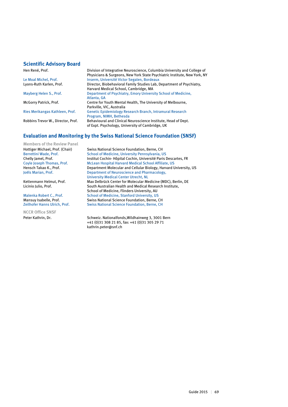#### **Scientific Advisory Board**

Hen René, Prof. Division of Integrative Neuroscience, Columbia University and College of Physicians & Surgeons, New York State Psychiatric Institute, New York, NY Le Moal Michel, Prof.<br>
Lyons-Ruth Karlen, Prof.<br>
Director, Biobehavioral Family Studies Lab, I Director, Biobehavioral Family Studies Lab, Department of Psychiatry, Harvard Medical School, Cambridge, MA<br>Department of Psychiatry, Emory Univers Department of Psychiatry, Emory University School of Medicine, Atlanta, GA<br>
McGorry Patrick, Prof. Centre for Y Centre for Youth Mental Health, The University of Melbourne, Parkville, VIC, Australia<br>Ries Merikangas Kathleen, Prof. Genetic Epidemiology R Genetic Epidemiology Research Branch, Intramural Research Program, NIMH, Bethesda<br>Robbins Trevor W., Director, Prof. Behavioural and Clinical N Behavioural and Clinical Neuroscience Institute, Head of Dept. of Expt. Psychology, University of Cambridge, UK

## **Evaluation and Monitoring by the Swiss National Science Foundation (SNSF)**

**Members of the Review Panel**

**NCCR Office SNSF**

Hottiger Michael, Prof. (Chair) Swiss National Science Foundation, Berne, CH<br>Berrettini Wade, Prof. School of Medicine, University Pennsylvania, L School of Medicine, University Pennsylvania, US Chelly Jamel, Prof. **Institut Cochin- Hôpital Cochin, Université Paris Descartes, FR**<br>Coyle Joseph Thomas, Prof. McLean Hospital Harvard Medical School Affiliate, US McLean Hospital Harvard Medical School Affiliate, US Hensch Takao K., Prof. Department Molecular and Cellular Biology, Harvard University, US Joëls Marian, Prof. Department of Neuroscience and Pharmacology, University Medical Center Utrecht, NL<br>Kettenmann Helmut, Prof. Max Delbrück Center for Molecular Me Max Delbrück Center for Molecular Medicine (MDC), Berlin, DE Licinio Julio, Prof. South Australian Health and Medical Research Institute, School of Medicine, Flinders University, AU<br>School of Medicine, Stanford University, US School of Medicine, Stanford University, US Mansuy Isabelle, Prof. Swiss National Science Foundation, Berne, CH<br>Zeilhofer Hanns Ulrich, Prof. Swiss National Science Foundation, Berne, CH Swiss National Science Foundation, Berne, CH

Peter Kathrin, Dr. Schweiz. Nationalfonds, Wildhainweg 3, 3001 Bern +41 (0)31 308 21 85, fax: +41 (0)31 305 29 71 kathrin.peter@snf.ch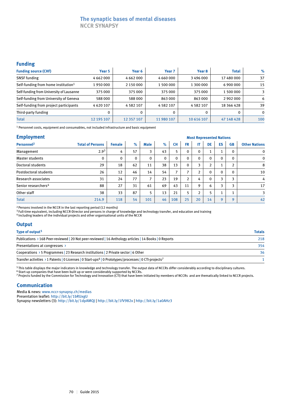# **The synaptic bases of mental diseases NCCR SYNAPSY**

### **Funding**

| <b>Funding source (CHF)</b>                     | Year 5        | Year 6        | Year <sub>7</sub> | Year 8     | <b>Total</b> | $\%$     |
|-------------------------------------------------|---------------|---------------|-------------------|------------|--------------|----------|
| <b>SNSF</b> funding                             | 4 6 6 2 0 0 0 | 4 6 6 2 0 0 0 | 4 660 000         | 3496000    | 17 480 000   | 37       |
| Self-funding from home institution <sup>1</sup> | 1950000       | 2 150 000     | 1 500 000         | 1 300 000  | 6 900 000    | 15       |
| Self-funding from University of Lausanne        | 375 000       | 375 000       | 375 000           | 375 000    | 1 500 000    | 3        |
| Self-funding from University of Geneva          | 588000        | 588000        | 863000            | 863000     | 2 902 000    | 6        |
| Self-funding from project participants          | 4620107       | 4582107       | 4 5 8 2 1 0 7     | 4582107    | 18 366 428   | 39       |
| Third-party funding                             |               |               | 0                 | 0          | 0            | $\Omega$ |
| <b>Total</b>                                    | 12 195 107    | 12 357 107    | 11 980 107        | 10 616 107 | 47 148 428   | 100      |

1 Personnel costs, equipment and consumables, not included infrastructure and basic equipment

#### **Employment**

| <b>Employment</b>               |                         |               | <b>Most Represented Nations</b> |             |          |                |                          |                |                |          |              |                      |
|---------------------------------|-------------------------|---------------|---------------------------------|-------------|----------|----------------|--------------------------|----------------|----------------|----------|--------------|----------------------|
| Personnel <sup>2</sup>          | <b>Total of Persons</b> | <b>Female</b> | $\%$                            | <b>Male</b> | $\%$     | <b>CH</b>      | <b>FR</b>                | IT             | DE             | ES       | <b>GB</b>    | <b>Other Nations</b> |
| Management                      | 2.9 <sup>3</sup>        | 4             | 57                              | 3           | 43       | 5              | $\mathbf{0}$             | 0              | T.             |          | 0            | $\mathbf 0$          |
| <b>Master students</b>          | 0                       | $\mathbf{0}$  | 0                               | 0           | $\Omega$ | $\mathbf{0}$   | $\mathbf{0}$             | $\Omega$       | 0              | $\Omega$ | $\mathbf{0}$ | $\mathbf 0$          |
| Doctoral students               | 29                      | 18            | 62                              | 11          | 38       | 13             | $\mathbf{0}$             | 3              | $\overline{2}$ |          | <sup>1</sup> | 8                    |
| Postdoctoral students           | 26                      | 12            | 46                              | 14          | 54       | $\overline{ }$ | $\overline{\phantom{a}}$ | 2              | $\mathbf 0$    | $\Omega$ | $\Omega$     | 10                   |
| <b>Research associates</b>      | 31                      | 24            | 77                              | 7           | 23       | 19             | $\overline{2}$           | 4              | $\Omega$       | 3        | 3            | 4                    |
| Senior researchers <sup>4</sup> | 88                      | 27            | 31                              | 61          | 69       | 43             | 11                       | 9              | 6              | 3        | 3            | 17                   |
| Other staff                     | 38                      | 33            | 87                              | 5           | 13       | 21             | 5                        | $\overline{2}$ | 5              |          | 1            | 3                    |
| <b>Total</b>                    | 214.9                   | 118           | 54                              | 101         | 46       | 108            | 25                       | 20             | 14             | 9        | 9            | 42                   |

2 Persons involved in the NCCR in the last reporting period (12 months)

3 Full-time equivalent, including NCCR-Director and persons in charge of knowledge and technology transfer, and education and training

4 Including leaders of the individual projects and other organisational units of the NCCR

### **Output**

| Type of output <sup>5</sup>                                                                                                    | <b>Totals</b> |
|--------------------------------------------------------------------------------------------------------------------------------|---------------|
| Publications > 168 Peer-reviewed   20 Not peer-reviewed   16 Anthology articles   14 Books   0 Reports                         | 218           |
| Presentations at congresses >                                                                                                  | 354           |
| Cooperations $\rightarrow$ 5 Programmes 23 Research institutions 2 Private sector 6 Other                                      | 36            |
| Transfer activities > 1 Patents   0 Licenses   0 Start-ups <sup>6</sup>   0 Prototypes/processes   0 CTI-projects <sup>7</sup> |               |

<sup>5</sup> This table displays the major indicators in knowledge and technology transfer. The output data of NCCRs differ considerably according to disciplinary cultures.

<sup>6</sup> Start-up companies that have been built up or were considerably supported by NCCRs. 7 Projects funded by the Commission for Technology and Innovation (CTI) that have been initiated by members of NCCRs and are thematically linked to NCCR projects.

### **Communication**

Media & news: www.nccr-synapsy.ch/medias Presentation leaflet: http://bit.ly/1bRUxgU Synapsy newsletters (3): http://bit.ly/1dpAMQJ | http://bit.ly/1fV982x | http://bit.ly/1a0AHz3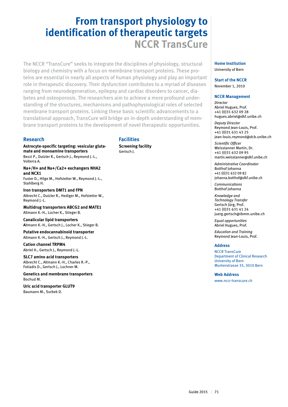# **From transport physiology to identification of therapeutic targets NCCR TransCure**

The NCCR "TransCure" seeks to integrate the disciplines of physiology, structural biology and chemistry with a focus on membrane transport proteins. These proteins are essential in nearly all aspects of human physiology and play an important role in therapeutic discovery. Their dysfunction contributes to a myriad of diseases ranging from neurodegeneration, epilepsy and cardiac disorders to cancer, diabetes and osteoporosis. The researchers aim to achieve a more profound understanding of the structures, mechanisms and pathophysiological roles of selected membrane transport proteins. Linking these basic scientific advancements to a translational approach, TransCure will bridge an in-depth understanding of membrane transport proteins to the development of novel therapeutic opportunities.

## **Research**

**Astrocyte-specific targeting: vesicular glutamate and monoamine transporters** Bezzi P., Dutzler R., Gertsch J., Reymond J.-L.,

Volterra A. **Na+/H+ and Na+/Ca2+ exchangers NHA2 and NCX1**

Fuster D., Hilge M., Hofstetter W., Reymond J.-L., Stahlberg H.

**Iron transporters DMT1 and FPN** Albrecht C., Dutzler R., Hediger M., Hofstetter W., Reymond J.-L.

**Multidrug transporters ABCG2 and MATE1** Altmann K.-H., Locher K., Stieger B.

**Canalicular lipid transporters A**ltmann K.-H., Gertsch J., Locher K., Stieger B.

**Putative endocannabinoid transporter** Altmann K.-H., Gertsch J., Reymond J.-L.

**Cation channel TRPM4** Abriel H., Gertsch J., Reymond J.-L.

**SLC7 amino acid transporters** Albrecht C., Altmann K.-H., Charles R.-P., Fotiadis D., Gertsch J., Lochner M.

**Genetics and membrane transporters** Bochud M.

**Uric acid transporter GLUT9** Baumann M., Surbek D.

# **Facilities**

**Screening facility** Gertsch J.

#### **Home Institution** University of Bern

#### **Start of the NCCR**

November 1, 2010

#### **NCCR Management**

*Director* Abriel Hugues, Prof. +41 (0)31 632 09 28 hugues.abriel@dkf.unibe.ch

*Deputy Director* Reymond Jean-Louis, Prof. +41 (0)31 631 43 25 jean-louis.reymond@dcb.unibe.ch

*Scientific Officer* Weisstanner Martin, Dr. +41 (0)31 632 09 95 martin.weisstanner@dkf.unibe.ch

*Administrative Coordinator*  Botthof Johanna +41 (0)31 632 09 82 johanna.botthof@dkf.unibe.ch

*Communications*  Botthof Johanna

*Knowledge and Technology Transfer* Gertsch Jürg, Prof. +41 (0)31 631 41 24 juerg.gertsch@ibmm.unibe.ch

*Equal opportunities* Abriel Hugues, Prof.

*Education and Training* Reymond Jean-Louis, Prof.

#### **Address**

NCCR TransCure Department of Clinical Research University of Bern Murtenstrasse 35, 3010 Bern

**Web Address**

www.nccr-transcure.ch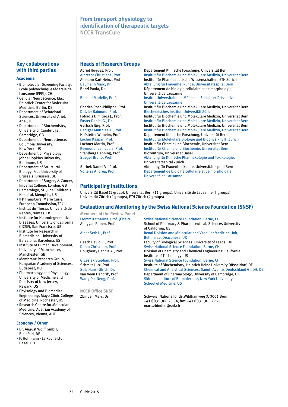# **From transport physiology to identification of therapeutic targets NCCR TransCure**

# **Key collaborations with third parties**

#### **Academia**

- Biomolecular Screening Facility, École polytechnique fédérale de Lausanne (EPFL), CH
- Cellular Neuroscience, Max Delbrück Center for Molecular Medicine, Berlin, DE
- Department of Behavioral Sciences, University of Ariel, Ariel, IL
- Department of Biochemistry, University of Cambridge, Cambridge, GB
- Department of Neuroscience, Columbia University, New York, US
- Department of Physiology, Johns Hopkins University, Baltimore, US
- Department of Structural Biology, Free University of Brussels, Brussels, BE
- Department of Surgery & Cancer, Imperial College, London, GB
- Hematology, St. Jude Children's Hospital, Memphis, US
- IFP TransCure, Marie Curie, European Commission/FP7
- Institut du Thorax, Université de Nantes, Nantes, FR
- Institute for Neurodegenerative Diseases, University of California (UCSF), San Francisco, US
- Institute for Research in Biomedicine, University of Barcelona, Barcelona, ES
- Institute of Human Development, University of Manchester, Manchester, GB
- Membrane Research Group, Hungarian Academy of Sciences, Budapest, HU
- Pharmacology and Physiology, University of Medicine and Dentistry of New Jersey, Newark, US
- Phyisology and Biomedical Engineering, Mayo Clinic College of Medicine, Rochester, US
- Research Centre for Molecular Medicine, Austrian Academy of Sciences, Vienna, AUT

#### **Economy / Other**

- Dr. August Wolff GmbH, Bielefeld, DE
- F. Hoffmann La Roche Ltd, Basel, CH

#### **Heads of Research Groups**

Abriel Hugues, Prof. **Departement Klinische Forschung, Universität Bern**<br>Albrecht Christiane. Prof. **Departement Institut für Biochemie und Molekulare Medizin. Universität Bern** Albrecht Christiane, Prof. Institut für Biochemie und Molekulare Medizin, Universität Bern Altmann Karl-Heinz, Prof Institut für Pharmazeutische Wissenschaften, ETH Zürich Baumann Marc, Dr. **Abteilung für Frauenheilkunde, Universitätsspital Bern**<br>Bezzi Paola, Dr. **Abteilung Debartement de biologie cellulaire et** de morphologie. Département de biologie cellulaire et de morphologie, Université de Lausanne<br>Bochud Murielle, Prof. Muslim and the Institut Universitaire de Institut Universitaire de Médecine Sociale et Préventive, Université de Lausanne Charles Roch-Philippe, Prof. Institut für Biochemie und Molekulare Medizin, Universität Bern Biochemisches Institut, Universität Zürich Fotiadis Dimitrios J., Prof. Institut für Biochemie und Molekulare Medizin, Universität Bern Fuster Daniel G., Dr. Institut für Biochemie und Molekulare Medizin, Universität Bern Gertsch Jürg, Prof. Institut für Biochemie und Molekulare Medizin, Universität Bern<br>Institut für Biochemie und Molekulare Medizin, Universität Bern Hediger Matthias A., Prof. Institut für Biochemie und Molekulare Medizin, Universität Bern<br>Institut Forschung, Universität Bern<br>Institute Departement Klinische Forschung, Universität Bern Departement Klinische Forschung, Universität Bern Locher Kaspar, Prof. Institut für Molekulare Biologie und Biophysik, ETH Zürich Lochner Martin, Prof. **Institut für Chemie und Biochemie, Universität Bern**<br>
Reymond Jean-Louis, Prof. **Institut für Chemie und Biochemie, Universität Bern** Institut für Chemie und Biochemie, Universität Bern Stahlberg Henning, Prof.<br>Stieger Bruno, Prof. **Biomannia Basel Stieger Bruno, Prof.** Abteilung für Klinische Pharma Abteilung für Klinische Pharmakologie und Toxikologie. Universitätsspital Zürich<br>Abteilung für Frauenheilk<br>Abteilung für Frauenheilk Surbek Daniel V., Prof. **Abteilung für Frauenheilkunde, Universitätsspital Bern** Volterra Andrea, Prof. **Abteilung Frauenheiter Universitäts and E**pern Département de biologie cellulaire et de morphologie, Université de Lausanne

# **Participating Institutions**

Universität Basel (1 group), Universität Bern (11 groups), Université de Lausanne (3 groups) Universität Zürich (2 groups), ETH Zürich (2 groups)

# **Evaluation and Monitoring by the Swiss National Science Foundation (SNSF)**

**Members of the Review Panel**

**NCCR Office SNSF**

Swiss National Science Foundation, Berne, CH Abagyan Ruben, Prof. School of Pharmacy & Pharmaceutical, Sciences University of California, US Alper Seth L., Prof. Renal Division and Molecular and Vascular Medicine Unit, Beth Israel Deaconess, UK Beech David, J., Prof. Faculty of Biological Sciences, University of Leeds, UK Dehio Christoph, Prof.<br>
Division of Chemistry and Chemical Engineerin<br>
Division of Chemistry and Chemical Engineerin Division of Chemistry and Chemical Engineering, California Institute of Technology, US Grzesiek Stephan, Prof. Swiss National Science Foundation, Berne, CH<br>Schmitt Lutz, Prof. Schmitt University, Heinrich Heine Unive Institute of Biochemistry, Heinrich Heine University Düsseldorf, DE Stilz Hans- Ulrich, Dr. Chemical and Analytical Sciences, Sanofi-Aventis Deutschland GmbH, DE Department of Pharmacology, University of Cambridge, UK Wang Da- Neng, Prof. Skirball Institute of Biomolecular, New York University School of Medicine, US

Zbinden Marc, Dr. Schweiz. Nationalfonds, Wildhainweg 3, 3001 Bern +41 (0)31 308 23 34, fax: +41 (0)31 305 29 71 marc.zbinden@snf.ch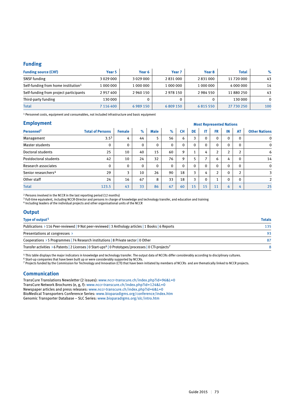# **Funding**

| <b>Funding source (CHF)</b>                     | Year 5        | Year 6          | Year 7    | Year 8    | <b>Total</b> | $\%$     |
|-------------------------------------------------|---------------|-----------------|-----------|-----------|--------------|----------|
| <b>SNSF</b> funding                             | 3029000       | 3 0 2 9 0 0 0 0 | 2831000   | 2831000   | 11 720 000   | 43       |
| Self-funding from home institution <sup>1</sup> | 1 000 000     | 1 000 000       | 1 000 000 | 1 000 000 | 4 000 000    | 14       |
| Self-funding from project participants          | 2957400       | 2960150         | 2978150   | 2984550   | 11 880 250   | 43       |
| Third-party funding                             | 130 000       |                 |           |           | 130 000      | $\Omega$ |
| Total                                           | 7 1 1 6 4 0 0 | 6 9 8 9 1 5 0   | 6809150   | 6815550   | 27 730 250   | 100      |

1 Personnel costs, equipment and consumables, not included infrastructure and basic equipment

#### **Employment**

| <b>Employment</b>               |                         |               |              | <b>Most Represented Nations</b> |          |           |              |              |                |                |                |                      |
|---------------------------------|-------------------------|---------------|--------------|---------------------------------|----------|-----------|--------------|--------------|----------------|----------------|----------------|----------------------|
| Personnel <sup>2</sup>          | <b>Total of Persons</b> | <b>Female</b> | $\%$         | <b>Male</b>                     | $\%$     | <b>CH</b> | DE           | IT.          | <b>FR</b>      | IN             | <b>AT</b>      | <b>Other Nations</b> |
| Management                      | $3.5^{3}$               | 4             | 44           | 5                               | 56       | 6         | 3            | $\mathbf{0}$ | $\mathbf{0}$   | $\Omega$       | $\Omega$       | $\mathbf 0$          |
| Master students                 | 0                       | $\Omega$      | $\mathbf{0}$ | $\mathbf 0$                     | $\Omega$ | 0         | $\mathbf{0}$ | 0            | $\mathbf{0}$   | $\Omega$       | $\Omega$       | $\mathbf 0$          |
| Doctoral students               | 25                      | 10            | 40           | 15                              | 60       | 9         |              | 4            | $\overline{2}$ | $\overline{2}$ | <sup>1</sup>   | 6                    |
| Postdoctoral students           | 42                      | 10            | 24           | 32                              | 76       | 9         | 5            |              | 6              | 4              | $\Omega$       | 14                   |
| <b>Research associates</b>      | $\Omega$                | $\mathbf{0}$  | $\mathbf{0}$ | $\mathbf 0$                     | $\Omega$ | $\Omega$  | $\mathbf{0}$ | $\Omega$     | $\mathbf{0}$   | $\Omega$       | $\Omega$       | $\mathbf 0$          |
| Senior researchers <sup>4</sup> | 29                      | 3             | 10           | 26                              | 90       | 18        | 3            | 4            | $\overline{2}$ | $\Omega$       | $\overline{2}$ | 3                    |
| Other staff                     | 24                      | 16            | 67           | 8                               | 33       | 18        | 3            | $\Omega$     | $\mathbf{1}$   | $\Omega$       | $\Omega$       | $\overline{2}$       |
| <b>Total</b>                    | 123.5                   | 43            | 33           | 86                              | 67       | 60        | 15           | 15           | 11             | 6              | 4              | 25                   |

2 Persons involved in the NCCR in the last reporting period (12 months)

3 Full-time equivalent, including NCCR-Director and persons in charge of knowledge and technology transfer, and education and training

4 Including leaders of the individual projects and other organisational units of the NCCR

### **Output**

| Type of output <sup>5</sup>                                                                                                                | <b>Totals</b> |
|--------------------------------------------------------------------------------------------------------------------------------------------|---------------|
| Publications > 116 Peer-reviewed   9 Not peer-reviewed   3 Anthology articles   1 Books   6 Reports                                        | 135           |
| Presentations at congresses $\rightarrow$                                                                                                  | 93            |
| Cooperations > 5 Programmes   74 Research institutions   8 Private sector   0 Other                                                        | 87            |
| Transfer activities $\rightarrow$ 6 Patents   2 Licenses   0 Start-ups <sup>6</sup>   0 Prototypes/processes   0 CTI-projects <sup>7</sup> |               |

5 This table displays the major indicators in knowledge and technology transfer. The output data of NCCRs differ considerably according to disciplinary cultures.

 $6$  Start-up companies that have been built up or were considerably supported by NCCRs.

7 Projects funded by the Commission for Technology and Innovation (CTI) that have been initiated by members of NCCRs and are thematically linked to NCCR projects.

### **Communication**

TransCure Translations Newsletter (2 issues): www.nccr-transcure.ch/index.php?id=96&L=0 TransCure Network Brochures (e, g, f): www.nccr-transcure.ch/index.php?id=124&L=0 Newspaper articles and press releases: www.nccr-transcure.ch/index.php?id=6&L=0 BioMedical Transporters Conference Series: www.bioparadigms.org/conference/index.htm Genomic Transporter Database – SLC Series: www.bioparadigms.org/slc/intro.htm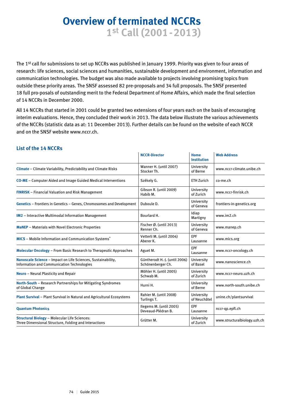# **Overview of terminated NCCRs 1st Call (2001-2013)**

The 1<sup>st</sup> call for submissions to set up NCCRs was published in January 1999. Priority was given to four areas of research: life sciences, social sciences and humanities, sustainable development and environment, information and communication technologies. The budget was also made available to projects involving promising topics from outside these priority areas. The SNSF assessed 82 pre-proposals and 34 full proposals. The SNSF presented 18 full pro-posals of outstanding merit to the Federal Department of Home Affairs, which made the final selection of 14 NCCRs in December 2000.

All 14 NCCRs that started in 2001 could be granted two extensions of four years each on the basis of encouraging interim evaluations. Hence, they concluded their work in 2013. The data below illustrate the various achievements of the NCCRs (statistic data as at: 11 December 2013). Further details can be found on the website of each NCCR and on the SNSF website www.nccr.ch.

|                                                                                                               | <b>NCCR-Director</b>                               | <b>Home</b><br><b>Institution</b> | <b>Web Address</b>           |
|---------------------------------------------------------------------------------------------------------------|----------------------------------------------------|-----------------------------------|------------------------------|
| Climate - Climate Variability, Predictability and Climate Risks                                               | Wanner H. (until 2007)<br>Stocker Th.              | University<br>of Berne            | www.nccr-climate.unibe.ch    |
| <b>CO-ME</b> – Computer Aided and Image Guided Medical Interventions                                          | Székely G.                                         | <b>ETH Zurich</b>                 | co-me.ch                     |
| <b>FINRISK</b> – Financial Valuation and Risk Management                                                      | Gibson R. (until 2009)<br>Habib M.                 | University<br>of Zurich           | www.nccr-finrisk.ch          |
| Genetics - Frontiers in Genetics - Genes, Chromosomes and Development                                         | Duboule D.                                         | University<br>of Geneva           | frontiers-in-genetics.org    |
| <b>IM2</b> - Interactive Multimodal Information Management                                                    | Bourlard H.                                        | Idiap<br>Martigny                 | www.im2.ch                   |
| <b>MaNEP</b> - Materials with Novel Electronic Properties                                                     | Fischer $\emptyset$ . (until 2013)<br>Renner Ch.   | University<br>of Geneva           | www.manep.ch                 |
| MICS - Mobile Information and Communication Systems*                                                          | Vetterli M. (until 2004)<br>Aberer K.              | <b>EPF</b><br>Lausanne            | www.mics.org                 |
| <b>Molecular Oncology - From Basic Research to Therapeutic Approaches</b>                                     | Aguet M.                                           | <b>EPF</b><br>Lausanne            | www.nccr-oncology.ch         |
| Nanoscale Science - Impact on Life Sciences, Sustainability,<br>Information and Communication Technologies    | Güntherodt H.-J. (until 2006)<br>Schönenberger Ch. | University<br>of Basel            | www.nanoscience.ch           |
| <b>Neuro</b> – Neural Plasticity and Repair                                                                   | Möhler H. (until 2005)<br>Schwab M.                | University<br>of Zurich           | www.nccr-neuro.uzh.ch        |
| North-South - Research Partnerships for Mitigating Syndromes<br>of Global Change                              | Hurni H.                                           | University<br>of Berne            | www.north-south.unibe.ch     |
| <b>Plant Survival</b> – Plant Survival in Natural and Agricultural Ecosystems                                 | Rahier M. (until 2008)<br>Turlings T.              | University<br>of Neuchâtel        | unine.ch/plantsurvival       |
| <b>Quantum Photonics</b>                                                                                      | Ilegems M. (until 2005)<br>Deveaud-Plédran B.      | <b>EPF</b><br>Lausanne            | nccr-qp.epfl.ch              |
| <b>Structural Biology - Molecular Life Sciences:</b><br>Three Dimensional Structure, Folding and Interactions | Grütter M.                                         | University<br>of Zurich           | www.structuralbiology.uzh.ch |

# **List of the 14 NCCRs**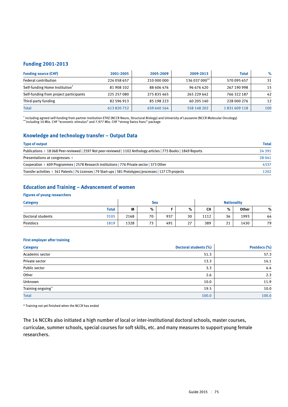# **Funding 2001-2013**

| <b>Funding source (CHF)</b>            | 2001-2005   | 2005-2009   | 2009-2013     | <b>Total</b> | $\%$ |
|----------------------------------------|-------------|-------------|---------------|--------------|------|
| <b>Federal contribution</b>            | 224 058 657 | 210 000 000 | 136 037 000** | 570 095 657  | 31   |
| Self-funding Home Institution*         | 81 908 102  | 88 606 476  | 96 676 420    | 267 190 998  | 15   |
| Self-funding from project participants | 225 257 080 | 275 835 465 | 265 229 642   | 766 322 187  | 42   |
| Third-party funding                    | 82 596 913  | 85 198 223  | 60 205 140    | 228 000 276  | 12   |
| <b>Total</b>                           | 613 820 752 | 659 640 164 | 558 148 202   | 1831609118   | 100  |

\* including agreed self-funding from partner institution ETHZ (NCCR Neuro, Structural Biology) and University of Lausanne (NCCR Molecular Oncology) \*\* including 10 Mio. CHF "economic stimulus" and 7.977 Mio. CHF "strong Swiss franc" package

# **Knowledge and technology transfer – Output Data**

| <b>Type of output</b>                                                                                             | <b>Total</b> |
|-------------------------------------------------------------------------------------------------------------------|--------------|
| Publications > 18 068 Peer-reviewed   2597 Not peer-reviewed   1102 Anthology articles   775 Books   1849 Reports | 24 3 9 1     |
| Presentations at congresses $\rightarrow$                                                                         | 28 041       |
| Cooperation > 609 Programmes 2578 Research institutions 276 Private sector 273 Other                              | 4337         |
| Transfer activities > 341 Patents   74 Licenses   79 Start-ups   581 Prototypes/processes   127 CTI-projects      | 1202         |

# **Education and Training – Advancement of women**

#### **Figures of young researchers**

| <b>Category</b>   |              | <b>Sex</b> |    |     |    | <b>Nationality</b> |    |       |    |
|-------------------|--------------|------------|----|-----|----|--------------------|----|-------|----|
|                   | <b>Total</b> | M          | %  |     | %  | CН                 | %  | Other | %  |
| Doctoral students | 3105         | 2168       | 70 | 937 | 30 | 1112               | 36 | 1993  | 64 |
| Postdocs          | 1819         | 1328       | 73 | 491 | 27 | 389                | 21 | 1430  | 79 |

#### **First employer after training**

| <b>Category</b>   | Doctoral students (%) | Postdocs (%) |
|-------------------|-----------------------|--------------|
| Academic sector   | 51.3                  | 57.3         |
| Private sector    | 13.3                  | 14.1         |
| Public sector     | 3.3                   | 4.4          |
| Other             | 2.6                   | 2.3          |
| Unknown           | 10.0                  | 11.9         |
| Training ongoing* | 19.5                  | 10.0         |
| <b>Total</b>      | 100.0                 | 100.0        |

\* Training not yet finished when the NCCR has ended

The 14 NCCRs also initiated a high number of local or inter-institutional doctoral schools, master courses, curriculae, summer schools, special courses for soft skills, etc. and many measures to support young female researchers.